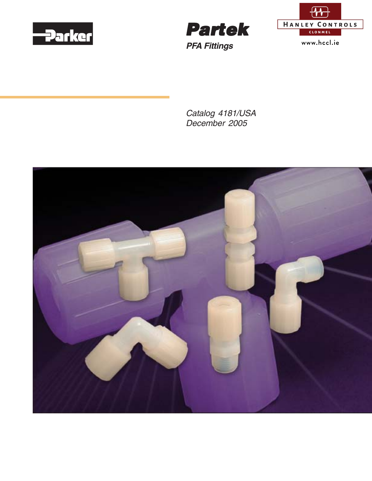





Catalog 4181/USA December 2005

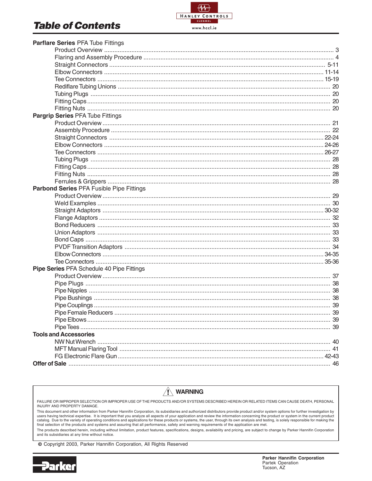#### $\Theta$ HANLEY CONTROLS **CLONMEL** www.hccl.ie

# **Table of Contents**

| Parflare Series PFA Tube Fittings               |  |
|-------------------------------------------------|--|
|                                                 |  |
|                                                 |  |
|                                                 |  |
|                                                 |  |
|                                                 |  |
|                                                 |  |
|                                                 |  |
|                                                 |  |
|                                                 |  |
| Pargrip Series PFA Tube Fittings                |  |
|                                                 |  |
|                                                 |  |
|                                                 |  |
|                                                 |  |
|                                                 |  |
|                                                 |  |
|                                                 |  |
|                                                 |  |
|                                                 |  |
| <b>Parbond Series PFA Fusible Pipe Fittings</b> |  |
|                                                 |  |
|                                                 |  |
|                                                 |  |
|                                                 |  |
|                                                 |  |
|                                                 |  |
|                                                 |  |
|                                                 |  |
|                                                 |  |
|                                                 |  |
| Pipe Series PFA Schedule 40 Pipe Fittings       |  |
|                                                 |  |
|                                                 |  |
|                                                 |  |
|                                                 |  |
|                                                 |  |
|                                                 |  |
|                                                 |  |
|                                                 |  |
| <b>Tools and Accessories</b>                    |  |
|                                                 |  |
|                                                 |  |
|                                                 |  |
|                                                 |  |



FAILURE OR IMPROPER SELECTION OR IMPROPER USE OF THE PRODUCTS AND/OR SYSTEMS DESCRIBED HEREIN OR RELATED ITEMS CAN CAUSE DEATH, PERSONAL INJURY AND PROPERTY DAMAGE.

This document and other information from Parker Hannifin Corporation, its subsidiaries and authorized distributors provide product and/or system options for further investigation by users having technical expertise. It is important that you analyze all aspects of your application and review the information concerning the product or system in the current product catalog. Due to the variety of operating

The products described herein, including without limitation, product features, specifications, designs, availability and pricing, are subject to change by Parker Hannifin Corporation and its subsidiaries at any time withou

© Copyright 2003, Parker Hannifin Corporation, All Rights Reserved

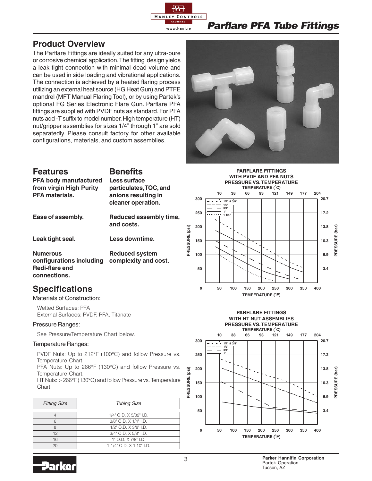

## **Product Overview**

The Parflare Fittings are ideally suited for any ultra-pure or corrosive chemical application. The fitting design yields a leak tight connection with minimal dead volume and can be used in side loading and vibrational applications. The connection is achieved by a heated flaring process utilizing an external heat source (HG Heat Gun) and PTFE mandrel (MFT Manual Flaring Tool), or by using Partek's optional FG Series Electronic Flare Gun. Parflare PFA fittings are supplied with PVDF nuts as standard. For PFA nuts add -T suffix to model number. High temperature (HT) nut/gripper assemblies for sizes 1/4" through 1" are sold separatedly. Please consult factory for other available configurations, materials, and custom assemblies.



### **Features**

#### **Benefits Less surface**

| <b>PFA body manufactured</b> |
|------------------------------|
| from virgin High Purity      |
| <b>PFA materials.</b>        |
|                              |

**particulates, TOC, and anions resulting in cleaner operation.**

**Ease of assembly.**

**Leak tight seal.**

**Reduced assembly time, and costs.**

**Less downtime.**

**Reduced system**

**Numerous configurations including complexity and cost. Redi-flare end connections.**

## **Specifications**

Materials of Construction:

Wetted Surfaces: PFA External Surfaces: PVDF, PFA, Titanate

#### Pressure Ranges:

See Pressure/Temperature Chart below.

#### Temperature Ranges:

PVDF Nuts: Up to 212°F (100°C) and follow Pressure vs. Temperature Chart.

PFA Nuts: Up to 266°F (130°C) and follow Pressure vs. Temperature Chart.

HT Nuts: > 266°F (130°C) and follow Pressure vs. Temperature Chart.

| <b>Fitting Size</b> | <b>Tubing Size</b>       |
|---------------------|--------------------------|
|                     | 1/4" O.D. X 5/32" I.D.   |
| 6                   | 3/8" O.D. X 1/4" I.D.    |
| 8                   | 1/2" O.D. X 3/8" I.D.    |
| 12                  | 3/4" O.D. X 5/8" I.D.    |
| 16                  | 1" O.D. X 7/8" I.D.      |
| 20                  | 1-1/4" O.D. X 1.10" I.D. |





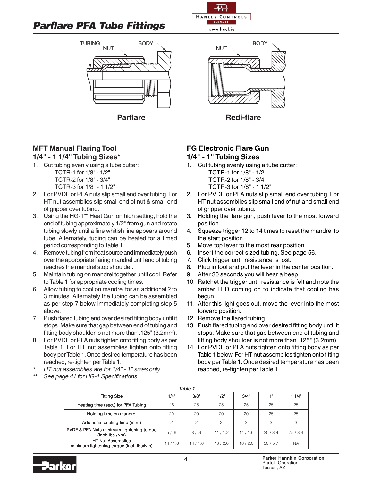



#### **MFT Manual Flaring Tool 1/4" - 1 1/4" Tubing Sizes\***

- 1. Cut tubing evenly using a tube cutter: TCTR-1 for 1/8" - 1/2" TCTR-2 for 1/8" - 3/4" TCTR-3 for 1/8" - 1 1/2"
- 2. For PVDF or PFA nuts slip small end over tubing. For HT nut assemblies slip small end of nut & small end of gripper over tubing.
- 3. Using the HG-1\*\* Heat Gun on high setting, hold the end of tubing approximately 1/2" from gun and rotate tubing slowly until a fine whitish line appears around tube. Alternately, tubing can be heated for a timed period corresponding to Table 1.
- 4. Remove tubing from heat source and immediately push over the appropriate flaring mandrel until end of tubing reaches the mandrel stop shoulder.
- 5. Maintain tubing on mandrel together until cool. Refer to Table 1 for appropriate cooling times.
- 6. Allow tubing to cool on mandrel for an additional 2 to 3 minutes. Alternately the tubing can be assembled as per step 7 below immediately completing step 5 above.
- 7. Push flared tubing end over desired fitting body until it stops. Make sure that gap between end of tubing and fitting body shoulder is not more than .125" (3.2mm).
- 8. For PVDF or PFA nuts tighten onto fitting body as per Table 1. For HT nut assemblies tighten onto fitting body per Table 1. Once desired temperature has been reached, re-tighten per Table 1.
- *\* HT nut assemblies are for 1/4" 1" sizes only.*
- *\*\* See page 41 for HG-1 Specifications.*



**Parflare Redi-flare**

# **FG Electronic Flare Gun**

### **1/4" - 1" Tubing Sizes**

- 1. Cut tubing evenly using a tube cutter: TCTR-1 for 1/8" - 1/2" TCTR-2 for 1/8" - 3/4" TCTR-3 for 1/8" - 1 1/2"
- 2. For PVDF or PFA nuts slip small end over tubing. For HT nut assemblies slip small end of nut and small end of gripper over tubing.
- 3. Holding the flare gun, push lever to the most forward position.
- 4. Squeeze trigger 12 to 14 times to reset the mandrel to the start position.
- 5. Move top lever to the most rear position.
- 6. Insert the correct sized tubing. See page 56.
- 7. Click trigger until resistance is lost.
- 8. Plug in tool and put the lever in the center position.
- 9. After 30 seconds you will hear a beep.
- 10. Ratchet the trigger until resistance is felt and note the amber LED coming on to indicate that cooling has begun.
- 11. After this light goes out, move the lever into the most forward position.
- 12. Remove the flared tubing.
- 13. Push flared tubing end over desired fitting body until it stops. Make sure that gap between end of tubing and fitting body shoulder is not more than .125" (3.2mm).
- 14. For PVDF or PFA nuts tighten onto fitting body as per Table 1 below. For HT nut assemblies tighten onto fitting body per Table 1. Once desired temperature has been reached, re-tighten per Table 1.

|                                                                     |               | Table 1        |        |        |        |           |
|---------------------------------------------------------------------|---------------|----------------|--------|--------|--------|-----------|
| <b>Fitting Size</b>                                                 | 1/4"          | 3/8"           | 1/2"   | 3/4"   | 1"     | 11/4"     |
| Heating time (sec.) for PFA Tubing                                  | 15            | 25             | 25     | 25     | 25     | 25        |
| Holding time on mandrel                                             | 20            | 20             | 20     | 20     | 25     | 25        |
| Additional cooling time (min.)                                      | $\mathcal{P}$ | $\mathfrak{p}$ | 3      | 3      | 3      | 3         |
| PVDF & PFA Nuts minimum tightening torque<br>(inch lbs./Nm)         | 5/6           | 8/9            | 11/1.2 | 14/1.6 | 30/3.4 | 75/8.4    |
| <b>HT Nut Assemblies</b><br>minimum tightening torque (inch lbs/Nm) | 14/1.6        | 14/1.6         | 18/2.0 | 18/2.0 | 50/5.7 | <b>NA</b> |

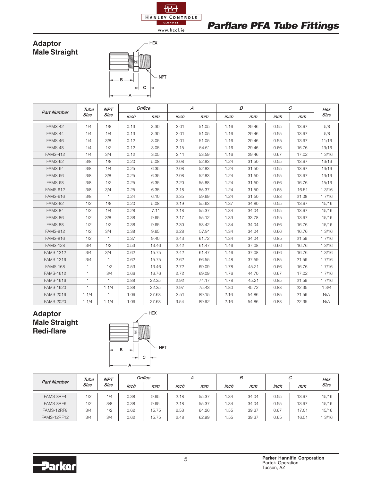#### **Adaptor Male Straight**



|                    | Tube         | <b>NPT</b>   |      | Orifice |      | $\overline{A}$ |      | $\boldsymbol{B}$ |      | $\mathcal{C}$ | Hex    |
|--------------------|--------------|--------------|------|---------|------|----------------|------|------------------|------|---------------|--------|
| <b>Part Number</b> | Size         | Size         | inch | mm      | inch | mm             | inch | mm               | inch | mm            | Size   |
| FAMS-42            | 1/4          | 1/8          | 0.13 | 3.30    | 2.01 | 51.05          | 1.16 | 29.46            | 0.55 | 13.97         | 5/8    |
| FAMS-44            | 1/4          | 1/4          | 0.13 | 3.30    | 2.01 | 51.05          | 1.16 | 29.46            | 0.55 | 13.97         | 5/8    |
| FAMS-46            | 1/4          | 3/8          | 0.12 | 3.05    | 2.01 | 51.05          | 1.16 | 29.46            | 0.55 | 13.97         | 11/16  |
| FAMS-48            | 1/4          | 1/2          | 0.12 | 3.05    | 2.15 | 54.61          | 1.16 | 29.46            | 0.66 | 16.76         | 13/16  |
| <b>FAMS-412</b>    | 1/4          | 3/4          | 0.12 | 3.05    | 2.11 | 53.59          | 1.16 | 29.46            | 0.67 | 17.02         | 13/16  |
| FAMS-62            | 3/8          | 1/8          | 0.20 | 5.08    | 2.08 | 52.83          | 1.24 | 31.50            | 0.55 | 13.97         | 13/16  |
| FAMS-64            | 3/8          | 1/4          | 0.25 | 6.35    | 2.08 | 52.83          | 1.24 | 31.50            | 0.55 | 13.97         | 13/16  |
| FAMS-66            | 3/8          | 3/8          | 0.25 | 6.35    | 2.08 | 52.83          | 1.24 | 31.50            | 0.55 | 13.97         | 13/16  |
| FAMS-68            | 3/8          | 1/2          | 0.25 | 6.35    | 2.20 | 55.88          | 1.24 | 31.50            | 0.66 | 16.76         | 15/16  |
| <b>FAMS-612</b>    | 3/8          | 3/4          | 0.25 | 6.35    | 2.18 | 55.37          | 1.24 | 31.50            | 0.65 | 16.51         | 13/16  |
| <b>FAMS-616</b>    | 3/8          | $\mathbf{1}$ | 0.24 | 6.10    | 2.35 | 59.69          | 1.24 | 31.50            | 0.83 | 21.08         | 17/16  |
| FAMS-82            | 1/2          | 1/8          | 0.20 | 5.08    | 2.19 | 55.63          | 1.37 | 34.80            | 0.55 | 13.97         | 15/16  |
| FAMS-84            | 1/2          | 1/4          | 0.28 | 7.11    | 2.18 | 55.37          | 1.34 | 34.04            | 0.55 | 13.97         | 15/16  |
| FAMS-86            | 1/2          | 3/8          | 0.38 | 9.65    | 2.17 | 55.12          | 1.33 | 33.78            | 0.55 | 13.97         | 15/16  |
| FAMS-88            | 1/2          | 1/2          | 0.38 | 9.65    | 2.30 | 58.42          | 1.34 | 34.04            | 0.66 | 16.76         | 15/16  |
| <b>FAMS-812</b>    | 1/2          | 3/4          | 0.38 | 9.65    | 2.28 | 57.91          | 1.34 | 34.04            | 0.66 | 16.76         | 13/16  |
| <b>FAMS-816</b>    | 1/2          | $\mathbf{1}$ | 0.37 | 9.40    | 2.43 | 61.72          | 1.34 | 34.04            | 0.85 | 21.59         | 1 7/16 |
| <b>FAMS-128</b>    | 3/4          | 1/2          | 0.53 | 13.46   | 2.42 | 61.47          | 1.46 | 37.08            | 0.66 | 16.76         | 13/16  |
| <b>FAMS-1212</b>   | 3/4          | 3/4          | 0.62 | 15.75   | 2.42 | 61.47          | 1.46 | 37.08            | 0.66 | 16.76         | 13/16  |
| <b>FAMS-1216</b>   | 3/4          | $\mathbf{1}$ | 0.62 | 15.75   | 2.62 | 66.55          | 1.48 | 37.59            | 0.85 | 21.59         | 1 7/16 |
| <b>FAMS-168</b>    | $\mathbf{1}$ | 1/2          | 0.53 | 13.46   | 2.72 | 69.09          | 1.78 | 45.21            | 0.66 | 16.76         | 17/16  |
| <b>FAMS-1612</b>   | $\mathbf{1}$ | 3/4          | 0.66 | 16.76   | 2.72 | 69.09          | 1.76 | 44.70            | 0.67 | 17.02         | 17/16  |
| <b>FAMS-1616</b>   | $\mathbf{1}$ | $\mathbf{1}$ | 0.88 | 22.35   | 2.92 | 74.17          | 1.78 | 45.21            | 0.85 | 21.59         | 17/16  |
| <b>FAMS-1620</b>   | $\mathbf{1}$ | 11/4         | 0.88 | 22.35   | 2.97 | 75.43          | 1.80 | 45.72            | 0.88 | 22.35         | 13/4   |
| <b>FAMS-2016</b>   | 11/4         | 1            | 1.09 | 27.68   | 3.51 | 89.15          | 2.16 | 54.86            | 0.85 | 21.59         | N/A    |
| <b>FAMS-2020</b>   | 11/4         | 11/4         | 1.09 | 27.68   | 3.54 | 89.92          | 2.16 | 54.86            | 0.88 | 22.35         | N/A    |

### **Adaptor Male Straight Redi-flare**



 $\mathbf C$ 

B

A

NPT

| <b>Part Number</b> | <b>NPT</b><br>Tube |      |      | Orifice |      | А     |      | В     |      | C     | Hex   |
|--------------------|--------------------|------|------|---------|------|-------|------|-------|------|-------|-------|
|                    | Size               | Size | inch | mm      | inch | mm    | inch | mm    | inch | mm    | Size  |
| FAMS-8RF4          | 1/2                | 1/4  | 0.38 | 9.65    | 2.18 | 55.37 | 1.34 | 34.04 | 0.55 | 13.97 | 15/16 |
| FAMS-8RF6          | 1/2                | 3/8  | 0.38 | 9.65    | 2.18 | 55.37 | 1.34 | 34.04 | 0.55 | 13.97 | 15/16 |
| FAMS-12RF8         | 3/4                | 1/2  | 0.62 | 15.75   | 2.53 | 64.26 | 1.55 | 39.37 | 0.67 | 17.01 | 15/16 |
| FAMS-12RF12        | 3/4                | 3/4  | 0.62 | 15.75   | 2.48 | 62.99 | .55  | 39.37 | 0.65 | 16.51 | 3/16  |

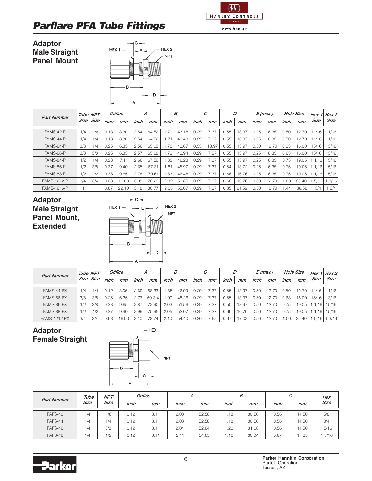

#### **Adaptor Male Straight Panel Mount**



| <b>Part Number</b> | Tube NPT |      |      | Orifice | А    |       |      | B     |      | C     |      | D     |      | $E$ (max.) |      | <b>Hole Size</b> | Hex $1$ | Hex 2 |
|--------------------|----------|------|------|---------|------|-------|------|-------|------|-------|------|-------|------|------------|------|------------------|---------|-------|
|                    | Size     | Size | inch | mm      | inch | mm    | inch | mm    | inch | mm    | inch | mm    | inch | mm         | inch | mm               | Size    | Size  |
| FAMS-42-P          | 1/4      | 1/8  | 0.13 | 3.30    | 2.54 | 64.52 | 1.70 | 43.18 | 0.29 | 7.37  | 0.55 | 13.97 | 0.25 | 6.35       | 0.50 | 12.70            | 1/16    | 11/16 |
| FAMS-44-P          | 1/4      | 1/4  | 0.13 | 3.30    | 2.54 | 64.52 | 1.71 | 43.43 | 0.29 | 7.37  | 0.55 | 13.97 | 0.25 | 6.35       | 0.50 | 12.70            | 1/16    | 11/16 |
| FAMS-64-P          | 3/8      | 1/4  | 0.25 | 6.35    | 2.56 | 65.02 | 1.72 | 43.67 | 0.55 | 13.97 | 0.55 | 13.97 | 0.50 | 12.70      | 0.63 | 16.00            | 15/16   | 13/16 |
| FAMS-66-P          | 3/8      | 3/8  | 0.25 | 6.35    | 2.57 | 65.28 | 1.73 | 43.94 | 0.29 | 7.37  | 0.55 | 13.97 | 0.25 | 6.35       | 0.63 | 16.00            | 15/16   | 13/16 |
| FAMS-84-P          | 1/2      | 1/4  | 0.28 | 7.11    | 2.66 | 67.56 | .82  | 46.23 | 0.29 | 7.37  | 0.55 | 13.97 | 0.25 | 6.35       | 0.75 | 19.05            | 1/16    | 15/16 |
| FAMS-86-P          | 1/2      | 3/8  | 0.37 | 9.40    | 2.65 | 67.31 | .81  | 45.97 | 0.29 | 7.37  | 0.54 | 13.72 | 0.25 | 6.35       | 0.75 | 19.05            | 1/16    | 15/16 |
| FAMS-88-P          | 1/2      | 1/2  | 0.38 | 9.65    | 2.78 | 70.61 | .83  | 46.48 | 0.29 | 7.37  | 0.66 | 16.76 | 0.25 | 6.35       | 0.75 | 19.05            | 1/16    | 15/16 |
| <b>FAMS-1212-P</b> | 3/4      | 3/4  | 0.63 | 16.00   | 3.08 | 78.23 | 2.12 | 53.85 | 0.29 | 7.37  | 0.66 | 16.76 | 0.50 | 12.70      | .00  | 25.40            | 5/16    | 3/16  |
| <b>FAMS-1616-P</b> |          |      | 0.87 | 22.10   | 3.18 | 80.77 | 2.05 | 52.07 | 0.29 | 7.37  | 0.85 | 21.59 | 0.50 | 12.70      | .44  | 36.58            | 3/4     | 3/4   |

### **Adaptor Male Straight Panel Mount, Extended**



|                     | Tube NPT<br><b>Part Number</b> |      |      | Orifice |      | А         |      | В         |      | С    |      | D     | <b>Hole Size</b><br>$E$ (max.) |       |      |       | Hex $1$ Hex $2$ |       |
|---------------------|--------------------------------|------|------|---------|------|-----------|------|-----------|------|------|------|-------|--------------------------------|-------|------|-------|-----------------|-------|
|                     | Size                           | Size | inch | mm      | inch | mm        | inch | mm        | inch | mm   | inch | mm    | inch                           | mm    | inch | mm    | Size            | Size  |
|                     |                                |      |      |         |      |           |      |           |      |      |      |       |                                |       |      |       |                 |       |
| FAMS-44-PX          | 1/4                            | 1/4  | 0.12 | 3.05    | 2.69 | 68.33     | .85  | 46.99     | 0.29 | 7.37 | 0.55 | 13.97 | 0.50                           | 12.70 | 0.50 | 12.70 | 1/16            | 11/16 |
| FAMS-66-PX          | 3/8                            | 3/8  | 0.25 | 6.35    | 2.73 | 69.34     | .90  | 48.26     | 0.29 | 7.37 | 0.55 | 13.97 | 0.50                           | 12.70 | 0.63 | 16.00 | 15/16           | 13/16 |
| FAMS-86-PX          | 1/2                            | 3/8  | 0.38 | 9.65    | 2.87 | 72.90     | 2.03 | .56<br>51 | 0.29 | 7.37 | 0.55 | 13.97 | 0.50                           | 12.70 | 0.75 | 19.05 | 1/16            | 15/16 |
| FAMS-88-PX          | 1/2                            | 1/2  | 0.37 | 9.40    | 2.99 | 75.95     | 2.05 | 52.07     | 0.29 | 7.37 | 0.66 | 16.76 | 0.50                           | 12.70 | 0.75 | 19.05 | 1/16            | 15/16 |
| <b>FAMS-1212-PX</b> | 3/4                            | 3/4  | 0.63 | 16.00   | 3.10 | 74<br>78. | 2.10 | 54.40     | 0.30 | .62  | 0.67 | .02   | 0.50                           | 12.70 | .00  | 25.40 | 5/16            | 3/16  |

### **Adaptor Female Straight**



|         | Tube<br><b>Part Number</b> | <b>NPT</b> |      | Orifice | A    |       |       | B     |      | C     | Hex   |
|---------|----------------------------|------------|------|---------|------|-------|-------|-------|------|-------|-------|
|         | Size                       | Size       | inch | mm      | inch | mm    | inch  | mm    | inch | mm    | Size  |
| FAFS-42 | 1/4                        | 1/8        | 0.12 | 3.11    | 2.03 | 52.58 | 18، ، | 30.56 | 0.56 | 14.50 | 5/8   |
| FAFS-44 | 1/4                        | 1/4        | 0.12 | 3.11    | 2.03 | 52.58 | 1.18  | 30.56 | 0.56 | 14.50 | 3/4   |
| FAFS-46 | 1/4                        | 3/8        | 0.12 | 3.11    | 2.04 | 52.84 | .20   | 31.08 | 0.56 | 14.50 | 15/16 |
| FAFS-48 | 1/4                        | 1/2        | 0.12 | 3.11    | 2.11 | 54.65 | 1.16  | 30.04 | 0.67 | 17.35 | 3/16  |

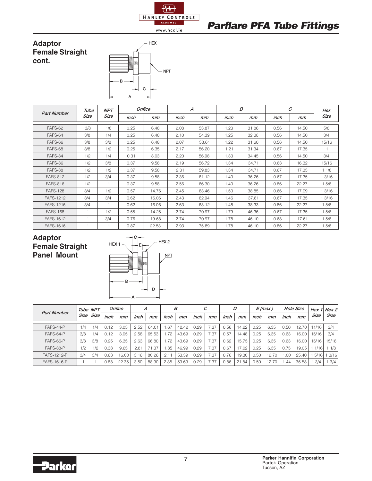





|                  | <b>NPT</b><br>Tube<br><b>Part Number</b> |             |      | <b>Orifice</b> |      | А     |      | B     |      | C     | Hex    |
|------------------|------------------------------------------|-------------|------|----------------|------|-------|------|-------|------|-------|--------|
|                  | Size                                     | Size        | inch | mm             | inch | mm    | inch | mm    | inch | mm    | Size   |
| FAFS-62          | 3/8                                      | 1/8         | 0.25 | 6.48           | 2.08 | 53.87 | 1.23 | 31.86 | 0.56 | 14.50 | 5/8    |
| FAFS-64          | 3/8                                      | 1/4         | 0.25 | 6.48           | 2.10 | 54.39 | 1.25 | 32.38 | 0.56 | 14.50 | 3/4    |
| FAFS-66          | 3/8                                      | 3/8         | 0.25 | 6.48           | 2.07 | 53.61 | 1.22 | 31.60 | 0.56 | 14.50 | 15/16  |
| FAFS-68          | 3/8                                      | 1/2         | 0.25 | 6.35           | 2.17 | 56.20 | 1.21 | 31.34 | 0.67 | 17.35 |        |
| FAFS-84          | 1/2                                      | 1/4         | 0.31 | 8.03           | 2.20 | 56.98 | 1.33 | 34.45 | 0.56 | 14.50 | 3/4    |
| FAFS-86          | 1/2                                      | 3/8         | 0.37 | 9.58           | 2.19 | 56.72 | 1.34 | 34.71 | 0.63 | 16.32 | 15/16  |
| FAFS-88          | 1/2                                      | 1/2         | 0.37 | 9.58           | 2.31 | 59.83 | 1.34 | 34.71 | 0.67 | 17.35 | 11/8   |
| <b>FAFS-812</b>  | 1/2                                      | 3/4         | 0.37 | 9.58           | 2.36 | 61.12 | 1.40 | 36.26 | 0.67 | 17.35 | 1 3/16 |
| <b>FAFS-816</b>  | 1/2                                      | 1           | 0.37 | 9.58           | 2.56 | 66.30 | 1.40 | 36.26 | 0.86 | 22.27 | 15/8   |
| <b>FAFS-128</b>  | 3/4                                      | 1/2         | 0.57 | 14.76          | 2.45 | 63.46 | 1.50 | 38.85 | 0.66 | 17.09 | 1 3/16 |
| <b>FAFS-1212</b> | 3/4                                      | 3/4         | 0.62 | 16.06          | 2.43 | 62.94 | 1.46 | 37.81 | 0.67 | 17.35 | 13/16  |
| <b>FAFS-1216</b> | 3/4                                      | $\mathbf 1$ | 0.62 | 16.06          | 2.63 | 68.12 | 1.48 | 38.33 | 0.86 | 22.27 | 15/8   |
| <b>FAFS-168</b>  | $\overline{1}$                           | 1/2         | 0.55 | 14.25          | 2.74 | 70.97 | 1.79 | 46.36 | 0.67 | 17.35 | 15/8   |
| <b>FAFS-1612</b> |                                          | 3/4         | 0.76 | 19.68          | 2.74 | 70.97 | 1.78 | 46.10 | 0.68 | 17.61 | 15/8   |
| <b>FAFS-1616</b> |                                          |             | 0.87 | 22.53          | 2.93 | 75.89 | 1.78 | 46.10 | 0.86 | 22.27 | 1 5/8  |

## **Adaptor**

### **Female Straight Panel Mount**



| Tube NPT<br><b>Part Number</b> |      |             | Orifice |       | А    |       | В    |       | С    |      | D    | E (max.) |      |       | Hole Size |       | Hex $1$ Hex $2$ |       |
|--------------------------------|------|-------------|---------|-------|------|-------|------|-------|------|------|------|----------|------|-------|-----------|-------|-----------------|-------|
|                                | Size | <b>Size</b> | inch    | mm    | inch | mm    | inch | mm    | inch | mm   | inch | mm       | inch | mm    | inch      | mm    | Size            | Size  |
| FAFS-44-P                      | 1/4  | 1/4         | 0.12    | 3.05  | 2.52 | 64.01 | .67  | 42.42 | 0.29 | 7.37 | 0.56 | 14.22    | 0.25 | 6.35  | 0.50      | 12.70 | 1/16            | 3/4   |
| FAFS-64-P                      | 3/8  | 1/4         | 0.12    | 3.05  | 2.58 | 65.53 | 1.72 | 43.69 | 0.29 | 7.37 | 0.57 | 14.48    | 0.25 | 6.35  | 0.63      | 16.00 | 15/16           | 3/4   |
| FAFS-66-P                      | 3/8  | 3/8         | 0.25    | 6.35  | 2.63 | 66.80 | 1.72 | 43.69 | 0.29 | 7.37 | 0.62 | 15.75    | 0.25 | 6.35  | 0.63      | 16.00 | 15/16           | 15/16 |
| FAFS-88-P                      | 1/2  | 1/2         | 0.38    | 9.65  | 2.81 | .37   | .85  | 46.99 | 0.29 | 7.37 | 0.67 | 17.02    | 0.25 | 6.35  | 0.75      | 19.05 | 1/16            | 1/8   |
| FAFS-1212-P                    | 3/4  | 3/4         | 0.63    | 16.00 | 3.16 | 80.26 | 2.11 | 53.59 | 0.29 | 7.37 | 0.76 | 19.30    | 0.50 | 12.70 | .00       | 25.40 | 5/16            | 3/16  |
| FAFS-1616-P                    |      |             | 0.88    | 22.35 | 3.50 | 88.90 | 2.35 | 59.69 | 0.29 | 7.37 | 0.86 | 21.84    | 0.50 | 12.70 | .44       | 36.58 | 3/4             | 3/4   |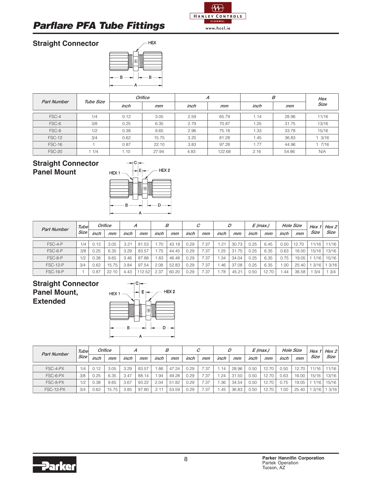



|                    |           |      | Orifice |      | Α      | B    | Hex   |                  |
|--------------------|-----------|------|---------|------|--------|------|-------|------------------|
| <b>Part Number</b> | Tube Size | inch | mm      | inch | mm     | inch | mm    | Size             |
| FSC-4              | 1/4       | 0.12 | 3.05    | 2.59 | 65.79  | 1.14 | 28.96 | 11/16            |
| FSC-6              | 3/8       | 0.25 | 6.35    | 2.79 | 70.87  | 1.25 | 31.75 | 13/16            |
| FSC-8              | 1/2       | 0.38 | 9.65    | 2.96 | 75.18  | 1.33 | 33.78 | 15/16            |
| <b>FSC-12</b>      | 3/4       | 0.62 | 15.75   | 3.20 | 81.28  | 1.45 | 36.83 | $1 \frac{3}{16}$ |
| <b>FSC-16</b>      |           | 0.87 | 22.10   | 3.83 | 97.28  | 1.77 | 44.96 | 17/16            |
| <b>FSC-20</b>      | 11/4      | 1.10 | 27.94   | 4.83 | 122.68 | 2.16 | 54.86 | N/A              |

 $\bigoplus$ HANLEY CONTROLS www.hccl.ie

#### **Straight Connector Panel Mount**



| <b>Part Number</b> | Tube  |      | Orifice |      |       |      | В     |      | С    |      | D     | E (max., |       |      | <b>Hole Size</b> | Hex   | Hex $2$ |
|--------------------|-------|------|---------|------|-------|------|-------|------|------|------|-------|----------|-------|------|------------------|-------|---------|
|                    | Size' | inch | mm      | inch | mm    | inch | mm    | inch | mm   | inch | mm    | inch     | mm    | inch | mm               | Size  | Size    |
|                    |       |      |         |      |       |      |       |      |      |      |       |          |       |      |                  |       |         |
| FSC-4-P            | 1/4   | 0.12 | 3.05    | 3.21 | 81.53 | .70  | 43.18 | 0.29 | 7.37 | .21  | 30.73 | 0.25     | 6.45  | 0.50 | 12.70            | 11/16 | 11/16   |
| FSC-6-P            | 3/8   | 0.25 | 6.35    | 3.29 | 83.57 | . 75 | 44.45 | 0.29 | .37  | .25  | 31.75 | 0.25     | 6.35  | 0.63 | 16.00            | 15/16 | 13/16   |
| FSC-8-P            | 1/2   | 0.38 | 9.65    | 3.46 | 87.88 | .83  | 46.48 | 0.29 | 7.37 | .34  | 34.04 | 0.25     | 6.35  | 0.75 | 19.05            | 1/16  | 15/16   |
| <b>FSC-12-P</b>    | 3/4   | 0.62 | 15.75   | 3.84 | 97.54 | 2.08 | 52.83 | 0.29 | 7.37 | .46  | 37.08 | 0.25     | 6.35  | .00  | 25.40            | 3/16  | 13/16   |
| <b>FSC-16-P</b>    |       | J.87 | 22.10   | 4.43 | 12.52 | 2.37 | 60.20 | 0.29 | - 37 | 78ء  | 45.21 | 0.50     | 12.70 | .44  | 36.58            | 3/4   | 3/4     |

#### **Straight Connector Panel Mount, Extended**



| <b>Part Number</b> | Tube |      | Orifice |      | Α     |               | В     |      | С    |      | D     |      | $E$ (max.) |      | <b>Hole Size</b> | Hex   | Hex $2$ |
|--------------------|------|------|---------|------|-------|---------------|-------|------|------|------|-------|------|------------|------|------------------|-------|---------|
|                    | Size | inch | mm      | inch | mm    | inch          | mm    | inch | mm   | inch | mm    | inch | mm         | inch | mm               | Size  | Size    |
|                    |      |      |         |      |       |               |       |      |      |      |       |      |            |      |                  |       |         |
| FSC-4-PX           | 1/4  | 0.12 | 3.05    | 3.29 | 83.57 | .86           | 47.24 | 0.29 | 7.37 | .14  | 28.96 | 0.50 | 12.70      | 0.50 | 12.70            | 11/16 | 11/16   |
| FSC-6-PX           | 3/8  | 0.25 | 6.35    | 3.47 | 88.14 | .94           | 49.28 | 0.29 | 7.37 | .24  | 31.50 | 0.50 | 12.70      | 0.63 | 16.00            | 15/16 | 13/16   |
| FSC-8-PX           | 1/2  | 0.38 | 9.65    | 3.67 | 93.22 | 2.04          | 51.82 | 0.29 | 7.37 | .36  | 34.54 | 0.50 | 12.70      | 0.75 | 19.05            | 1/16  | 15/16   |
| <b>FSC-12-PX</b>   | 3/4  | 0.62 | 15.75   | 3.85 | 97.80 | $2.1^{\circ}$ | 53.59 | 0.29 | 7.37 | .45  | 36.83 | 0.50 | 12.70      | .00  | 25.40            | 3/16  | 3/16    |

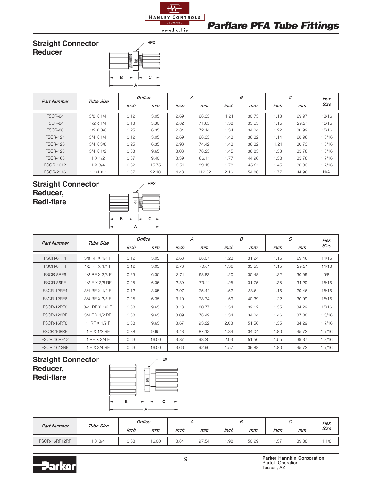### **Straight Connector Reducer**



| <b>Part Number</b> | Tube Size        |      | Orifice |      | A      |      | В     |      | C     | Hex         |
|--------------------|------------------|------|---------|------|--------|------|-------|------|-------|-------------|
|                    |                  | inch | mm      | inch | mm     | inch | mm    | inch | mm    | <b>Size</b> |
| FSCR-64            | 3/8 X 1/4        | 0.12 | 3.05    | 2.69 | 68.33  | 1.21 | 30.73 | 1.18 | 29.97 | 13/16       |
| FSCR-84            | $1/2 \times 1/4$ | 0.13 | 3.30    | 2.82 | 71.63  | 1.38 | 35.05 | 1.15 | 29.21 | 15/16       |
| FSCR-86            | $1/2 \times 3/8$ | 0.25 | 6.35    | 2.84 | 72.14  | 1.34 | 34.04 | 1.22 | 30.99 | 15/16       |
| <b>FSCR-124</b>    | $3/4 \times 1/4$ | 0.12 | 3.05    | 2.69 | 68.33  | 1.43 | 36.32 | 1.14 | 28.96 | 1 3/16      |
| <b>FSCR-126</b>    | $3/4 \times 3/8$ | 0.25 | 6.35    | 2.93 | 74.42  | 1.43 | 36.32 | 1.21 | 30.73 | 1 3/16      |
| <b>FSCR-128</b>    | $3/4 \times 1/2$ | 0.38 | 9.65    | 3.08 | 78.23  | 1.45 | 36.83 | 1.33 | 33.78 | 1 3/16      |
| <b>FSCR-168</b>    | $1 \times 1/2$   | 0.37 | 9.40    | 3.39 | 86.11  | 1.77 | 44.96 | 1.33 | 33.78 | 1 7/16      |
| <b>FSCR-1612</b>   | $1 \times 3/4$   | 0.62 | 15.75   | 3.51 | 89.15  | 1.78 | 45.21 | 1.45 | 36.83 | 1 7/16      |
| <b>FSCR-2016</b>   | $11/4 \times 1$  | 0.87 | 22.10   | 4.43 | 112.52 | 2.16 | 54.86 | 1.77 | 44.96 | N/A         |

### **Straight Connector Reducer, Redi-flare**



| <b>Part Number</b> | Tube Size      |      | Orifice |      | $\overline{A}$ |      | $\boldsymbol{B}$ |      | $\mathcal{C}$ | Hex    |
|--------------------|----------------|------|---------|------|----------------|------|------------------|------|---------------|--------|
|                    |                | inch | mm      | inch | mm             | inch | mm               | inch | mm            | Size   |
| FSCR-6RF4          | 3/8 RF X 1/4 F | 0.12 | 3.05    | 2.68 | 68.07          | 1.23 | 31.24            | 1.16 | 29.46         | 11/16  |
| FSCR-8RF4          | 1/2 RF X 1/4 F | 0.12 | 3.05    | 2.78 | 70.61          | 1.32 | 33.53            | 1.15 | 29.21         | 11/16  |
| FSCR-8RF6          | 1/2 RF X 3/8 F | 0.25 | 6.35    | 2.71 | 68.83          | 1.20 | 30.48            | 1.22 | 30.99         | 5/8    |
| FSCR-86RF          | 1/2 F X 3/8 RF | 0.25 | 6.35    | 2.89 | 73.41          | 1.25 | 31.75            | 1.35 | 34.29         | 15/16  |
| FSCR-12RF4         | 3/4 RF X 1/4 F | 0.12 | 3.05    | 2.97 | 75.44          | 1.52 | 38.61            | 1.16 | 29.46         | 15/16  |
| FSCR-12RF6         | 3/4 RF X 3/8 F | 0.25 | 6.35    | 3.10 | 78.74          | 1.59 | 40.39            | 1.22 | 30.99         | 15/16  |
| FSCR-12RF8         | 3/4 RF X 1/2 F | 0.38 | 9.65    | 3.18 | 80.77          | 1.54 | 39.12            | 1.35 | 34.29         | 15/16  |
| FSCR-128RF         | 3/4 F X 1/2 RF | 0.38 | 9.65    | 3.09 | 78.49          | 1.34 | 34.04            | 1.46 | 37.08         | 13/16  |
| FSCR-16RF8         | 1 RF X 1/2 F   | 0.38 | 9.65    | 3.67 | 93.22          | 2.03 | 51.56            | 1.35 | 34.29         | 17/16  |
| FSCR-168RF         | 1 F X 1/2 RF   | 0.38 | 9.65    | 3.43 | 87.12          | 1.34 | 34.04            | 1.80 | 45.72         | 17/16  |
| <b>FSCR-16RF12</b> | 1 RF X 3/4 F   | 0.63 | 16.00   | 3.87 | 98.30          | 2.03 | 51.56            | 1.55 | 39.37         | 13/16  |
| <b>FSCR-1612RF</b> | 1 F X 3/4 RF   | 0.63 | 16.00   | 3.66 | 92.96          | 1.57 | 39.88            | 1.80 | 45.72         | 1 7/16 |

#### **Straight Connector Reducer, Redi-flare**



|                    | Tube Size        |      | Orifice |      |       |      |       |      |       | Hex  |
|--------------------|------------------|------|---------|------|-------|------|-------|------|-------|------|
| <b>Part Number</b> |                  | inch | mm      | inch | mm    | inch | mm    | inch | mm    | Size |
| FSCR-16RF12RF      | X <sub>3/4</sub> | 0.63 | 16.00   | 3.84 | 97.54 | . 98 | 50.29 | . 57 | 39.88 | 1/8  |

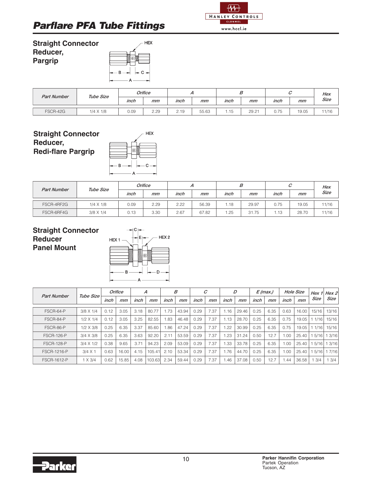

**Straight Connector Reducer, Pargrip**



| <b>Part Number</b> | Tube Size        |      | Orifice |      |       |      |       |      |       | Hex   |
|--------------------|------------------|------|---------|------|-------|------|-------|------|-------|-------|
|                    |                  | inch | mm      | inch | mm    | inch | mm    | inch | mm    | Size  |
| FSCR-42G           | $1/4 \times 1/8$ | 0.09 | 2.29    | 2.19 | 55.63 | .15  | 29.21 | 0.75 | 19.05 | 11/16 |

### **Straight Connector Reducer, Redi-flare Pargrip**



| <b>Part Number</b> | Tube Size        |      | Orifice |      |       |      |       |      |       | Hex   |
|--------------------|------------------|------|---------|------|-------|------|-------|------|-------|-------|
|                    |                  | inch | mm      | inch | mm    | inch | mm    | inch | mm    | Size  |
| FSCR-4RF2G         | $1/4 \times 1/8$ | 0.09 | 2.29    | 2.22 | 56.39 | 1.18 | 29.97 | 0.75 | 19.05 | 11/16 |
| FSCR-6RF4G         | $3/8 \times 1/4$ | 0.13 | 3.30    | 2.67 | 67.82 | .25  | 31.75 | .13  | 28.70 | 11/16 |

#### **Straight Connector Reducer Panel Mount**



| <b>Part Number</b> | Tube Size        |      | Orifice |      | А      |      | B     |      | C    |      | D     |      | $E$ (max.) |      | <b>Hole Size</b> | Hex 1 | Hex2   |
|--------------------|------------------|------|---------|------|--------|------|-------|------|------|------|-------|------|------------|------|------------------|-------|--------|
|                    |                  | inch | mm      | inch | mm     | inch | mm    | inch | mm   | inch | mm    | inch | mm         | inch | mm               | Size  | Size   |
| FSCR-64-P          | $3/8 \times 1/4$ | 0.12 | 3.05    | 3.18 | 80.77  | .73  | 43.94 | 0.29 | 7.37 | .16  | 29.46 | 0.25 | 6.35       | 0.63 | 16.00            | 15/16 | 13/16  |
| FSCR-84-P          | $1/2 \times 1/4$ | 0.12 | 3.05    | 3.25 | 82.55  | .83  | 46.48 | 0.29 | 7.37 | 1.13 | 28.70 | 0.25 | 6.35       | 0.75 | 19.05            | 1/16  | 15/16  |
| FSCR-86-P          | $1/2 \times 3/8$ | 0.25 | 6.35    | 3.37 | 85.60  | .86  | 47.24 | 0.29 | 7.37 | .22  | 30.99 | 0.25 | 6.35       | 0.75 | 19.05            | 1/16  | 15/16  |
| <b>FSCR-126-P</b>  | $3/4 \times 3/8$ | 0.25 | 6.35    | 3.63 | 92.20  | 2.11 | 53.59 | 0.29 | 7.37 | .23  | 31.24 | 0.50 | 12.7       | 1.00 | 25.40            | 5/16  | 1 3/16 |
| <b>FSCR-128-P</b>  | $3/4 \times 1/2$ | 0.38 | 9.65    | 3.71 | 94.23  | 2.09 | 53.09 | 0.29 | 7.37 | .33  | 33.78 | 0.25 | 6.35       | 1.00 | 25.40            | 5/16  | 1 3/16 |
| <b>FSCR-1216-P</b> | $3/4 \times 1$   | 0.63 | 16.00   | 4.15 | 105.41 | 2.10 | 53.34 | 0.29 | 7.37 | .76  | 44.70 | 0.25 | 6.35       | 1.00 | 25.40            | 5/16  | 1 7/16 |
| <b>FSCR-1612-P</b> | 1 X 3/4          | 0.62 | 15.85   | 4.08 | 103.63 | 2.34 | 59.44 | 0.29 | 7.37 | .46  | 37.08 | 0.50 | 12.7       | 1.44 | 36.58            | 3/4   | 3/4    |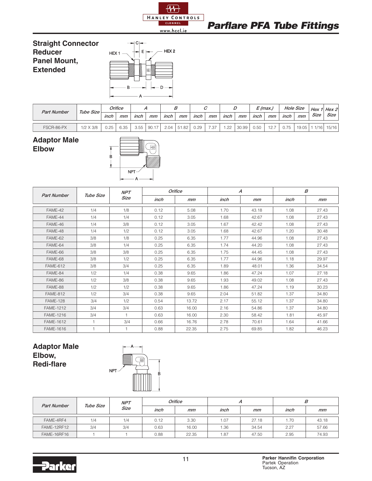

### **Straight Connector Reducer Panel Mount, Extended**



| <b>Part Number</b> | Tube Size        |      | Orifice |      |       |      |       |      |      |      |       |      | E (max.) |      | Hole Size | Hex  | $1$ Hex $2$ |
|--------------------|------------------|------|---------|------|-------|------|-------|------|------|------|-------|------|----------|------|-----------|------|-------------|
|                    |                  | inch | mm      | inch | mm    | inch | mm    | inch | mm   | inch | mm    | inch | mm       | inch | mm        | Size | Size        |
| FSCR-86-PX         | $1/2 \times 3/8$ | 0.25 | 6.35    | 3.55 | 90.17 | 2.04 | 51.82 | 0.29 | 7.37 | 1.22 | 30.99 | 0.50 | 12.7     | 0.75 | $19.05$   | 1/16 | 15/16       |

### **Adaptor Male Elbow**



| <b>Part Number</b> | Tube Size | <b>NPT</b> |      | <b>Orifice</b> |      | $\overline{A}$ |      | $\boldsymbol{B}$ |
|--------------------|-----------|------------|------|----------------|------|----------------|------|------------------|
|                    |           | Size       | inch | mm             | inch | mm             | inch | mm               |
| FAME-42            | 1/4       | 1/8        | 0.12 | 5.08           | 1.70 | 43.18          | 1.08 | 27.43            |
| FAME-44            | 1/4       | 1/4        | 0.12 | 3.05           | 1.68 | 42.67          | 1.08 | 27.43            |
| FAME-46            | 1/4       | 3/8        | 0.12 | 3.05           | 1.67 | 42.42          | 1.08 | 27.43            |
| FAME-48            | 1/4       | 1/2        | 0.12 | 3.05           | 1.68 | 42.67          | 1.20 | 30.48            |
| FAME-62            | 3/8       | 1/8        | 0.25 | 6.35           | 1.77 | 44.96          | 1.08 | 27.43            |
| FAME-64            | 3/8       | 1/4        | 0.25 | 6.35           | 1.74 | 44.20          | 1.08 | 27.43            |
| FAME-66            | 3/8       | 3/8        | 0.25 | 6.35           | 1.75 | 44.45          | 1.08 | 27.43            |
| FAME-68            | 3/8       | 1/2        | 0.25 | 6.35           | 1.77 | 44.96          | 1.18 | 29.97            |
| <b>FAME-612</b>    | 3/8       | 3/4        | 0.25 | 6.35           | 1.89 | 48.01          | 1.36 | 34.54            |
| FAME-84            | 1/2       | 1/4        | 0.38 | 9.65           | 1.86 | 47.24          | 1.07 | 27.18            |
| FAME-86            | 1/2       | 3/8        | 0.38 | 9.65           | 1.93 | 49.02          | 1.08 | 27.43            |
| FAME-88            | 1/2       | 1/2        | 0.38 | 9.65           | 1.86 | 47.24          | 1.19 | 30.23            |
| <b>FAME-812</b>    | 1/2       | 3/4        | 0.38 | 9.65           | 2.04 | 51.82          | 1.37 | 34.80            |
| <b>FAME-128</b>    | 3/4       | 1/2        | 0.54 | 13.72          | 2.17 | 55.12          | 1.37 | 34.80            |
| <b>FAME-1212</b>   | 3/4       | 3/4        | 0.63 | 16.00          | 2.16 | 54.86          | 1.37 | 34.80            |
| <b>FAME-1216</b>   | 3/4       |            | 0.63 | 16.00          | 2.30 | 58.42          | 1.81 | 45.97            |
| <b>FAME-1612</b>   | 1         | 3/4        | 0.66 | 16.76          | 2.78 | 70.61          | 1.64 | 41.66            |
| <b>FAME-1616</b>   |           |            | 0.88 | 22.35          | 2.75 | 69.85          | 1.82 | 46.23            |

### **Adaptor Male Elbow, Redi-flare**



| <b>Part Number</b> | Tube Size | <b>NPT</b>  |      | Orifice | ↗    |       |      |       |
|--------------------|-----------|-------------|------|---------|------|-------|------|-------|
|                    |           | <b>Size</b> | inch | mm      | inch | mm    | inch | mm    |
| FAME-4RF4          | 1/4       | 1/4         | 0.12 | 3.30    | 1.07 | 27.18 | .70  | 43.18 |
| <b>FAME-12RF12</b> | 3/4       | 3/4         | 0.63 | 16.00   | .36  | 34.54 | 2.27 | 57.66 |
| <b>FAME-16RF16</b> |           |             | 0.88 | 22.35   | 1.87 | 47.50 | 2.95 | 74.93 |

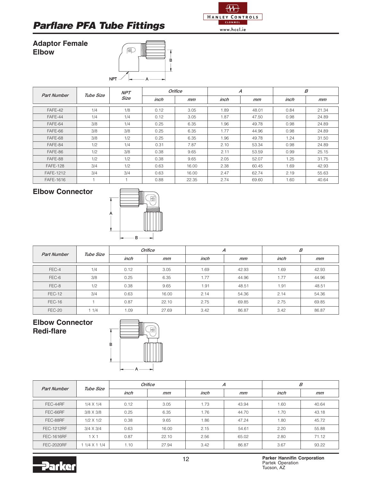

#### **Adaptor Female Elbow**



|                    | Tube Size | <b>NPT</b> |      | Orifice |      | А     |      | $\boldsymbol{B}$ |
|--------------------|-----------|------------|------|---------|------|-------|------|------------------|
| <b>Part Number</b> |           | Size       | inch | mm      | inch | mm    | inch | mm               |
| FAFE-42            | 1/4       | 1/8        | 0.12 | 3.05    | 1.89 | 48.01 | 0.84 | 21.34            |
| FAFE-44            | 1/4       | 1/4        | 0.12 | 3.05    | 1.87 | 47.50 | 0.98 | 24.89            |
| FAFE-64            | 3/8       | 1/4        | 0.25 | 6.35    | 1.96 | 49.78 | 0.98 | 24.89            |
| FAFE-66            | 3/8       | 3/8        | 0.25 | 6.35    | 1.77 | 44.96 | 0.98 | 24.89            |
| FAFE-68            | 3/8       | 1/2        | 0.25 | 6.35    | 1.96 | 49.78 | 1.24 | 31.50            |
| FAFE-84            | 1/2       | 1/4        | 0.31 | 7.87    | 2.10 | 53.34 | 0.98 | 24.89            |
| FAFE-86            | 1/2       | 3/8        | 0.38 | 9.65    | 2.11 | 53.59 | 0.99 | 25.15            |
| FAFE-88            | 1/2       | 1/2        | 0.38 | 9.65    | 2.05 | 52.07 | 1.25 | 31.75            |
| <b>FAFE-128</b>    | 3/4       | 1/2        | 0.63 | 16.00   | 2.38 | 60.45 | 1.69 | 42.93            |
| FAFE-1212          | 3/4       | 3/4        | 0.63 | 16.00   | 2.47 | 62.74 | 2.19 | 55.63            |
| FAFE-1616          |           |            | 0.88 | 22.35   | 2.74 | 69.60 | 1.60 | 40.64            |

### **Elbow Connector**



| <b>Part Number</b> | Tube Size |      | <b>Orifice</b> | $\boldsymbol{A}$ |       | В    |       |  |  |
|--------------------|-----------|------|----------------|------------------|-------|------|-------|--|--|
|                    |           | inch | mm             | inch             | mm    | inch | mm    |  |  |
| FEC-4              | 1/4       | 0.12 | 3.05           | 1.69             | 42.93 | 1.69 | 42.93 |  |  |
| FEC-6              | 3/8       | 0.25 | 6.35           | 1.77             | 44.96 | 1.77 | 44.96 |  |  |
| FEC-8              | 1/2       | 0.38 | 9.65           | 1.91             | 48.51 | 1.91 | 48.51 |  |  |
| <b>FEC-12</b>      | 3/4       | 0.63 | 16.00          | 2.14             | 54.36 | 2.14 | 54.36 |  |  |
| FEC-16             |           | 0.87 | 22.10          | 2.75             | 69.85 | 2.75 | 69.85 |  |  |
| FEC-20             | 11/4      | 1.09 | 27.69          | 3.42             | 86.87 | 3.42 | 86.87 |  |  |

### **Elbow Connector Redi-flare**



| <b>Part Number</b> |                  | <b>Orifice</b><br>Tube Size |       |      | А     | В    |       |  |
|--------------------|------------------|-----------------------------|-------|------|-------|------|-------|--|
|                    |                  | inch                        | mm    | inch | mm    | inch | mm    |  |
| FEC-44RF           | $1/4 \times 1/4$ | 0.12                        | 3.05  | 1.73 | 43.94 | 1.60 | 40.64 |  |
| FEC-66RF           | 3/8 X 3/8        | 0.25                        | 6.35  | 1.76 | 44.70 | 1.70 | 43.18 |  |
| FEC-88RF           | $1/2 \times 1/2$ | 0.38                        | 9.65  | 1.86 | 47.24 | 1.80 | 45.72 |  |
| FEC-1212RF         | $3/4 \times 3/4$ | 0.63                        | 16.00 | 2.15 | 54.61 | 2.20 | 55.88 |  |
| <b>FEC-1616RF</b>  | 1 X1             | 0.87                        | 22.10 | 2.56 | 65.02 | 2.80 | 71.12 |  |
| <b>FEC-2020RF</b>  | 1 1/4 X 1 1/4    | 1.10                        | 27.94 | 3.42 | 86.87 | 3.67 | 93.22 |  |

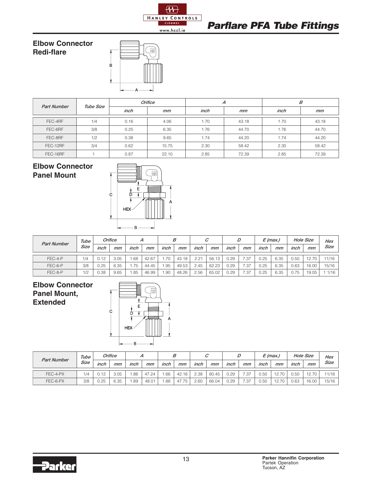

**Elbow Connector Redi-flare**



| <b>Part Number</b> | Tube Size | Orifice |       | А    |       | B    |       |  |
|--------------------|-----------|---------|-------|------|-------|------|-------|--|
|                    |           | inch    | mm    | inch | mm    | inch | mm    |  |
| FEC-4RF            | 1/4       | 0.16    | 4.06  | 1.70 | 43.18 | 1.70 | 43.18 |  |
| FEC-6RF            | 3/8       | 0.25    | 6.35  | 1.76 | 44.70 | 1.76 | 44.70 |  |
| FEC-8RF            | 1/2       | 0.38    | 9.65  | 1.74 | 44.20 | 1.74 | 44.20 |  |
| FEC-12RF           | 3/4       | 0.62    | 15.75 | 2.30 | 58.42 | 2.30 | 58.42 |  |
| FEC-16RF           |           | 0.87    | 22.10 | 2.85 | 72.39 | 2.85 | 72.39 |  |

#### **Elbow Connector Panel Mount**



| <b>Part Number</b> | Tube |      | Orifice | А    |       |        | В     |      |       |      | D    |      | E (max.) |      | <b>Hole Size</b> | Hex   |
|--------------------|------|------|---------|------|-------|--------|-------|------|-------|------|------|------|----------|------|------------------|-------|
|                    | Size | inch | mm      | inch | mm    | inch   | mm    | inch | mm    | inch | mm   | inch | mm       | inch | mm               | Size  |
|                    |      |      |         |      |       |        |       |      |       |      |      |      |          |      |                  |       |
| FEC-4-P            | 1/4  | 0.12 | 3.05    | .68  | 42.67 | .70    | 43.18 | 2.21 | 56.13 | 0.29 | 37:  | 0.25 | 6.35     | 0.50 | 12.70            | 11/16 |
| FEC-6-P            | 3/8  | 0.25 | 6.35    | .75  | 44.45 | .95    | 49.53 | 2.45 | 62.23 | 0.29 | 7.37 | 0.25 | 6.35     | 0.63 | 16.00            | 15/16 |
| FEC-8-P            | 1/2  | 0.38 | 9.65    | .85  | 46.99 | . . 90 | 48.26 | 2.56 | 65.02 | 0.29 | .37  | 0.25 | 6.35     | 0.75 | 19.05            | 1/16  |

**Elbow Connector Panel Mount, Extended**



| <b>Part Number</b> | Tube |      | Orifice |      |       |      | В     |      |       |      |      | E (max.) |       |      | <b>Hole Size</b> | Hex   |
|--------------------|------|------|---------|------|-------|------|-------|------|-------|------|------|----------|-------|------|------------------|-------|
|                    | Size | inch | mm      | inch | mm    | inch | mm    | inch | mm    | inch | mm   | inch     | mm    | inch | mm               | Size  |
| FEC-4-PX           | 1/4  | 0.12 | 3.05    | .86  | 47.24 | .66  | 42.16 | 2.38 | 60.45 | 0.29 | 7.37 | 0.50     | 12.70 | 0.50 | 12.70            | 1/16  |
| FEC-6-PX           | 3/8  | 0.25 | 6.35    | .89  | 48.01 | .88  | 47.75 | 2.60 | 66.04 | 0.29 | 7.37 | 0.50     | 1270  | 0.63 | 16.00            | 15/16 |

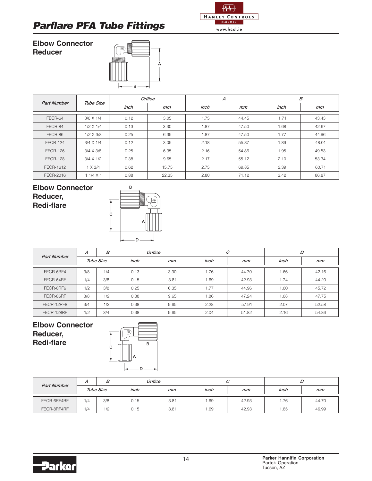

#### **Elbow Connector Reducer**



| <b>Part Number</b> | Tube Size        |      | <b>Orifice</b> |      | $\boldsymbol{A}$ | B    |       |  |
|--------------------|------------------|------|----------------|------|------------------|------|-------|--|
|                    |                  | inch | mm             | inch | mm               | inch | mm    |  |
| FECR-64            | 3/8 X 1/4        | 0.12 | 3.05           | 1.75 | 44.45            | 1.71 | 43.43 |  |
| FECR-84            | $1/2 \times 1/4$ | 0.13 | 3.30           | 1.87 | 47.50            | 1.68 | 42.67 |  |
| FECR-86            | $1/2 \times 3/8$ | 0.25 | 6.35           | 1.87 | 47.50            | 1.77 | 44.96 |  |
| <b>FECR-124</b>    | $3/4 \times 1/4$ | 0.12 | 3.05           | 2.18 | 55.37            | 1.89 | 48.01 |  |
| <b>FECR-126</b>    | $3/4 \times 3/8$ | 0.25 | 6.35           | 2.16 | 54.86            | 1.95 | 49.53 |  |
| <b>FECR-128</b>    | $3/4 \times 1/2$ | 0.38 | 9.65           | 2.17 | 55.12            | 2.10 | 53.34 |  |
| FECR-1612          | $1 \times 3/4$   | 0.62 | 15.75          | 2.75 | 69.85            | 2.39 | 60.71 |  |
| <b>FECR-2016</b>   | $11/4 \times 1$  | 0.88 | 22.35          | 2.80 | 71.12            | 3.42 | 86.87 |  |

#### **Elbow Connector Reducer, Redi-flare**



| <b>Part Number</b> | А         | $\boldsymbol{B}$ |      | Orifice |      | C     | D    |       |  |  |
|--------------------|-----------|------------------|------|---------|------|-------|------|-------|--|--|
|                    | Tube Size |                  | inch | mm      | inch | mm    | inch | mm    |  |  |
| FECR-6RF4          | 3/8       | 1/4              | 0.13 | 3.30    | 1.76 | 44.70 | 1.66 | 42.16 |  |  |
| FECR-64RF          | 1/4       | 3/8              | 0.15 | 3.81    | 1.69 | 42.93 | 1.74 | 44.20 |  |  |
| FECR-8RF6          | 1/2       | 3/8              | 0.25 | 6.35    | 1.77 | 44.96 | 1.80 | 45.72 |  |  |
| FECR-86RF          | 3/8       | 1/2              | 0.38 | 9.65    | 1.86 | 47.24 | 1.88 | 47.75 |  |  |
| FECR-12RF8         | 3/4       | 1/2              | 0.38 | 9.65    | 2.28 | 57.91 | 2.07 | 52.58 |  |  |
| FECR-128RF         | 1/2       | 3/4              | 0.38 | 9.65    | 2.04 | 51.82 | 2.16 | 54.86 |  |  |

#### **Elbow Connector Reducer, Redi-flare**



| <b>Part Number</b> | <b>A</b> | В         |      | Orifice |      |       | ◡    |       |  |
|--------------------|----------|-----------|------|---------|------|-------|------|-------|--|
|                    |          | Tube Size | inch | mm      | inch | mm    | inch | mm    |  |
| FECR-6RF4RF        | 1/4      | 3/8       | 0.15 | 3.81    | . 69 | 42.93 | .76  | 44.70 |  |
| FECR-8RF4RF        | 1/4      | 1/2       | 0.15 | 3.81    | . 69 | 42.93 | .85  | 46.99 |  |

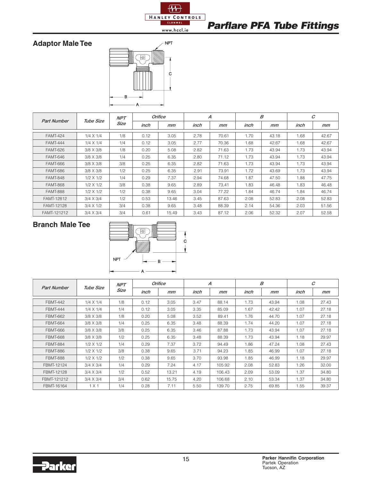

### **Adaptor Male Tee**



| <b>Part Number</b> |                  | <b>NPT</b> |      | Orifice |      | A     |      | $\boldsymbol{B}$ |      | C     |
|--------------------|------------------|------------|------|---------|------|-------|------|------------------|------|-------|
|                    | Tube Size        | Size       | inch | mm      | inch | mm    | inch | mm               | inch | mm    |
| <b>FAMT-424</b>    | $1/4 \times 1/4$ | 1/8        | 0.12 | 3.05    | 2.78 | 70.61 | 1.70 | 43.18            | 1.68 | 42.67 |
| <b>FAMT-444</b>    | $1/4 \times 1/4$ | 1/4        | 0.12 | 3.05    | 2.77 | 70.36 | 1.68 | 42.67            | 1.68 | 42.67 |
| <b>FAMT-626</b>    | 3/8 X 3/8        | 1/8        | 0.20 | 5.08    | 2.82 | 71.63 | 1.73 | 43.94            | 1.73 | 43.94 |
| <b>FAMT-646</b>    | 3/8 X 3/8        | 1/4        | 0.25 | 6.35    | 2.80 | 71.12 | 1.73 | 43.94            | 1.73 | 43.94 |
| <b>FAMT-666</b>    | 3/8 X 3/8        | 3/8        | 0.25 | 6.35    | 2.82 | 71.63 | 1.73 | 43.94            | 1.73 | 43.94 |
| <b>FAMT-686</b>    | 3/8 X 3/8        | 1/2        | 0.25 | 6.35    | 2.91 | 73.91 | 1.72 | 43.69            | 1.73 | 43.94 |
| <b>FAMT-848</b>    | $1/2 \times 1/2$ | 1/4        | 0.29 | 7.37    | 2.94 | 74.68 | 1.87 | 47.50            | 1.88 | 47.75 |
| <b>FAMT-868</b>    | $1/2 \times 1/2$ | 3/8        | 0.38 | 9.65    | 2.89 | 73.41 | 1.83 | 46.48            | 1.83 | 46.48 |
| <b>FAMT-888</b>    | $1/2 \times 1/2$ | 1/2        | 0.38 | 9.65    | 3.04 | 77.22 | 1.84 | 46.74            | 1.84 | 46.74 |
| <b>FAMT-12812</b>  | $3/4 \times 3/4$ | 1/2        | 0.53 | 13.46   | 3.45 | 87.63 | 2.08 | 52.83            | 2.08 | 52.83 |
| FAMT-12128         | $3/4 \times 1/2$ | 3/4        | 0.38 | 9.65    | 3.48 | 88.39 | 2.14 | 54.36            | 2.03 | 51.56 |
| FAMT-121212        | $3/4 \times 3/4$ | 3/4        | 0.61 | 15.49   | 3.43 | 87.12 | 2.06 | 52.32            | 2.07 | 52.58 |

### **Branch Male Tee**



| <b>Part Number</b> | Tube Size        | <b>NPT</b> |      | Orifice |      | А      |      | B     |      | C     |
|--------------------|------------------|------------|------|---------|------|--------|------|-------|------|-------|
|                    |                  | Size       | inch | mm      | inch | mm     | inch | mm    | inch | mm    |
| <b>FBMT-442</b>    | $1/4 \times 1/4$ | 1/8        | 0.12 | 3.05    | 3.47 | 88.14  | 1.73 | 43.94 | 1.08 | 27.43 |
| <b>FBMT-444</b>    | $1/4 \times 1/4$ | 1/4        | 0.12 | 3.05    | 3.35 | 85.09  | 1.67 | 42.42 | 1.07 | 27.18 |
| FBMT-662           | 3/8 X 3/8        | 1/8        | 0.20 | 5.08    | 3.52 | 89.41  | 1.76 | 44.70 | 1.07 | 27.18 |
| <b>FBMT-664</b>    | 3/8 X 3/8        | 1/4        | 0.25 | 6.35    | 3.48 | 88.39  | 1.74 | 44.20 | 1.07 | 27.18 |
| <b>FBMT-666</b>    | 3/8 X 3/8        | 3/8        | 0.25 | 6.35    | 3.46 | 87.88  | 1.73 | 43.94 | 1.07 | 27.18 |
| <b>FBMT-668</b>    | 3/8 X 3/8        | 1/2        | 0.25 | 6.35    | 3.48 | 88.39  | 1.73 | 43.94 | 1.18 | 29.97 |
| <b>FBMT-884</b>    | $1/2 \times 1/2$ | 1/4        | 0.29 | 7.37    | 3.72 | 94.49  | 1.86 | 47.24 | 1.08 | 27.43 |
| <b>FBMT-886</b>    | $1/2 \times 1/2$ | 3/8        | 0.38 | 9.65    | 3.71 | 94.23  | 1.85 | 46.99 | 1.07 | 27.18 |
| <b>FBMT-888</b>    | $1/2 \times 1/2$ | 1/2        | 0.38 | 9.65    | 3.70 | 93.98  | 1.85 | 46.99 | 1.18 | 29.97 |
| FBMT-12124         | $3/4 \times 3/4$ | 1/4        | 0.29 | 7.24    | 4.17 | 105.92 | 2.08 | 52.83 | 1.26 | 32.00 |
| FBMT-12128         | $3/4 \times 3/4$ | 1/2        | 0.52 | 13.21   | 4.19 | 106.43 | 2.09 | 53.09 | 1.37 | 34.80 |
| FBMT-121212        | $3/4 \times 3/4$ | 3/4        | 0.62 | 15.75   | 4.20 | 106.68 | 2.10 | 53.34 | 1.37 | 34.80 |
| FBMT-16164         | 1 X 1            | 1/4        | 0.28 | 7.11    | 5.50 | 139.70 | 2.75 | 69.85 | 1.55 | 39.37 |

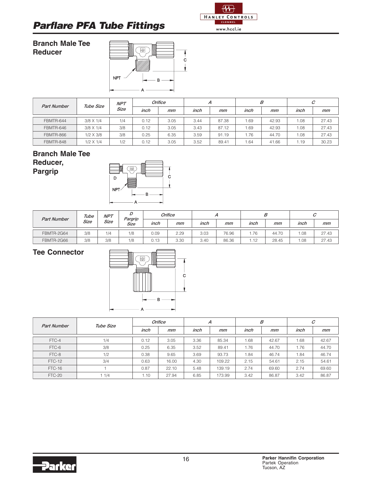

**Branch Male Tee Reducer**



| <b>Part Number</b> | Tube Size        | <b>NPT</b> |      | Orifice |      | А     |      | В     |      | С     |
|--------------------|------------------|------------|------|---------|------|-------|------|-------|------|-------|
|                    |                  | Size       | inch | mm      | inch | mm    | inch | mm    | inch | mm    |
| FBMTR-644          | 3/8 X 1/4        | 1/4        | 0.12 | 3.05    | 3.44 | 87.38 | 1.69 | 42.93 | 0.08 | 27.43 |
| FBMTR-646          | $3/8 \times 1/4$ | 3/8        | 0.12 | 3.05    | 3.43 | 87.12 | .69  | 42.93 | 0.08 | 27.43 |
| FBMTR-866          | $1/2 \times 3/8$ | 3/8        | 0.25 | 6.35    | 3.59 | 91.19 | .76  | 44.70 | 0.08 | 27.43 |
| FBMTR-848          | $1/2 \times 1/4$ | 1/2        | 0.12 | 3.05    | 3.52 | 89.41 | .64  | 41.66 | .19  | 30.23 |

# **Branch Male Tee**

**Reducer,**

**Pargrip**



| Tube<br><b>Part Number</b> | <b>NPT</b> |      |                 | Orifice |      |      |       | ◡    |       |      |       |
|----------------------------|------------|------|-----------------|---------|------|------|-------|------|-------|------|-------|
|                            | Size       | Size | Pargrip<br>Size | inch    | mm   | inch | mm    | inch | mm    | inch | mm    |
| FBMTR-2G64                 | 3/8        | 1/4  | 1/8             | 0.09    | 2.29 | 3.03 | 76.96 | . 76 | 44.70 | .08  | 27.43 |
| FBMTR-2G66                 | 3/8        | 3/8  | 1/8             | 0.13    | 3.30 | 3.40 | 86.36 | 1.12 | 28.45 | .08  | 27.43 |

### **Tee Connector**



| <b>Part Number</b> | Tube Size | <b>Orifice</b> |       |      | А      |      | $\boldsymbol{\mathcal{B}}$ | C    |       |
|--------------------|-----------|----------------|-------|------|--------|------|----------------------------|------|-------|
|                    |           | inch           | mm    | inch | mm     | inch | mm                         | inch | mm    |
| FTC-4              | 1/4       | 0.12           | 3.05  | 3.36 | 85.34  | 1.68 | 42.67                      | 1.68 | 42.67 |
| FTC-6              | 3/8       | 0.25           | 6.35  | 3.52 | 89.41  | 1.76 | 44.70                      | 1.76 | 44.70 |
| FTC-8              | 1/2       | 0.38           | 9.65  | 3.69 | 93.73  | 1.84 | 46.74                      | 1.84 | 46.74 |
| <b>FTC-12</b>      | 3/4       | 0.63           | 16.00 | 4.30 | 109.22 | 2.15 | 54.61                      | 2.15 | 54.61 |
| FTC-16             |           | 0.87           | 22.10 | 5.48 | 139.19 | 2.74 | 69.60                      | 2.74 | 69.60 |
| FTC-20             | 1/4       | 1.10           | 27.94 | 6.85 | 173.99 | 3.42 | 86.87                      | 3.42 | 86.87 |

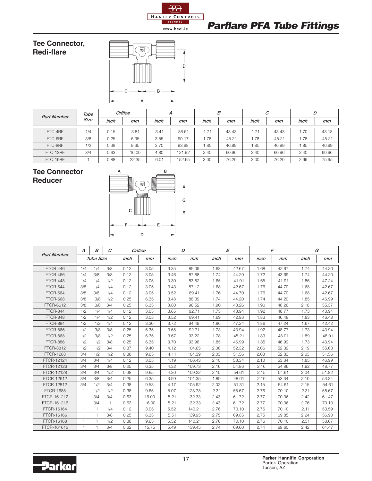

**Tee Connector, Redi-flare**



| Tube<br><b>Part Number</b> |      | Orifice |       | A    |        | В                |       | C    |       | D     |       |
|----------------------------|------|---------|-------|------|--------|------------------|-------|------|-------|-------|-------|
|                            | Size | inch    | mm    | inch | mm     | inch             | mm    | inch | mm    | inch  | mm    |
| FTC-4RF                    | 1/4  | 0.15    | 3.81  | 3.41 | 86.61  | 1.7 <sup>1</sup> | 43.43 | 1.71 | 43.43 | 1.70  | 43.18 |
| FTC-6RF                    | 3/8  | 0.25    | 6.35  | 3.55 | 90.17  | 1.78             | 45.21 | 1.78 | 45.21 | 1.78  | 45.21 |
| FTC-8RF                    | 1/2  | 0.38    | 9.65  | 3.70 | 93.98  | 1.85             | 46.99 | 1.85 | 46.99 | i .85 | 46.99 |
| FTC-12RF                   | 3/4  | 0.63    | 16.00 | 4.80 | 121.92 | 2.40             | 60.96 | 2.40 | 60.96 | 2.40  | 60.96 |
| FTC-16RF                   |      | 0.88    | 22.35 | 6.01 | 152.65 | 3.00             | 76.20 | 3.00 | 76.20 | 2.99  | 75.95 |

#### **Tee Connector Reducer**



|                    | $\boldsymbol{A}$ | B              | $\mathcal C$ |      | Orifice |      | D      |      | E     |      | $\sqrt{2}$ |      | G     |
|--------------------|------------------|----------------|--------------|------|---------|------|--------|------|-------|------|------------|------|-------|
| <b>Part Number</b> |                  | Tube Size      |              | inch | mm      | inch | mm     | inch | mm    | inch | mm         | inch | mm    |
| <b>FTCR-446</b>    | 1/4              | 1/4            | 3/8          | 0.12 | 3.05    | 3.35 | 85.09  | 1.68 | 42.67 | 1.68 | 42.67      | 1.74 | 44.20 |
| <b>FTCR-466</b>    | 1/4              | 3/8            | 3/8          | 0.12 | 3.05    | 3.46 | 87.88  | 1.74 | 44.20 | 1.72 | 43.69      | 1.74 | 44.20 |
| <b>FTCR-448</b>    | 1/4              | 1/4            | 1/2          | 0.12 | 3.05    | 3.30 | 83.82  | 1.65 | 41.91 | 1.65 | 41.91      | 1.86 | 47.24 |
| FTCR-644           | 3/8              | 1/4            | 1/4          | 0.12 | 3.05    | 3.43 | 87.12  | 1.68 | 42.67 | 1.76 | 44.70      | 1.68 | 42.67 |
| FTCR-664           | 3/8              | 3/8            | 1/4          | 0.12 | 3.05    | 3.52 | 89.41  | 1.76 | 44.70 | 1.76 | 44.70      | 1.68 | 42.67 |
| FTCR-668           | 3/8              | 3/8            | 1/2          | 0.25 | 6.35    | 3.48 | 88.39  | 1.74 | 44.20 | 1.74 | 44.20      | 1.85 | 46.99 |
| <b>FTCR-6612</b>   | 3/8              | 3/8            | 3/4          | 0.25 | 6.35    | 3.80 | 96.52  | 1.90 | 48.26 | 1.90 | 48.26      | 2.18 | 55.37 |
| <b>FTCR-844</b>    | 1/2              | 1/4            | 1/4          | 0.12 | 3.05    | 3.65 | 92.71  | 1.73 | 43.94 | 1.92 | 48.77      | 1.73 | 43.94 |
| FTCR-848           | 1/2              | 1/4            | 1/2          | 0.12 | 3.05    | 3.52 | 89.41  | 1.69 | 42.93 | 1.83 | 46.48      | 1.83 | 46.48 |
| FTCR-884           | 1/2              | 1/2            | 1/4          | 0.12 | 3.30    | 3.72 | 94.49  | 1.86 | 47.24 | 1.86 | 47.24      | 1.67 | 42.42 |
| <b>FTCR-866</b>    | 1/2              | 3/8            | 3/8          | 0.25 | 6.35    | 3.65 | 92.71  | 1.73 | 43.94 | 1.92 | 48.77      | 1.73 | 43.94 |
| <b>FTCR-868</b>    | 1/2              | 3/8            | 1/2          | 0.25 | 6.35    | 3.67 | 93.22  | 1.78 | 45.21 | 1.89 | 48.01      | 1.89 | 48.01 |
| FTCR-886           | 1/2              | 1/2            | 3/8          | 0.25 | 6.35    | 3.70 | 93.98  | 1.85 | 46.99 | 1.85 | 46.99      | 1.73 | 43.94 |
| <b>FTCR-8812</b>   | 1/2              | 1/2            | 3/4          | 0.37 | 9.40    | 4.12 | 104.65 | 2.06 | 52.32 | 2.06 | 52.32      | 2.19 | 55.63 |
| <b>FTCR-1288</b>   | 3/4              | 1/2            | 1/2          | 0.38 | 9.65    | 4.11 | 104.39 | 2.03 | 51.56 | 2.08 | 52.83      | 2.03 | 51.56 |
| <b>FTCR-12124</b>  | 3/4              | 3/4            | 1/4          | 0.12 | 3.05    | 4.19 | 106.43 | 2.10 | 53.34 | 2.10 | 53.34      | 1.85 | 46.99 |
| FTCR-12126         | 3/4              | 3/4            | 3/8          | 0.25 | 6.35    | 4.32 | 109.73 | 2.16 | 54.86 | 2.16 | 54.86      | 1.92 | 48.77 |
| FTCR-12128         | 3/4              | 3/4            | 1/2          | 0.38 | 9.65    | 4.30 | 109.22 | 2.15 | 54.61 | 2.15 | 54.61      | 2.04 | 51.82 |
| FTCR-12612         | 3/4              | 3/8            | 3/4          | 0.25 | 6.35    | 3.99 | 101.35 | 1.89 | 48.01 | 2.10 | 53.34      | 2.10 | 53.34 |
| FTCR-12812         | 3/4              | 1/2            | 3/4          | 0.38 | 9.53    | 4.17 | 105.92 | 2.02 | 51.31 | 2.15 | 54.61      | 2.15 | 54.61 |
| <b>FTCR-1688</b>   | $\mathbf{1}$     | 1/2            | 1/2          | 0.38 | 9.65    | 5.07 | 128.78 | 2.31 | 58.67 | 2.76 | 70.10      | 2.31 | 58.67 |
| FTCR-161212        | $\overline{1}$   | 3/4            | 3/4          | 0.63 | 16.00   | 5.21 | 132.33 | 2.43 | 61.72 | 2.77 | 70.36      | 2.42 | 61.47 |
| FTCR-161216        | $\mathbf{1}$     | 3/4            |              | 0.63 | 16.00   | 5.21 | 132.33 | 2.43 | 61.72 | 2.77 | 70.36      | 2.76 | 70.10 |
| FTCR-16164         | $\mathbf{1}$     | $\overline{1}$ | 1/4          | 0.12 | 3.05    | 5.52 | 140.21 | 2.76 | 70.10 | 2.76 | 70.10      | 2.11 | 53.59 |
| FTCR-16166         | $\mathbf{1}$     | $\mathbf{1}$   | 3/8          | 0.25 | 6.35    | 5.51 | 139.95 | 2.75 | 69.85 | 2.75 | 69.85      | 2.24 | 56.90 |
| FTCR-16168         | $\mathbf{1}$     |                | 1/2          | 0.38 | 9.65    | 5.52 | 140.21 | 2.76 | 70.10 | 2.76 | 70.10      | 2.31 | 58.67 |
| FTCR-161612        | $\mathbf{1}$     |                | 3/4          | 0.62 | 15.75   | 5.49 | 139.45 | 2.74 | 69.60 | 2.74 | 69.60      | 2.42 | 61.47 |

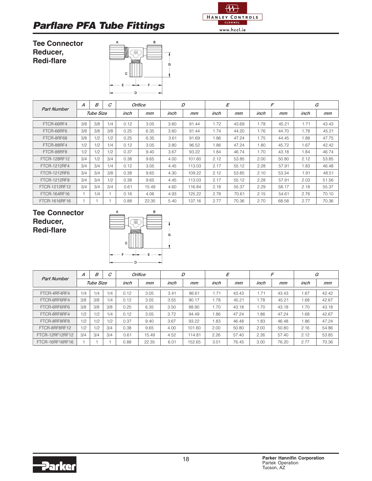

#### **Tee Connector Reducer, Redi-flare**



|                     | А   | В         | C   |      | <b>Orifice</b> |      | D      |      | E     |      | F     |      | G     |
|---------------------|-----|-----------|-----|------|----------------|------|--------|------|-------|------|-------|------|-------|
| <b>Part Number</b>  |     | Tube Size |     | inch | mm             | inch | mm     | inch | mm    | inch | mm    | inch | mm    |
|                     |     |           |     |      |                |      |        |      |       |      |       |      |       |
| FTCR-66RF4          | 3/8 | 3/8       | 1/4 | 0.12 | 3.05           | 3.60 | 91.44  | 1.72 | 43.69 | 1.78 | 45.21 | 1.71 | 43.43 |
| FTCR-66RF6          | 3/8 | 3/8       | 3/8 | 0.25 | 6.35           | 3.60 | 91.44  | 1.74 | 44.20 | 1.76 | 44.70 | 1.78 | 45.21 |
| FTCR-8RF68          | 3/8 | 1/2       | 1/2 | 0.25 | 6.35           | 3.61 | 91.69  | 1.86 | 47.24 | 1.75 | 44.45 | 1.88 | 47.75 |
| FTCR-88RF4          | 1/2 | 1/2       | 1/4 | 0.12 | 3.05           | 3.80 | 96.52  | 1.86 | 47.24 | 1.80 | 45.72 | 1.67 | 42.42 |
| FTCR-88RF8          | 1/2 | 1/2       | 1/2 | 0.37 | 9.40           | 3.67 | 93.22  | 1.84 | 46.74 | 1.70 | 43.18 | 1.84 | 46.74 |
| FTCR-128RF12        | 3/4 | 1/2       | 3/4 | 0.38 | 9.65           | 4.00 | 101.60 | 2.12 | 53.85 | 2.00 | 50.80 | 2.12 | 53.85 |
| <b>FTCR-1212RF4</b> | 3/4 | 3/4       | 1/4 | 0.12 | 3.05           | 4.45 | 113.03 | 2.17 | 55.12 | 2.28 | 57.91 | 1.83 | 46.48 |
| FTCR-1212RF6        | 3/4 | 3/4       | 3/8 | 0.38 | 9.65           | 4.30 | 109.22 | 2.12 | 53.85 | 2.10 | 53.34 | 1.91 | 48.51 |
| FTCR-1212RF8        | 3/4 | 3/4       | 1/2 | 0.38 | 9.65           | 4.45 | 113.03 | 2.17 | 55.12 | 2.28 | 57.91 | 2.03 | 51.56 |
| FTCR-1212RF12       | 3/4 | 3/4       | 3/4 | 0.61 | 15.49          | 4.60 | 116.84 | 2.18 | 55.37 | 2.29 | 58.17 | 2.18 | 55.37 |
| FTCR-164RF16        |     | 1/4       |     | 0.16 | 4.06           | 4.93 | 125.22 | 2.78 | 70.61 | 2.15 | 54.61 | 2.76 | 70.10 |
| FTCR-1616RF16       |     |           |     | 0.88 | 22.35          | 5.40 | 137.16 | 2.77 | 70.36 | 2.70 | 68.58 | 2.77 | 70.36 |

### **Tee Connector Reducer, Redi-flare**



| <b>Part Number</b> | $\boldsymbol{A}$ | В         | ⌒   |      | Orifice |      | D      |      | E     |      | F     |      | G     |
|--------------------|------------------|-----------|-----|------|---------|------|--------|------|-------|------|-------|------|-------|
|                    |                  | Tube Size |     | inch | mm      | inch | mm     | inch | mm    | inch | mm    | inch | mm    |
| FTCR-4RF4RF4       | 1/4              | 1/4       | 1/4 | 0.12 | 3.05    | 3.41 | 86.61  | 1.71 | 43.43 | .71  | 43.43 | 1.67 | 42.42 |
| FTCR-6RF6RF4       | 3/8              | 3/8       | 1/4 | 0.12 | 3.05    | 3.55 | 90.17  | 1.78 | 45.21 | 1.78 | 45.21 | 1.68 | 42.67 |
| FTCR-6RF6RF6       | 3/8              | 3/8       | 3/8 | 0.25 | 6.35    | 3.50 | 88.90  | 1.70 | 43.18 | 1.70 | 43.18 | 1.70 | 43.18 |
| FTCR-8RF8RF4       | 1/2              | 1/2       | 1/4 | 0.12 | 3.05    | 3.72 | 94.49  | 1.86 | 47.24 | 1.86 | 47.24 | 1.68 | 42.67 |
| FTCR-8RF8RF8       | 1/2              | 1/2       | 1/2 | 0.37 | 9.40    | 3.67 | 93.22  | 1.83 | 46.48 | 1.83 | 46.48 | 1.86 | 47.24 |
| FTCR-8RF8RF12      | 1/2              | 1/2       | 3/4 | 0.38 | 9.65    | 4.00 | 101.60 | 2.00 | 50.80 | 2.00 | 50.80 | 2.16 | 54.86 |
| FTCR-12RF12RF12    | 3/4              | 3/4       | 3/4 | 0.61 | 15.49   | 4.52 | 114.81 | 2.26 | 57.40 | 2.26 | 57.40 | 2.12 | 53.85 |
| FTCR-16RF16RF16    |                  |           |     | 0.88 | 22.35   | 6.01 | 152.65 | 3.01 | 76.45 | 3.00 | 76.20 | 2.77 | 70.36 |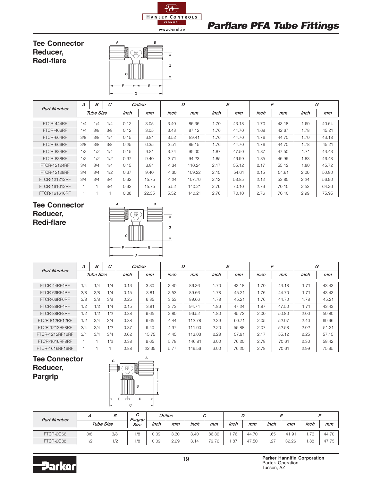

#### **Tee Connector Reducer, Redi-flare**



| <b>Part Number</b>  | $\boldsymbol{A}$ | B         | C   |      | <b>Orifice</b> |      | D      |      | E     |      | $\sqrt{2}$ |      | G     |
|---------------------|------------------|-----------|-----|------|----------------|------|--------|------|-------|------|------------|------|-------|
|                     |                  | Tube Size |     | inch | mm             | inch | mm     | inch | mm    | inch | mm         | inch | mm    |
| FTCR-444RF          | 1/4              | 1/4       | 1/4 | 0.12 | 3.05           | 3.40 | 86.36  | 1.70 | 43.18 | 1.70 | 43.18      | 1.60 | 40.64 |
| FTCR-466RF          | 1/4              | 3/8       | 3/8 | 0.12 | 3.05           | 3.43 | 87.12  | 1.76 | 44.70 | 1.68 | 42.67      | 1.78 | 45.21 |
| FTCR-664RF          | 3/8              | 3/8       | 1/4 | 0.15 | 3.81           | 3.52 | 89.41  | 1.76 | 44.70 | 1.76 | 44.70      | 1.70 | 43.18 |
| FTCR-666RF          | 3/8              | 3/8       | 3/8 | 0.25 | 6.35           | 3.51 | 89.15  | 1.76 | 44.70 | 1.76 | 44.70      | 1.78 | 45.21 |
| FTCR-884RF          | 1/2              | 1/2       | 1/4 | 0.15 | 3.81           | 3.74 | 95.00  | 1.87 | 47.50 | 1.87 | 47.50      | 1.71 | 43.43 |
| FTCR-888RF          | 1/2              | 1/2       | 1/2 | 0.37 | 9.40           | 3.71 | 94.23  | 1.85 | 46.99 | 1.85 | 46.99      | 1.83 | 46.48 |
| <b>FTCR-12124RF</b> | 3/4              | 3/4       | 1/4 | 0.15 | 3.81           | 4.34 | 110.24 | 2.17 | 55.12 | 2.17 | 55.12      | 1.80 | 45.72 |
| <b>FTCR-12128RF</b> | 3/4              | 3/4       | 1/2 | 0.37 | 9.40           | 4.30 | 109.22 | 2.15 | 54.61 | 2.15 | 54.61      | 2.00 | 50.80 |
| FTCR-121212RF       | 3/4              | 3/4       | 3/4 | 0.62 | 15.75          | 4.24 | 107.70 | 2.12 | 53.85 | 2.12 | 53.85      | 2.24 | 56.90 |
| FTCR-161612RF       |                  |           | 3/4 | 0.62 | 15.75          | 5.52 | 140.21 | 2.76 | 70.10 | 2.76 | 70.10      | 2.53 | 64.26 |
| FTCR-161616RF       |                  |           |     | 0.88 | 22.35          | 5.52 | 140.21 | 2.76 | 70.10 | 2.76 | 70.10      | 2.99 | 75.95 |

#### **Tee Connector Reducer, Redi-flare**



| <b>Part Number</b> | $\overline{A}$ | В         | C   |      | Orifice |      | D      |      | E     |      | F     |      | G     |
|--------------------|----------------|-----------|-----|------|---------|------|--------|------|-------|------|-------|------|-------|
|                    |                | Tube Size |     | inch | mm      | inch | mm     | inch | mm    | inch | mm    | inch | mm    |
| FTCR-44RF4RF       | 1/4            | 1/4       | 1/4 | 0.13 | 3.30    | 3.40 | 86.36  | 1.70 | 43.18 | 1.70 | 43.18 | 1.71 | 43.43 |
| FTCR-66RF4RF       | 3/8            | 3/8       | 1/4 | 0.15 | 3.81    | 3.53 | 89.66  | 1.78 | 45.21 | 1.76 | 44.70 | 1.71 | 43.43 |
| FTCR-66RF6RF       | 3/8            | 3/8       | 3/8 | 0.25 | 6.35    | 3.53 | 89.66  | 1.78 | 45.21 | 1.76 | 44.70 | 1.78 | 45.21 |
| FTCR-88RF4RF       | 1/2            | 1/2       | 1/4 | 0.15 | 3.81    | 3.73 | 94.74  | 1.86 | 47.24 | 1.87 | 47.50 | 1.71 | 43.43 |
| FTCR-88RF8RF       | 1/2            | 1/2       | 1/2 | 0.38 | 9.65    | 3.80 | 96.52  | 1.80 | 45.72 | 2.00 | 50.80 | 2.00 | 50.80 |
| FTCR-812RF12RF     | 1/2            | 3/4       | 3/4 | 0.38 | 9.65    | 4.44 | 112.78 | 2.39 | 60.71 | 2.05 | 52.07 | 2.40 | 60.96 |
| FTCR-1212RF8RF     | 3/4            | 3/4       | 1/2 | 0.37 | 9.40    | 4.37 | 111.00 | 2.20 | 55.88 | 2.07 | 52.58 | 2.02 | 51.31 |
| FTCR-1212RF12RF    | 3/4            | 3/4       | 3/4 | 0.62 | 15.75   | 4.45 | 113.03 | 2.28 | 57.91 | 2.17 | 55.12 | 2.25 | 57.15 |
| FTCR-1616RF8RF     |                |           | 1/2 | 0.38 | 9.65    | 5.78 | 146.81 | 3.00 | 76.20 | 2.78 | 70.61 | 2.30 | 58.42 |
| FTCR-1616RF16RF    |                |           |     | 0.88 | 22.35   | 5.77 | 146.56 | 3.00 | 76.20 | 2.78 | 70.61 | 2.99 | 75.95 |

### **Tee Connector Reducer, Pargrip**



| <b>Part Number</b> | A   | В         | G               |      | Orifice |      | C     |      | D     |      |          |      |       |
|--------------------|-----|-----------|-----------------|------|---------|------|-------|------|-------|------|----------|------|-------|
|                    |     | Tube Size | Pargrip<br>Size | inch | mm      | inch | mm    | inch | mm    | inch | mm       | inch | mm    |
| FTCR-2G66          | 3/8 | 3/8       | 1/8             | 0.09 | 3.30    | 3.40 | 86.36 | .76  | 44.70 | .65  | $41.9^+$ | .76  | 44.70 |
| FTCR-2G88          | 1/2 | 1/2       | 1/8             | 0.09 | 2.29    | 3.14 | 79.76 | .87  | 47.50 | .27  | 32.26    | .88  | 47.75 |

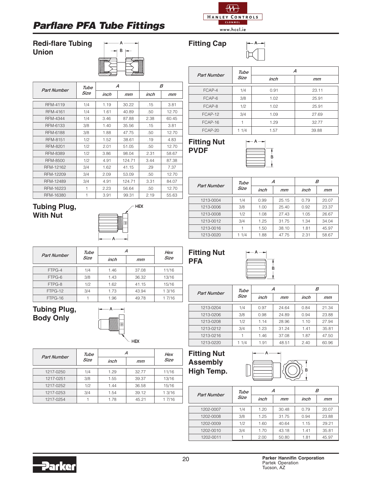

www.hccl.ie

### **Redi-flare Tubing Union**



A

|                    | Tube |      | A      |      | В     |
|--------------------|------|------|--------|------|-------|
| <b>Part Number</b> | Size | inch | mm     | inch | mm    |
| <b>RFM-4119</b>    | 1/4  | 1.19 | 30.22  | .15  | 3.81  |
| RFM-4161           | 1/4  | 1.61 | 40.89  | .50  | 12.70 |
| <b>RFM-4344</b>    | 1/4  | 3.46 | 87.88  | 2.38 | 60.45 |
| RFM-6133           | 3/8  | 1.40 | 35.56  | .15  | 3.81  |
| RFM-6188           | 3/8  | 1.88 | 47.75  | .50  | 12.70 |
| RFM-8151           | 1/2  | 1.52 | 38.61  | .19  | 4.83  |
| <b>RFM-8201</b>    | 1/2  | 2.01 | 51.05  | .50  | 12.70 |
| <b>RFM-8389</b>    | 1/2  | 3.86 | 98.04  | 2.31 | 58.67 |
| <b>RFM-8500</b>    | 1/2  | 4.91 | 124.71 | 3.44 | 87.38 |
| RFM-12162          | 3/4  | 1.62 | 41.15  | .29  | 7.37  |
| RFM-12209          | 3/4  | 2.09 | 53.09  | .50  | 12.70 |
| RFM-12489          | 3/4  | 4.91 | 124.71 | 3.31 | 84.07 |
| RFM-16223          | 1    | 2.23 | 56.64  | .50  | 12.70 |
| RFM-16380          | 1    | 3.91 | 99.31  | 2.19 | 55.63 |

|                    | Tube | А    |       |  |  |  |  |
|--------------------|------|------|-------|--|--|--|--|
| <b>Part Number</b> | Size | inch | mm    |  |  |  |  |
| FCAP-4             | 1/4  | 0.91 | 23.11 |  |  |  |  |
| FCAP-6             | 3/8  | 1.02 | 25.91 |  |  |  |  |
| FCAP-8             | 1/2  | 1.02 | 25.91 |  |  |  |  |
| FCAP-12            | 3/4  | 1.09 | 27.69 |  |  |  |  |
| FCAP-16            |      | 1.29 | 32.77 |  |  |  |  |
| FCAP-20            | 11/4 | 1.57 | 39.88 |  |  |  |  |

A

**Fitting Nut PVDF**

**Fitting Cap**



| <b>Part Number</b> | Tube | А    |       | В    |       |  |
|--------------------|------|------|-------|------|-------|--|
|                    | Size | inch | mm    | inch | mm    |  |
| 1213-0004          | 1/4  | 0.99 | 25.15 | 0.79 | 20.07 |  |
| 1213-0006          | 3/8  | 1.00 | 25.40 | 0.92 | 23.37 |  |
| 1213-0008          | 1/2  | 1.08 | 27.43 | 1.05 | 26.67 |  |
| 1213-0012          | 3/4  | 1.25 | 31.75 | 1.34 | 34.04 |  |
| 1213-0016          |      | 1.50 | 38.10 | 1.81 | 45.97 |  |
| 1213-0020          | 11/4 | 1.88 | 47.75 | 2.31 | 58.67 |  |

**Tubing Plug, With Nut**



| <b>Part Number</b> | Tube        |      |       | Hex         |
|--------------------|-------------|------|-------|-------------|
|                    | <b>Size</b> | inch | mm    | <b>Size</b> |
| FTPG-4             | 1/4         | 1.46 | 37.08 | 11/16       |
| FTPG-6             | 3/8         | 1.43 | 36.32 | 13/16       |
| FTPG-8             | 1/2         | 1.62 | 41.15 | 15/16       |
| FTPG-12            | 3/4         | 1.73 | 43.94 | 1 3/16      |
| FTPG-16            |             | 1.96 | 49.78 | 1 7/16      |

**Tubing Plug, Body Only**



| <b>Part Number</b> | Tube |      | Α     | Hex    |
|--------------------|------|------|-------|--------|
|                    | Size | inch | mm    | Size   |
| 1217-0250          | 1/4  | 1.29 | 32.77 | 11/16  |
| 1217-0251          | 3/8  | 1.55 | 39.37 | 13/16  |
| 1217-0252          | 1/2  | 1.44 | 36.58 | 15/16  |
| 1217-0253          | 3/4  | 1.54 | 39.12 | 1 3/16 |
| 1217-0254          |      | 1.78 | 45.21 | 1 7/16 |





| <b>Part Number</b> | Tube |      | А     | B    |       |  |  |
|--------------------|------|------|-------|------|-------|--|--|
|                    | Size | inch | mm    | inch | mm    |  |  |
| 1213-0204          | 1/4  | 0.97 | 24.64 | 0.84 | 21.34 |  |  |
| 1213-0206          | 3/8  | 0.98 | 24.89 | 0.94 | 23.88 |  |  |
| 1213-0208          | 1/2  | 1.14 | 28.96 | 1.10 | 27.94 |  |  |
| 1213-0212          | 3/4  | 1.23 | 31.24 | 1.41 | 35.81 |  |  |
| 1213-0216          |      | 1.46 | 37.08 | 1.87 | 47.50 |  |  |
| 1213-0220          | 1/4  | 1.91 | 48.51 | 2.40 | 60.96 |  |  |

**Fitting Nut Assembly High Temp.**



| <b>Part Number</b> | Tube        |      | А     | B    |       |  |  |
|--------------------|-------------|------|-------|------|-------|--|--|
|                    | <b>Size</b> | inch | mm    | inch | mm    |  |  |
| 1202-0007          | 1/4         | 1.20 | 30.48 | 0.79 | 20.07 |  |  |
| 1202-0008          | 3/8         | 1.25 | 31.75 | 0.94 | 23.88 |  |  |
| 1202-0009          | 1/2         | 1.60 | 40.64 | 1.15 | 29.21 |  |  |
| 1202-0010          | 3/4         | 1.70 | 43.18 | 1.41 | 35.81 |  |  |
| 1202-0011          |             | 2.00 | 50.80 | 1.81 | 45.97 |  |  |

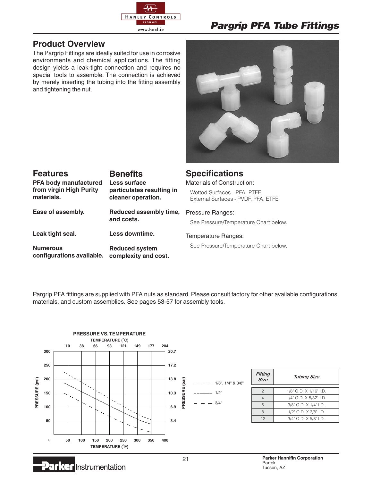

### **Product Overview**

The Pargrip Fittings are ideally suited for use in corrosive environments and chemical applications. The fitting design yields a leak-tight connection and requires no special tools to assemble. The connection is achieved by merely inserting the tubing into the fitting assembly and tightening the nut.



| <b>Features</b><br>PFA body manufactured<br>from virgin High Purity | <b>Benefits</b><br>Less surface<br>particulates resulting in | <b>Specifications</b><br>Materials of Construction:<br>Wetted Surfaces - PFA, PTFE |
|---------------------------------------------------------------------|--------------------------------------------------------------|------------------------------------------------------------------------------------|
| materials.                                                          | cleaner operation.                                           | External Surfaces - PVDF, PFA, ETFE                                                |
| Ease of assembly.                                                   | Reduced assembly time,                                       | Pressure Ranges:                                                                   |
|                                                                     | and costs.                                                   | See Pressure/Temperature Chart below.                                              |
| Leak tight seal.                                                    | Less downtime.                                               | Temperature Ranges:                                                                |
| <b>Numerous</b><br>configurations available.                        | <b>Reduced system</b><br>complexity and cost.                | See Pressure/Temperature Chart below.                                              |

Pargrip PFA fittings are supplied with PFA nuts as standard. Please consult factory for other available configurations, materials, and custom assemblies. See pages 53-57 for assembly tools.



**Parker** Instrumentation

| Fitting<br><b>Size</b> | Tubing Size            |
|------------------------|------------------------|
| $\mathfrak{D}$         | 1/8" O.D. X 1/16" I.D. |
|                        | 1/4" O.D. X 5/32" I.D. |
| Բ                      | 3/8" O.D. X 1/4" I.D.  |
| R                      | 1/2" O.D. X 3/8" I.D.  |
| 12                     | 3/4" O.D. X 5/8" I.D.  |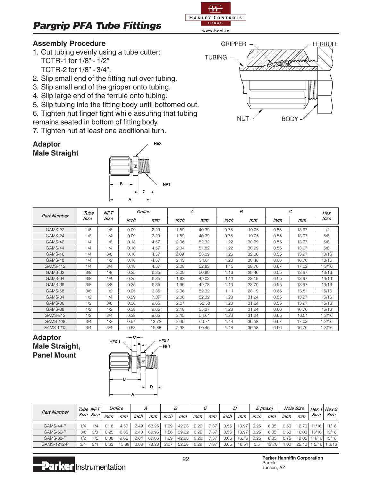#### **Assembly Procedure**

- 1. Cut tubing evenly using a tube cutter: TCTR-1 for 1/8" - 1/2" TCTR-2 for 1/8" - 3/4".
- 2. Slip small end of the fitting nut over tubing.
- 3. Slip small end of the gripper onto tubing.
- 4. Slip large end of the ferrule onto tubing.
- 5. Slip tubing into the fitting body until bottomed out.
- 6. Tighten nut finger tight while assuring that tubing
- remains seated in bottom of fitting body.
- 7. Tighten nut at least one additional turn.

#### **Adaptor Male Straight**





 $\overline{\mathbf{W}}$ HANLEY CONTROLS **CLONMEL** 

|                    | Tube | <b>NPT</b> |      | Orifice |      | A     |      | $\boldsymbol{B}$ |      | C     | Hex    |
|--------------------|------|------------|------|---------|------|-------|------|------------------|------|-------|--------|
| <b>Part Number</b> | Size | Size       | inch | mm      | inch | mm    | inch | mm               | inch | mm    | Size   |
| GAMS-22            | 1/8  | 1/8        | 0.09 | 2.29    | 1.59 | 40.39 | 0.75 | 19.05            | 0.55 | 13.97 | 1/2    |
| GAMS-24            | 1/8  | 1/4        | 0.09 | 2.29    | 1.59 | 40.39 | 0.75 | 19.05            | 0.55 | 13.97 | 5/8    |
| GAMS-42            | 1/4  | 1/8        | 0.18 | 4.57    | 2.06 | 52.32 | 1.22 | 30.99            | 0.55 | 13.97 | 5/8    |
| GAMS-44            | 1/4  | 1/4        | 0.18 | 4.57    | 2.04 | 51.82 | 1.22 | 30.99            | 0.55 | 13.97 | 5/8    |
| GAMS-46            | 1/4  | 3/8        | 0.18 | 4.57    | 2.09 | 53.09 | 1.26 | 32.00            | 0.55 | 13.97 | 13/16  |
| GAMS-48            | 1/4  | 1/2        | 0.18 | 4.57    | 2.15 | 54.61 | 1.20 | 30.48            | 0.66 | 16.76 | 13/16  |
| <b>GAMS-412</b>    | 1/4  | 3/4        | 0.18 | 4.57    | 2.08 | 52.83 | 1.13 | 28.70            | 0.67 | 17.02 | 1 3/16 |
| GAMS-62            | 3/8  | 1/8        | 0.25 | 6.35    | 2.00 | 50.80 | 1.16 | 29.46            | 0.55 | 13.97 | 13/16  |
| GAMS-64            | 3/8  | 1/4        | 0.25 | 6.35    | 1.93 | 49.02 | 1.11 | 28.19            | 0.55 | 13.97 | 13/16  |
| GAMS-66            | 3/8  | 3/8        | 0.25 | 6.35    | 1.96 | 49.78 | 1.13 | 28.70            | 0.55 | 13.97 | 13/16  |
| GAMS-68            | 3/8  | 1/2        | 0.25 | 6.35    | 2.06 | 52.32 | 1.11 | 28.19            | 0.65 | 16.51 | 15/16  |
| GAMS-84            | 1/2  | 1/4        | 0.29 | 7.37    | 2.06 | 52.32 | 1.23 | 31.24            | 0.55 | 13.97 | 15/16  |
| GAMS-86            | 1/2  | 3/8        | 0.38 | 9.65    | 2.07 | 52.58 | 1.23 | 31.24            | 0.55 | 13.97 | 15/16  |
| GAMS-88            | 1/2  | 1/2        | 0.38 | 9.65    | 2.18 | 55.37 | 1.23 | 31.24            | 0.66 | 16.76 | 15/16  |
| <b>GAMS-812</b>    | 1/2  | 3/4        | 0.38 | 9.65    | 2.15 | 54.61 | 1.23 | 31.24            | 0.65 | 16.51 | 1 3/16 |
| <b>GAMS-128</b>    | 3/4  | 1/2        | 0.54 | 13.72   | 2.39 | 60.71 | 1.44 | 36.58            | 0.67 | 17.02 | 1 3/16 |
| GAMS-1212          | 3/4  | 3/4        | 0.63 | 15.88   | 2.38 | 60.45 | 1.44 | 36.58            | 0.66 | 16.76 | 1 3/16 |

#### **Adaptor Male Straight, Panel Mount**



| <b>Part Number</b> |             | Tube NPT |      | Orifice | А    |          |      | В     |      | С    |      | D     | E (max.) |      |      | <b>Hole Size</b> |       | Hex $1$ Hex $2$ |
|--------------------|-------------|----------|------|---------|------|----------|------|-------|------|------|------|-------|----------|------|------|------------------|-------|-----------------|
|                    | <i>Size</i> | Size'    | inch | mm      | inch | mm       | inch | mm    | inch | mm   | inch | mm    | inch     | mm   | inch | mm               | Size  | Size            |
| GAMS-44-P          | 1/4         | 1/4      | 0.18 | 4.57    | 2.49 | 63.25    | .69  | 42.93 | 0.29 | .37  | 0.55 | 13.97 | 0.25     | 6.35 | 0.50 | 12.70            | 1/16  | 11/16           |
| GAMS-66-P          | 3/8         | 3/8      | 0.25 | 6.35    | 2.40 | 60.96    | .56  | 39.62 | 0.29 | 37:  | 0.55 | 13.97 | 0.25     | 6.35 | 0.63 | 16.00            | 15/16 | 13/16           |
| GAMS-88-P          | 1/2         | 1/2      | 0.38 | 9.65    | 2.64 | 67<br>06 | .69  | 42.93 | 0.29 | 7.37 | 0.66 | 16.76 | 0.25     | 6.35 | 0.75 | 19.05            | 1/16  | 15/16           |
| GAMS-1212-P        | 3/4         | 3/4      | 0.63 | 15.88   | 3.08 | 78.23    |      | 52.58 | 0.29 | 37:  | 0.65 | 16.51 | 0.5      |      | .00  | 25.40            | 5/16  | 3/16            |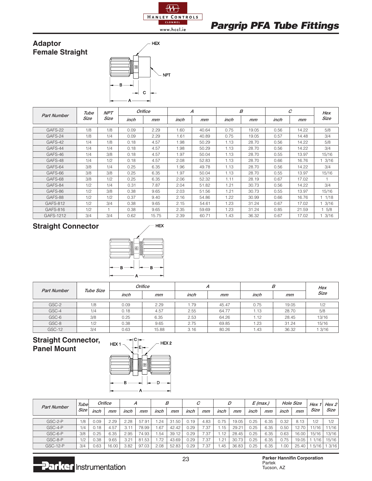





|                    | Tube | <b>NPT</b> |      | <b>Orifice</b> |      | A     |      | B     | С    | Hex   |       |
|--------------------|------|------------|------|----------------|------|-------|------|-------|------|-------|-------|
| <b>Part Number</b> | Size | Size       | inch | mm             | inch | mm    | inch | mm    | inch | mm    | Size  |
|                    |      |            |      |                |      |       |      |       |      |       |       |
| GAFS-22            | 1/8  | 1/8        | 0.09 | 2.29           | 1.60 | 40.64 | 0.75 | 19.05 | 0.56 | 14.22 | 5/8   |
| GAFS-24            | 1/8  | 1/4        | 0.09 | 2.29           | 1.61 | 40.89 | 0.75 | 19.05 | 0.57 | 14.48 | 3/4   |
| GAFS-42            | 1/4  | 1/8        | 0.18 | 4.57           | 1.98 | 50.29 | 1.13 | 28.70 | 0.56 | 14.22 | 5/8   |
| GAFS-44            | 1/4  | 1/4        | 0.18 | 4.57           | 1.98 | 50.29 | 1.13 | 28.70 | 0.56 | 14.22 | 3/4   |
| GAFS-46            | 1/4  | 3/8        | 0.18 | 4.57           | 1.97 | 50.04 | 1.13 | 28.70 | 0.55 | 13.97 | 15/16 |
| GAFS-48            | 1/4  | 1/2        | 0.18 | 4.57           | 2.08 | 52.83 | 1.13 | 28.70 | 0.66 | 16.76 | 3/16  |
| GAFS-64            | 3/8  | 1/4        | 0.25 | 6.35           | 1.96 | 49.78 | 1.13 | 28.70 | 0.56 | 14.22 | 3/4   |
| GAFS-66            | 3/8  | 3/8        | 0.25 | 6.35           | 1.97 | 50.04 | 1.13 | 28.70 | 0.55 | 13.97 | 15/16 |
| GAFS-68            | 3/8  | 1/2        | 0.25 | 6.35           | 2.06 | 52.32 | 1.11 | 28.19 | 0.67 | 17.02 |       |
| GAFS-84            | 1/2  | 1/4        | 0.31 | 7.87           | 2.04 | 51.82 | 1.21 | 30.73 | 0.56 | 14.22 | 3/4   |
| GAFS-86            | 1/2  | 3/8        | 0.38 | 9.65           | 2.03 | 51.56 | 1.21 | 30.73 | 0.55 | 13.97 | 15/16 |
| GAFS-88            | 1/2  | 1/2        | 0.37 | 9.40           | 2.16 | 54.86 | 1.22 | 30.99 | 0.66 | 16.76 | 1/18  |
| GAFS-812           | 1/2  | 3/4        | 0.38 | 9.65           | 2.15 | 54.61 | 1.23 | 31.24 | 0.67 | 17.02 | 3/16  |
| GAFS-816           | 1/2  |            | 0.38 | 9.65           | 2.35 | 59.69 | 1.23 | 31.24 | 0.85 | 21.59 | 5/8   |
| GAFS-1212          | 3/4  | 3/4        | 0.62 | 15.75          | 2.39 | 60.71 | 1.43 | 36.32 | 0.67 | 17.02 | 3/16  |

### **Straight Connector**



| <b>Part Number</b> | Tube Size |      | Orifice |      | $\overline{A}$ | В     | Hex   |        |
|--------------------|-----------|------|---------|------|----------------|-------|-------|--------|
|                    |           | inch | mm      | inch | mm             | inch  | mm    | Size   |
|                    |           |      |         |      |                |       |       |        |
| GSC-2              | 1/8       | 0.09 | 2.29    | 79،، | 45.47          | 0.75  | 19.05 | 1/2    |
| GSC-4              | 1/4       | 0.18 | 4.57    | 2.55 | 64.77          | 1.13  | 28.70 | 5/8    |
| GSC-6              | 3/8       | 0.25 | 6.35    | 2.53 | 64.26          | 1.12  | 28.45 | 13/16  |
| GSC-8              | 1/2       | 0.38 | 9.65    | 2.75 | 69.85          | . 23  | 31.24 | 15/16  |
| GSC-12             | 3/4       | 0.63 | 15.88   | 3.16 | 80.26          | 43، ا | 36.32 | 1 3/16 |

### **Straight Connector, Panel Mount**



| <b>Part Number</b> | Tube |      |       | Orifice<br>А |       |       | В     |      | С    |      | D     |      | $E$ (max.) | Hole Size |        | Hex<br>$\mathcal{I}$ | Hex $2$ |
|--------------------|------|------|-------|--------------|-------|-------|-------|------|------|------|-------|------|------------|-----------|--------|----------------------|---------|
|                    | Size | inch | mm    | inch         | mm    | inch  | mm    | inch | mm   | inch | mm    | inch | mm         | inch      | mm     | Size                 | Size    |
|                    |      |      |       |              |       |       |       |      |      |      |       |      |            |           |        |                      |         |
| GSC-2-P            | 1/8  | 0.09 | 2.29  | 2.28         | 57.91 | .24   | 31.50 | 0.19 | 4.83 | 0.75 | 19.05 | 0.25 | 6.35       | 0.32      | 8.13   | 1/2                  | 1/2     |
| GSC-4-P            | 1/4  | 0.18 | 4.57  | 3.11         | 78.99 | . 67  | 42.42 | 0.29 | '.37 | . 15 | 29.21 | 0.25 | 6.35       | 0.50      | 12.70. | 11/16                | 11/16   |
| GSC-6-P            | 3/8  | 0.25 | 6.35  | 2.95         | 74.93 | . .54 | 39.12 | 0.29 | 7.37 | . 12 | 28.45 | 0.25 | 6.35       | 0.63      | 16.00  | 15/16                | 13/16   |
| GSC-8-P            | 1/2  | 0.38 | 9.65  | 3.21         | 81.53 | 1.72  | 43.69 | 0.29 | 7.37 | .21  | 30.73 | 0.25 | 6.35       | 0.75      | 9.05   | 1/16                 | 15/16   |
| <b>GSC-12-P</b>    | 3/4  | 0.63 | 16.00 | 3.82         | 97.03 | 2.08  | 52.83 | 0.29 | 1.37 | . 45 | 36.83 | 0.25 | 6.35       | 00. ا     | 25.40  | 5/16                 | 3/16    |

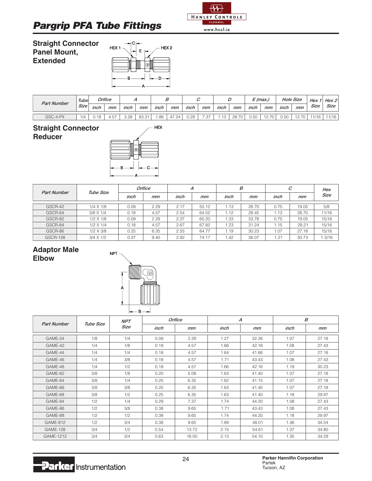

www.hccl.ie

#### **Straight Connector Panel Mount, Extended**



| Tube<br><b>Part Number</b> |             |      | Orifice     |      |       |      |       |      |      |      |       |      | $\epsilon$ (max., | <b>Hole Size</b> |       | Hex   | Hex 2 |
|----------------------------|-------------|------|-------------|------|-------|------|-------|------|------|------|-------|------|-------------------|------------------|-------|-------|-------|
|                            | <b>Size</b> | inch | mm          | inch | mm    | inch | mm    | inch | mm   | inch | mm    | inch | mm                | inch             | mm    | Size  | Size  |
| GSC-4-PX                   | 1/4         | 18   | $-$<br>4.57 | 3.28 | 83.31 | .86  | 47.24 | 0.29 | 7.37 | 12   | 28.70 | 0.50 | 70.               | 0.50             | 12.70 | 11/16 | 11/16 |

### **Straight Connector Reducer**



| <b>Part Number</b> | Tube Size        |      | Orifice |      | А     |      | B     | C    | Hex   |             |
|--------------------|------------------|------|---------|------|-------|------|-------|------|-------|-------------|
|                    |                  | inch | mm      | inch | mm    | inch | mm    | inch | mm    | <b>Size</b> |
|                    |                  |      |         |      |       |      |       |      |       |             |
| GSCR-42            | $1/4 \times 1/8$ | 0.09 | 2.29    | 2.17 | 55.12 | 1.13 | 28.70 | 0.75 | 19.05 | 5/8         |
| GSCR-64            | $3/8 \times 1/4$ | 0.18 | 4.57    | 2.54 | 64.52 | 1.12 | 28.45 | 1.13 | 28.70 | 11/16       |
| GSCR-82            | 1/2 X 1/8        | 0.09 | 2.29    | 2.37 | 60.20 | 1.33 | 33.78 | 0.75 | 19.05 | 15/16       |
| GSCR-84            | 1/2 X 1/4        | 0.18 | 4.57    | 2.67 | 67.82 | 1.23 | 31.24 | 1.15 | 29.21 | 15/16       |
| GSCR-86            | $1/2 \times 3/8$ | 0.25 | 6.35    | 2.55 | 64.77 | 1.19 | 30.23 | 1.07 | 27.18 | 15/16       |
| <b>GSCR-128</b>    | $3/4 \times 1/2$ | 0.37 | 9.40    | 2.92 | 74.17 | 1.42 | 36.07 | 1.21 | 30.73 | 3/16        |

#### **Adaptor Male Elbow**



| <b>Part Number</b> | Tube Size | <b>NPT</b> |      | <b>Orifice</b> | Α    |       |      | $\boldsymbol{B}$ |
|--------------------|-----------|------------|------|----------------|------|-------|------|------------------|
|                    |           | Size       | inch | mm             | inch | mm    | inch | mm               |
| GAME-24            | 1/8       | 1/4        | 0.09 | 2.29           | 1.27 | 32.26 | 1.07 | 27.18            |
| GAME-42            | 1/4       | 1/8        | 0.18 | 4.57           | 1.66 | 42.16 | 1.08 | 27.43            |
| GAME-44            | 1/4       | 1/4        | 0.18 | 4.57           | 1.64 | 41.66 | 1.07 | 27.18            |
| GAME-46            | 1/4       | 3/8        | 0.18 | 4.57           | 1.71 | 43.43 | 1.08 | 27.43            |
| GAME-48            | 1/4       | 1/2        | 0.18 | 4.57           | 1.66 | 42.16 | 1.19 | 30.23            |
| GAME-62            | 3/8       | 1/8        | 0.20 | 5.08           | 1.63 | 41.40 | 1.07 | 27.18            |
| GAME-64            | 3/8       | 1/4        | 0.25 | 6.35           | 1.62 | 41.15 | 1.07 | 27.18            |
| GAME-66            | 3/8       | 3/8        | 0.25 | 6.35           | 1.63 | 41.40 | 1.07 | 27.18            |
| GAME-68            | 3/8       | 1/2        | 0.25 | 6.35           | 1.63 | 41.40 | 1.18 | 29.97            |
| GAME-84            | 1/2       | 1/4        | 0.29 | 7.37           | 1.74 | 44.20 | 1.08 | 27.43            |
| GAME-86            | 1/2       | 3/8        | 0.38 | 9.65           | 1.71 | 43.43 | 1.08 | 27.43            |
| GAME-88            | 1/2       | 1/2        | 0.38 | 9.65           | 1.74 | 44.20 | 1.18 | 29.97            |
| GAME-812           | 1/2       | 3/4        | 0.38 | 9.65           | 1.89 | 48.01 | 1.36 | 34.54            |
| <b>GAME-128</b>    | 3/4       | 1/2        | 0.54 | 13.72          | 2.15 | 54.61 | 1.37 | 34.80            |
| GAME-1212          | 3/4       | 3/4        | 0.63 | 16.00          | 2.13 | 54.10 | 1.35 | 34.29            |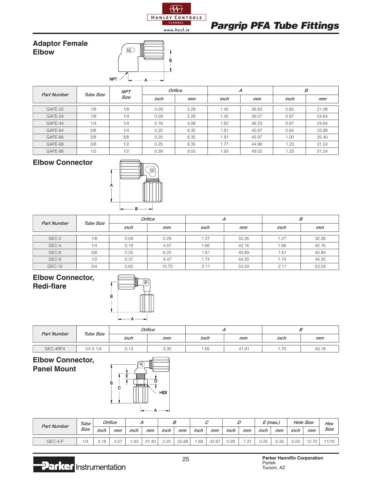





| <b>Part Number</b> |           | <b>NPT</b>  |      | <b>Orifice</b> |      | Α     | B    |       |  |
|--------------------|-----------|-------------|------|----------------|------|-------|------|-------|--|
|                    | Tube Size | <b>Size</b> | inch | mm             | inch | mm    | inch | mm    |  |
|                    |           |             |      |                |      |       |      |       |  |
| GAFE-22            | 1/8       | 1/8         | 0.09 | 2.29           | 1.45 | 36.83 | 0.83 | 21.08 |  |
| GAFE-24            | 1/8       | 1/4         | 0.09 | 2.29           | 1.42 | 36.07 | 0.97 | 24.64 |  |
| GAFF-44            | 1/4       | 1/4         | 0.16 | 4.06           | 1.82 | 46.23 | 0.97 | 24.64 |  |
| GAFE-64            | 3/8       | 1/4         | 0.25 | 6.35           | 1.81 | 45.97 | 0.94 | 23.88 |  |
| GAFE-66            | 3/8       | 3/8         | 0.25 | 6.35           | 1.81 | 45.97 | 1.00 | 25.40 |  |
| GAFE-68            | 3/8       | 1/2         | 0.25 | 6.35           | 1.77 | 44.96 | 1.23 | 31.24 |  |
| GAFE-88            | 1/2       | 1/2         | 0.38 | 9.55           | 1.93 | 49.02 | 1.23 | 31.24 |  |

### **Elbow Connector**



| <b>Part Number</b> | Tube Size |      | Orifice | А    |       | В    |       |  |
|--------------------|-----------|------|---------|------|-------|------|-------|--|
|                    |           | inch | mm      | inch | mm    | inch | mm    |  |
|                    |           |      |         |      |       |      |       |  |
| GEC-2              | 1/8       | 0.09 | 2.29    | 1.27 | 32.26 | 1.27 | 32.26 |  |
| GEC-4              | 1/4       | 0.18 | 4.57    | 1.66 | 42.16 | 1.66 | 42.16 |  |
| GEC-6              | 3/8       | 0.25 | 6.22    | 1.61 | 40.89 | 1.61 | 40.89 |  |
| GEC-8              | 1/2       | 0.37 | 9.47    | 1.74 | 44.20 | 1.74 | 44.20 |  |
| GEC-12             | 3/4       | 0.62 | 15.75   | 2.11 | 53.59 | 2.11 | 53.59 |  |

#### **Elbow Connector, Redi-flare**



| <b>Part Number</b> | Tube Size        |      | Orifice |      |       |                                    |         |  |
|--------------------|------------------|------|---------|------|-------|------------------------------------|---------|--|
|                    |                  | inch | mm      |      | mm    | inch                               | $_{mm}$ |  |
| GEC-4RF4           | $1/4 \times 1/4$ | 0.13 | 3.30    | 1.65 | 41.91 | $\overline{\phantom{a}}$<br>1. / U | 43.18   |  |

#### **Elbow Connector, Panel Mount**



| <b>Part Number</b> |      | Orifice<br>Tube |      |      |            | D    |       |      |       |      |                | (max) |      | <b>Hole Size</b> |                    | Hex           |
|--------------------|------|-----------------|------|------|------------|------|-------|------|-------|------|----------------|-------|------|------------------|--------------------|---------------|
|                    | Size | inch            | mm   | inch | mm         | inch | mm    | inch | mm    | inch | mm             | inch  | mm   | inch             | mm                 | Size          |
| GEC-4-P            | 1/4  | 0.10<br>U. I 8  | 4.57 | .63  | .1.40<br>– | 2.20 | 55.88 | .68  | 42.67 | 0.29 | $^{\prime}.37$ | 0.25  | 6.35 | 0.50             | 70<br>1つ<br>$\sim$ | 11/16<br>1/10 |

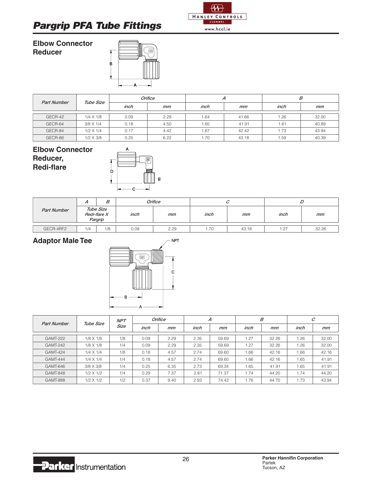

#### **Elbow Connector Reducer**



| <b>Part Number</b> | Tube Size        |      | Orifice |      | A     | В    |       |  |
|--------------------|------------------|------|---------|------|-------|------|-------|--|
|                    |                  | inch | mm      | inch | mm    | inch | mm    |  |
| GECR-42            | $1/4 \times 1/8$ | 0.09 | 2.29    | .64  | 41.66 | .26  | 32.00 |  |
| GECR-64            | $3/8 \times 1/4$ | 0.18 | 4.50    | 1.65 | 41.91 | .61  | 40.89 |  |
| GECR-84            | $1/2 \times 1/4$ | 0.17 | 4.42    | 1.67 | 42.42 | . 73 | 43.94 |  |
| GECR-86            | $1/2 \times 3/8$ | 0.25 | 6.22    | .70  | 43.18 | .59  | 40.39 |  |

#### **Elbow Connector Reducer, Redi-flare**



|                    | В<br><b>n</b>                        |     |      | Orifice |            | U | ◡          |       |  |
|--------------------|--------------------------------------|-----|------|---------|------------|---|------------|-------|--|
| <b>Part Number</b> | Tube Size<br>Redi-flare X<br>Pargrip |     | inch | mm      | inch<br>mm |   | inch<br>mm |       |  |
|                    |                                      |     |      |         |            |   |            |       |  |
| GECR-4RF2          | 1/4                                  | 1/8 | 0.09 | 2.29    | 70،،       |   | 1.27       | 32.26 |  |

### **Adaptor Male Tee**



| <b>Part Number</b> | Tube Size        | <b>NPT</b>  |      | <b>Orifice</b> | А    |       | В    |       | $\mathcal C$ |       |
|--------------------|------------------|-------------|------|----------------|------|-------|------|-------|--------------|-------|
|                    |                  | <b>Size</b> | inch | mm             | inch | mm    | inch | mm    | inch         | mm    |
| <b>GAMT-222</b>    | $1/8 \times 1/8$ | 1/8         | 0.09 | 2.29           | 2.35 | 59.69 | 1.27 | 32.26 | .26          | 32.00 |
| <b>GAMT-242</b>    | $1/8 \times 1/8$ | 1/4         | 0.09 | 2.29           | 2.35 | 59.69 | 1.27 | 32.26 | .26          | 32.00 |
| <b>GAMT-424</b>    | $1/4 \times 1/4$ | 1/8         | 0.18 | 4.57           | 2.74 | 69.60 | 1.66 | 42.16 | 1.66         | 42.16 |
| <b>GAMT-444</b>    | $1/4 \times 1/4$ | 1/4         | 0.18 | 4.57           | 2.74 | 69.60 | 1.66 | 42.16 | 1.65         | 41.91 |
| GAMT-646           | 3/8 X 3/8        | 1/4         | 0.25 | 6.35           | 2.73 | 69.34 | 1.65 | 41.91 | 1.65         | 41.91 |
| <b>GAMT-848</b>    | $1/2 \times 1/2$ | 1/4         | 0.29 | 7.37           | 2.81 | 71.37 | 1.74 | 44.20 | 1.74         | 44.20 |
| <b>GAMT-888</b>    | $1/2 \times 1/2$ | 1/2         | 0.37 | 9.40           | 2.93 | 74.42 | 1.76 | 44.70 | 1.73         | 43.94 |

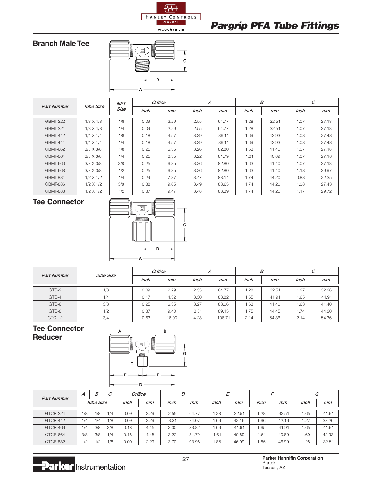

**Branch Male Tee**



|                 | Tube Size<br><b>Part Number</b> | <b>NPT</b> |      | Orifice |      | А     |      | В     |      | C     |
|-----------------|---------------------------------|------------|------|---------|------|-------|------|-------|------|-------|
|                 |                                 | Size       | inch | mm      | inch | mm    | inch | mm    | inch | mm    |
| <b>GBMT-222</b> | $1/8 \times 1/8$                | 1/8        | 0.09 | 2.29    | 2.55 | 64.77 | 1.28 | 32.51 | 1.07 | 27.18 |
| <b>GBMT-224</b> | $1/8 \times 1/8$                | 1/4        | 0.09 | 2.29    | 2.55 | 64.77 | 1.28 | 32.51 | 1.07 | 27.18 |
| <b>GBMT-442</b> | $1/4 \times 1/4$                | 1/8        | 0.18 | 4.57    | 3.39 | 86.11 | 1.69 | 42.93 | 1.08 | 27.43 |
| <b>GBMT-444</b> | $1/4 \times 1/4$                | 1/4        | 0.18 | 4.57    | 3.39 | 86.11 | 1.69 | 42.93 | 1.08 | 27.43 |
| <b>GBMT-662</b> | 3/8 X 3/8                       | 1/8        | 0.25 | 6.35    | 3.26 | 82.80 | 1.63 | 41.40 | 1.07 | 27.18 |
| <b>GBMT-664</b> | 3/8 X 3/8                       | 1/4        | 0.25 | 6.35    | 3.22 | 81.79 | 1.61 | 40.89 | 1.07 | 27.18 |
| GBMT-666        | 3/8 X 3/8                       | 3/8        | 0.25 | 6.35    | 3.26 | 82.80 | 1.63 | 41.40 | 1.07 | 27.18 |
| GBMT-668        | 3/8 X 3/8                       | 1/2        | 0.25 | 6.35    | 3.26 | 82.80 | 1.63 | 41.40 | 1.18 | 29.97 |
| <b>GBMT-884</b> | $1/2 \times 1/2$                | 1/4        | 0.29 | 7.37    | 3.47 | 88.14 | 1.74 | 44.20 | 0.88 | 22.35 |
| GBMT-886        | $1/2 \times 1/2$                | 3/8        | 0.38 | 9.65    | 3.49 | 88.65 | 1.74 | 44.20 | 1.08 | 27.43 |
| <b>GBMT-888</b> | $1/2 \times 1/2$                | 1/2        | 0.37 | 9.47    | 3.48 | 88.39 | 1.74 | 44.20 | 1.17 | 29.72 |

### **Tee Connector**



| <b>Part Number</b> | Tube Size |      | Orifice | А    |        | $\boldsymbol{\mathcal{B}}$ |       | С    |       |
|--------------------|-----------|------|---------|------|--------|----------------------------|-------|------|-------|
|                    |           | inch | mm      | inch | mm     | inch                       | mm    | inch | mm    |
| GTC-2              | 1/8       | 0.09 | 2.29    | 2.55 | 64.77  | 1.28                       | 32.51 | .27  | 32.26 |
| GTC-4              | 1/4       | 0.17 | 4.32    | 3.30 | 83.82  | 1.65                       | 41.91 | .65  | 41.91 |
| GTC-6              | 3/8       | 0.25 | 6.35    | 3.27 | 83.06  | 1.63                       | 41.40 | 1.63 | 41.40 |
| GTC-8              | 1/2       | 0.37 | 9.40    | 3.51 | 89.15  | 1.75                       | 44.45 | 1.74 | 44.20 |
| GTC-12             | 3/4       | 0.63 | 16.00   | 4.28 | 108.71 | 2.14                       | 54.36 | 2.14 | 54.36 |

#### **Tee Connector Reducer**



| B<br>Α<br><b>Part Number</b> |     | ⌒         |     | Orifice |      | D    | E     |      |       |      | G     |      |       |
|------------------------------|-----|-----------|-----|---------|------|------|-------|------|-------|------|-------|------|-------|
|                              |     | Tube Size |     | inch    | mm   | inch | mm    | inch | mm    | inch | mm    | inch | mm    |
|                              |     |           |     |         |      |      |       |      |       |      |       |      |       |
| GTCR-224                     | 1/8 | 1/8       | 1/4 | 0.09    | 2.29 | 2.55 | 64.77 | .28  | 32.51 | .28  | 32.51 | .65  | 41.91 |
| GTCR-442                     | 1/4 | 1/4       | 1/8 | 0.09    | 2.29 | 3.31 | 84.07 | .66  | 42.16 | .66  | 42.16 | 1.27 | 32.26 |
| GTCR-466                     | 1/4 | 3/8       | 3/8 | 0.18    | 4.45 | 3.30 | 83.82 | .66  | 41.91 | .65  | 41.91 | .65  | 41.91 |
| GTCR-664                     | 3/8 | 3/8       | 1/4 | 0.18    | 4.45 | 3.22 | 81.79 | .61  | 40.89 | .61  | 40.89 | .69  | 42.93 |
| GTCR-882                     | 1/2 | 1/2       | 1/8 | 0.09    | 2.29 | 3.70 | 93.98 | i.85 | 46.99 | . 85 | 46.99 | .28  | 32.51 |

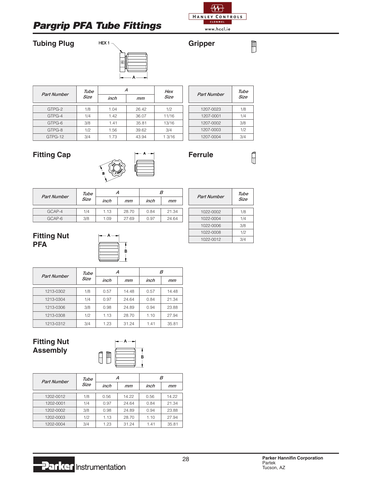HEX 1

### **Tubing Plug**



| <b>Part Number</b> | Tube |      | Α     | Hex         |
|--------------------|------|------|-------|-------------|
|                    | Size | inch | mm    | <b>Size</b> |
| GTPG-2             | 1/8  | 1.04 | 26.42 | 1/2         |
| GTPG-4             | 1/4  | 1.42 | 36.07 | 11/16       |
| GTPG-6             | 3/8  | 1.41 | 35.81 | 13/16       |
| GTPG-8             | 1/2  | 1.56 | 39.62 | 3/4         |
| GTPG-12            | 3/4  | 1.73 | 43.94 | 13/16       |

| <b>Part Number</b> | Tube<br>Size |
|--------------------|--------------|
| 1207-0023          | 1/8          |
| 1207-0001          | 1/4          |
| 1207-0002          | 3/8          |
| 1207-0003          | 1/2          |
| 1207-0004          | 3/4          |

### **Fitting Cap**



| <b>Part Number</b> | Tube |      |       |      | в     |
|--------------------|------|------|-------|------|-------|
|                    | Size | inch | mm    | inch | mm    |
| GCAP-4             | 1/4  | 1.13 | 28.70 | 0.84 | 21.34 |
| GCAP-6             | 3/8  | 1.09 | 27.69 | 0.97 | 24.64 |

| <b>Part Number</b> | Tube<br>Size |
|--------------------|--------------|
| 1022-0002          | 1/8          |
| 1022-0004          | 1/4          |
| 1022-0006          | 3/8          |
| 1022-0008          | 1/2          |
| 1022-0012          | 3/4          |

#### **Fitting Nut PFA**



| <b>Part Number</b> | Tube | Α    | В     |      |       |  |  |
|--------------------|------|------|-------|------|-------|--|--|
|                    | Size | inch | mm    | inch | mm    |  |  |
| 1213-0302          | 1/8  | 0.57 | 14.48 | 0.57 | 14.48 |  |  |
| 1213-0304          | 1/4  | 0.97 | 24.64 | 0.84 | 21.34 |  |  |
| 1213-0306          | 3/8  | 0.98 | 24.89 | 0.94 | 23.88 |  |  |
| 1213-0308          | 1/2  | 1.13 | 28.70 | 1.10 | 27.94 |  |  |
| 1213-0312          | 3/4  | 1.23 | 31.24 | 1.41 | 35.81 |  |  |

### **Fitting Nut Assembly**



| <b>Part Number</b> | Tube |      | Α     | в    |       |  |  |  |
|--------------------|------|------|-------|------|-------|--|--|--|
|                    | Size | inch | mm    | inch | mm    |  |  |  |
| 1202-0012          | 1/8  | 0.56 | 14.22 | 0.56 | 14.22 |  |  |  |
| 1202-0001          | 1/4  | 0.97 | 24.64 | 0.84 | 21.34 |  |  |  |
| 1202-0002          | 3/8  | 0.98 | 24.89 | 0.94 | 23.88 |  |  |  |
| 1202-0003          | 1/2  | 1.13 | 28.70 | 1.10 | 27.94 |  |  |  |
| 1202-0004          | 3/4  | 1.23 | 31.24 | 1.41 | 35.81 |  |  |  |

 $\overline{40}$ HANLEY CONTROLS CLONMEL ... www.hccl.ie

**Ferrule**

 $\begin{bmatrix} 1 \\ 1 \\ 1 \end{bmatrix}$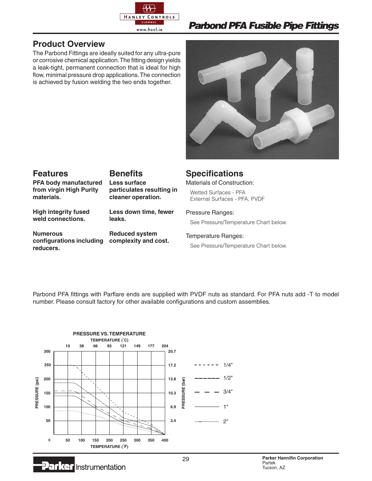

www.hccl.ie

# **Parbond PFA Fusible Pipe Fittings**

### **Product Overview**

The Parbond Fittings are ideally suited for any ultra-pure or corrosive chemical application. The fitting design yields a leak-tight, permanent connection that is ideal for high flow, minimal pressure drop applications. The connection is achieved by fusion welding the two ends together.



### **Features**

#### **Benefits Less surface**

**PFA body manufactured from virgin High Purity materials.**

**High integrity fused weld connections.**

**Parker Instrumentation** 

**Less down time, fewer leaks.**

**particulates resulting in cleaner operation.**

**Numerous configurations including complexity and cost. reducers.**

**Reduced system**

# **Specifications**

Materials of Construction:

Wetted Surfaces - PFA External Surfaces - PFA, PVDF

Pressure Ranges: See Pressure/Temperature Chart below.

#### Temperature Ranges: See Pressure/Temperature Chart below.

Parbond PFA fittings with Parflare ends are supplied with PVDF nuts as standard. For PFA nuts add -T to model number. Please consult factory for other available configurations and custom assemblies.

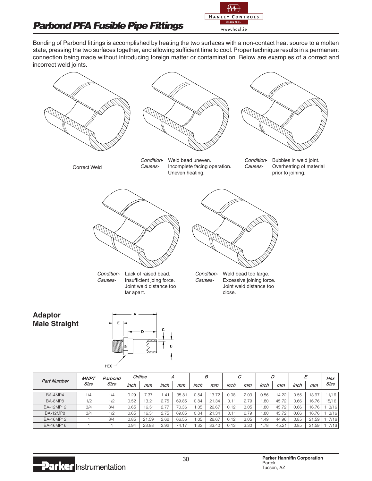# **Parbond PFA Fusible Pipe Fittings**



Bonding of Parbond fittings is accomplished by heating the two surfaces with a non-contact heat source to a molten state, pressing the two surfaces together, and allowing sufficient time to cool. Proper technique results in a permanent connection being made without introducing foreign matter or contamination. Below are examples of a correct and incorrect weld joints.



**Adaptor Male Straight** 



| <b>Part Number</b> | <b>MNPT</b><br>Parbond |      |      | Orifice | Α              |       | В    |       | С    |      | D      |                | E    |           | Hex   |
|--------------------|------------------------|------|------|---------|----------------|-------|------|-------|------|------|--------|----------------|------|-----------|-------|
|                    | Size                   | Size | inch | mm      | inch           | mm    | inch | mm    | inch | mm   | inch   | mm             | inch | mm        | Size  |
| BA-4MP4            | 1/4                    | 1/4  | 0.29 | '.37    | $.4^{\dagger}$ | 35.81 | 0.54 | 13.72 | 0.08 | 2.03 | 0.56   | 14.22          | 0.55 | 13.97     | 11/16 |
| BA-8MP8            | 1/2                    | 1/2  | 0.52 | 13.21   | 2.75           | 69.85 | 0.84 | 21.34 | 0.11 | 2.79 | .80    | 45.72          | 0.66 | 16.76     | 15/16 |
| <b>BA-12MP12</b>   | 3/4                    | 3/4  | 0.65 | 16.51   | 2.77           | 70.36 | .05  | 26.67 | 0.12 | 3.05 | .80    | 45.72          | 0.66 | 16.76     | 3/16  |
| <b>BA-12MP8</b>    | 3/4                    | 1/2  | 0.65 | 16.51   | 2.75           | 69.85 | 0.84 | 21.34 | 0.11 | 2.79 | .80    | 45.72          | 0.66 | 16.76     | 3/16  |
| <b>BA-16MP12</b>   |                        | 3/4  | 0.85 | 21.59   | 2.62           | 66.55 | .05  | 26.67 | 0.12 | 3.05 | . . 49 | 44.96          | 0.85 | 21.59     | 7/16  |
| <b>BA-16MP16</b>   |                        |      | 0.94 | 23.88   | 2.92           | 74.17 | .32  | 33.40 | 0.13 | 3.30 | .78    | $45.2^{\circ}$ | 0.85 | .59<br>21 | 7/16  |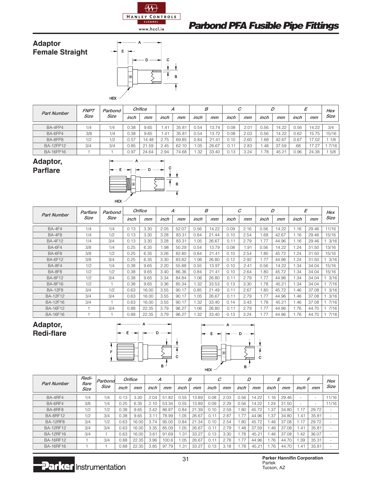

www.hccl.ie

# **Parbond PFA Fusible Pipe Fittings**



| <b>Part Number</b> | <b>FNPT</b> | Parbond |      | Orifice |              | А     |      | В     |      | С    |      | D                 |      | E     | Hex   |
|--------------------|-------------|---------|------|---------|--------------|-------|------|-------|------|------|------|-------------------|------|-------|-------|
|                    | Size        | Size    | inch | mm      | inch         | mm    | inch | mm    | inch | mm   | inch | mm                | inch | mm    | Size  |
| BA-4FP4            | 1/4         | 1/4     | 0.38 | 9.65    | $.4^{\circ}$ | 35.81 | 0.54 | 13.74 | 0.08 | 2.01 | 0.56 | 14.22             | 0.56 | 14.22 | 3/4   |
| BA-6FP4            | 3/8         | 1/4     | 0.38 | 9.65    | $.4^{\circ}$ | 35.81 | 0.54 | 13.72 | 0.08 | 2.03 | 0.56 | 14.22             | 0.62 | 15.75 | 15/16 |
| BA-8FP8            | 1/2         | 1/2     | 0.57 | 14.48   | 2.75         | 69.85 | 0.84 | 21.41 | 0.10 | 2.60 | 1.68 | 42.67             | 0.67 | 17.02 | 1/8   |
| <b>BA-12FP12</b>   | 3/4         | 3/4     | 0.85 | 21.59   | 2.45         | 62.10 | .05  | 26.67 | 0.11 | 2.83 | 1.48 | 37.59             | .68  | 17.27 | 7/16  |
| <b>BA-16FP16</b>   |             |         | 0.97 | 24.64   | 2.94         | 74.68 | .32  | 33.40 | 0.13 | 3.24 | 1.78 | 45.2 <sup>1</sup> | 0.96 | 24.38 | 5/8   |

**Adaptor, Parflare**



| <b>Part Number</b> | Parflare | Parbond |      | <b>Orifice</b> |      | A     |      | B     |      | C    |      | D     |      | E     | Hex   |
|--------------------|----------|---------|------|----------------|------|-------|------|-------|------|------|------|-------|------|-------|-------|
|                    | Size     | Size    | inch | mm             | inch | mm    | inch | mm    | inch | mm   | inch | mm    | inch | mm    | Size  |
| <b>BA-4F4</b>      | 1/4      | 1/4     | 0.13 | 3.30           | 2.05 | 52.07 | 0.56 | 14.22 | 0.09 | 2.16 | 0.56 | 14.22 | 1.16 | 29.46 | 11/16 |
| <b>BA-4F8</b>      | 1/4      | 1/2     | 0.13 | 3.30           | 3.28 | 83.31 | 0.84 | 21.44 | 0.10 | 2.54 | 1.68 | 42.67 | 1.16 | 29.46 | 15/16 |
| <b>BA-4F12</b>     | 1/4      | 3/4     | 0.13 | 3.30           | 3.28 | 83.31 | 1.05 | 26.67 | 0.11 | 2.79 | 1.77 | 44.96 | 1.16 | 29.46 | 3/16  |
| <b>BA-6F4</b>      | 3/8      | 1/4     | 0.25 | 6.35           | 1.98 | 50.29 | 0.54 | 13.79 | 0.08 | 1.91 | 0.56 | 14.22 | 1.24 | 31.50 | 13/16 |
| <b>BA-6F8</b>      | 3/8      | 1/2     | 0.25 | 6.35           | 3.26 | 82.80 | 0.84 | 21.41 | 0.10 | 2.54 | 1.80 | 45.72 | 1.24 | 31.50 | 15/16 |
| <b>BA-6F12</b>     | 3/8      | 3/4     | 0.25 | 6.35           | 3.30 | 83.82 | 1.06 | 26.80 | 0.12 | 2.92 | 1.77 | 44.96 | 1.24 | 31.50 | 3/16  |
| <b>BA-8F4</b>      | 1/2      | 1/4     | 0.38 | 9.65           | 2.20 | 55.88 | 0.55 | 13.97 | 0.10 | 2.41 | 0.56 | 14.22 | 1.34 | 34.04 | 15/16 |
| BA-8F8             | 1/2      | 1/2     | 0.38 | 9.65           | 3.40 | 86.36 | 0.84 | 21.41 | 0.10 | 2.64 | 1.80 | 45.72 | 1.34 | 34.04 | 15/16 |
| <b>BA-8F12</b>     | 1/2      | 3/4     | 0.38 | 9.65           | 3.34 | 84.84 | 1.06 | 26.80 | 0.11 | 2.79 | 1.77 | 44.96 | 1.34 | 34.04 | 3/16  |
| <b>BA-8F16</b>     | 1/2      | 1       | 0.38 | 9.65           | 3.36 | 85.34 | .32  | 33.53 | 0.13 | 3.30 | 1.78 | 45.21 | 1.34 | 34.04 | 7/16  |
| <b>BA-12F8</b>     | 3/4      | 1/2     | 0.63 | 16.00          | 3.55 | 90.17 | 0.85 | 21.49 | 0.11 | 2.67 | 1.80 | 45.72 | 1.46 | 37.08 | 3/16  |
| <b>BA-12F12</b>    | 3/4      | 3/4     | 0.63 | 16.00          | 3.55 | 90.17 | 1.05 | 26.67 | 0.11 | 2.79 | 1.77 | 44.96 | 1.46 | 37.08 | 3/16  |
| <b>BA-12F16</b>    | 3/4      |         | 0.63 | 16.00          | 3.55 | 90.17 | 1.32 | 33.40 | 0.14 | 3.43 | 1.78 | 45.21 | 1.46 | 37.08 | 7/16  |
| <b>BA-16F12</b>    |          | 3/4     | 0.88 | 22.35          | 3.79 | 96.27 | 1.06 | 26.80 | 0.11 | 2.79 | 1.77 | 44.96 | 1.76 | 44.70 | 7/16  |
| <b>BA-16F16</b>    |          |         | 0.88 | 22.35          | 3.79 | 96.27 | .32  | 33.40 | 0.13 | 3.24 | 1.77 | 44.96 | 1.76 | 44.70 | 7/16  |

**Adaptor, Redi-flare**





| <b>Part Number</b> | Redi-<br>flare | Parbond     |      | Orifice | А    |       |      | B     |      | C    |      | D     |      | E     |        | F     | Hex         |
|--------------------|----------------|-------------|------|---------|------|-------|------|-------|------|------|------|-------|------|-------|--------|-------|-------------|
|                    | Size           | <b>Size</b> | inch | mm      | inch | mm    | inch | mm    | inch | mm   | inch | mm    | inch | mm    | inch   | mm    | <b>Size</b> |
| BA-4RF4            | 1/4            | 1/4         | 0.13 | 3.30    | 2.04 | 51.82 | 0.55 | 13.89 | 0.08 | 2.03 | 0.56 | 14.22 | .16  | 29.46 | $\sim$ | ۰     | 11/16       |
| BA-6RF4            | 3/8            | 1/4         | 0.25 | 6.35    | 2.10 | 53.34 | 0.55 | 13.89 | 0.09 | 2.29 | 0.56 | 14.22 | .24  | 31.50 |        |       | 11/16       |
| BA-8RF8            | 1/2            | 1/2         | 0.38 | 9.65    | 3.42 | 86.87 | 0.84 | 21.39 | 0.10 | 2.59 | .80  | 45.72 | . 37 | 34.80 | 17     | 29.72 |             |
| <b>BA-8RF12</b>    | 1/2            | 3/4         | 0.38 | 9.65    | 3.11 | 78.99 | .05  | 26.67 | 0.11 | 2.87 | 77   | 44.96 | .37  | 34.80 | 1.41   | 35.81 |             |
| <b>BA-12RF8</b>    | 3/4            | 1/2         | 0.63 | 16.00   | 3.74 | 95.00 | 0.84 | 21.34 | 0.10 | 2.54 | .80  | 45.72 | .46  | 37.08 | .17    | 29.72 |             |
| <b>BA-12RF12</b>   | 3/4            | 3/4         | 0.63 | 16.00   | 3.35 | 85.09 | .05  | 26.67 | 0.11 | 2.79 | .48  | 37.59 | .46  | 37.08 | 1.41   | 35.81 |             |
| BA-12RF16          | 3/4            |             | 0.63 | 16.00   | 3.61 | 91.69 | 1.31 | 33.27 | 0.13 | 3.30 | .78  | 45.21 | .46  | 37.08 | .42    | 36.07 |             |
| BA-16RF12          |                | 3/4         | 0.88 | 22.35   | 3.96 | 100.6 | .05  | 26.67 | 0.11 | 2.78 | 77   | 44.96 | .76  | 44.70 | .39    | 35.31 |             |
| BA-16RF16          |                |             | 0.88 | 22.35   | 3.85 | 97.79 | 1.31 | 33.27 | 0.13 | 3.18 | .78  | 45.21 | .76  | 44.70 | 1.41   | 35.81 | ۰           |

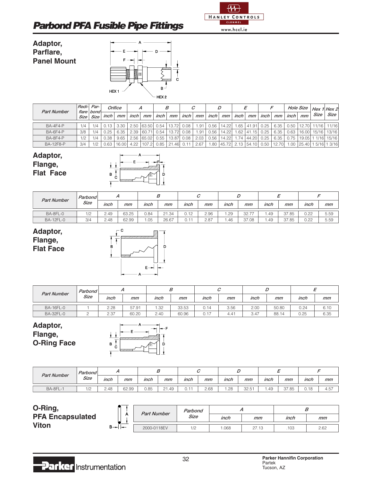

# **Parbond PFA Fusible Pipe Fittings**





| Redi-<br><b>Part Number</b><br>flare bond |      | Par- |      | Orifice |      | A     |      | В           |      |                 |      | D     |      |                        |      |       |      | Hole Size |        | Hex $1$ Hex $2$ |
|-------------------------------------------|------|------|------|---------|------|-------|------|-------------|------|-----------------|------|-------|------|------------------------|------|-------|------|-----------|--------|-----------------|
|                                           | Size | Size | inch | mm      | inch | mm    | inch | mm          | inch | mm              | inch | mm    | inch | mm                     | inch | mm    | inch | mm        | Size ' | Size            |
|                                           |      |      |      |         |      |       |      |             |      |                 |      |       |      |                        |      |       |      |           |        |                 |
| BA-4F4-P                                  | 1/4  | 1/4  | 0.13 | 3.30    | 2.50 | 63.50 | 0.54 | 13.72       | 0.08 | 1.91            | 0.56 | 14.22 | .65  | 41.91                  | 0.25 | 6.35  | 0.50 | 12.70     | 11/16  | 11/16           |
| <b>BA-6F4-P</b>                           | 3/8  | 1/4  | 0.25 | 6.35    | 2.39 | 60.71 | 0.54 | 13.72       | 0.08 | .9 <sup>4</sup> | 0.56 | 14.22 | .62  | .15 <sup>1</sup><br>41 | 0.25 | 6.35  | 0.63 | 16.00     | 15/16  | 13/16           |
| BA-8F4-P                                  | 1/2  | 1/4  | 0.38 | 9.65    | 2.56 | 65.02 | J.55 | 13.871      | 0.08 | 2.03            | 0.56 | 14.22 | .74  | 44.20                  | 0.25 | 6.35  | 0.75 | 19.05     | 1/16   | 15/16           |
| <b>BA-12F8-P</b>                          | 3/4  |      | J.63 | 16.00   | 4.22 |       | ).85 | 21.<br>.461 |      | 2.67            | .80  | 45.72 |      | 54.10                  | 0.50 | 12.70 | .00  | 25.40     | 5/16   | 1 3/16          |

### **Adaptor,**

| Flange, |                  |
|---------|------------------|
|         | <b>Flat Face</b> |



| <b>Part Number</b> | Parbond | <b>n</b> |       | D    |       | ັ    |      |      |       |            |       |      |      |
|--------------------|---------|----------|-------|------|-------|------|------|------|-------|------------|-------|------|------|
|                    | Size    | inch     | mm    | inch | mm    | inch | mm   | inch | mm    | inch       | mm    | inch | mm   |
| BA-8FL-0           | 1/2     | 2.49     | 63.25 | 0.84 | 21.34 | 0.12 | 2.96 | .29  | 32.77 | .49        | 37.85 | 0.22 | 5.59 |
| <b>BA-12FL-0</b>   | 3/4     | 2.48     | 62.99 | 1.05 | 26.67 | 0.11 | 2.87 | 1.46 | 37.08 | <b>.49</b> | 37.85 | 0.22 | 5.59 |

### **Adaptor, Flange, Flat Face**



| <b>Part Number</b> | Parbond |      | n     |      | D     |             |      |      |       |      |      |
|--------------------|---------|------|-------|------|-------|-------------|------|------|-------|------|------|
|                    | Size    | inch | mm    | inch | mm    | inch        | mm   | inch | mm    | inch | mm   |
| <b>BA-16FL-0</b>   |         | 2.28 | 57.91 | .32  | 33.53 | 0.14        | 3.56 | 2.00 | 50.80 | 0.24 | 6.10 |
| <b>BA-32FL-0</b>   |         | 2.37 | 60.20 | 2.40 | 60.96 | $-1$<br>U.I | 4.41 | 3.47 | 88.14 | 0.25 | 6.35 |

#### **Adaptor, Flange, O-Ring Face**



|                    | Parbond  |      |       |      |                                |                      |      |      |       |      | -     |      |      |
|--------------------|----------|------|-------|------|--------------------------------|----------------------|------|------|-------|------|-------|------|------|
| <b>Part Number</b> | Size     | inch | mm    | inch | mm                             | inch                 | mm   | inch | mm    | inch | mm    | inch | mm   |
| BA-8FL-1           | 10<br>12 | 2.48 | 62.99 | 0.85 | $\bigcap$<br>.49<br><u>.</u> . | $\overline{a}$<br>◡. | 2.68 | .28  | 32.51 | 1.49 | 37.85 | 0.18 | 4.57 |

| O-Ring,                 |     | <b>Part Number</b> | Parbond |      |       |      |      |
|-------------------------|-----|--------------------|---------|------|-------|------|------|
| <b>PFA Encapsulated</b> |     |                    | Size    | inch | mm    | inch | mm   |
| Viton                   | . — | 2000-0118EV        | 1/2     | .068 | 27 13 | 103  | 2.62 |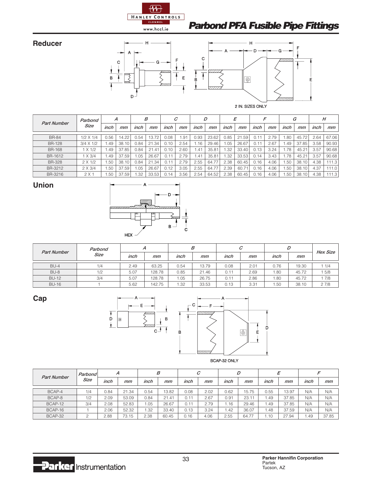

www.hccl.ie

# **Parbond PFA Fusible Pipe Fittings**



| <b>Part Number</b> | Parbond          | А      |       |      | B     |      | C    |              | D     |      | E         |      | F    |       | G     |      | H     |
|--------------------|------------------|--------|-------|------|-------|------|------|--------------|-------|------|-----------|------|------|-------|-------|------|-------|
|                    | Size             | inch   | mm    | inch | mm    | inch | mm   | inch         | mm    | inch | mm        | inch | mm   | inch  | mm    | inch | mm    |
| <b>BR-84</b>       | 1/2 X 1/4        | 0.56   | 14.22 | 0.54 | 13.72 | 0.08 | 91.، | 0.93         | 23.62 | 0.85 | .59<br>21 | 0.11 | 2.79 | .80   | 45.72 | 2.64 | 67.06 |
| <b>BR-128</b>      | $3/4 \times 1/2$ | 1.49   | 38.10 | 0.84 | 21.34 | 0.10 | 2.54 | i.16         | 29.46 | .05  | 26.67     | 0.11 | 2.67 | 49، ا | 37.85 | 3.58 | 90.93 |
| <b>BR-168</b>      | X 1/2            | . . 49 | 37.85 | 0.84 | 21.41 | 0.10 | 2.60 | $.4^{\circ}$ | 35.81 | .32  | 33.40     | 0.13 | 3.24 | 1.78  | 45.21 | 3.57 | 90.68 |
| BR-1612            | 1 X 3/4          | 1.49   | 37.59 | 1.05 | 26.67 | 0.11 | 2.79 | .41          | 35.81 | .32  | 33.53     | 0.14 | 3.43 | .78   | 45.21 | 3.57 | 90.68 |
| <b>BR-328</b>      | $2 \times 1/2$   | .50    | 38.10 | 0.84 | 21.34 | 0.11 | 2.79 | 2.55         | 64.77 | 2.38 | 60.45     | 0.16 | 4.06 | 1.50  | 38.10 | 4.38 | 111.3 |
| BR-3212            | $2 \times 3/4$   | .50    | 37.59 | 1.05 | 26.67 | 0.12 | 3.05 | 2.55         | 64.77 | 2.39 | 60.71     | 0.16 | 4.06 | 1.50  | 38.10 | 4.37 | 111.0 |
| BR-3216            | 2 X 1            | .50    | 37.59 | .32  | 33.53 | 0.14 | 3.56 | 2.54         | 64.52 | 2.38 | 60.45     | 0.16 | 4.06 | .50   | 38.10 | 4.38 | 111.3 |

### **Union**

**Reducer**



| <b>Part Number</b> | Parbond |      |        |      | в     |      |      |      | D     | Hex Size |
|--------------------|---------|------|--------|------|-------|------|------|------|-------|----------|
|                    | Size    | inch | mm     | inch | mm    | inch | mm   | inch | mm    |          |
| <b>BU-4</b>        | 1/4     | 2.49 | 63.25  | 0.54 | 13.79 | 0.08 | 2.01 | 0.76 | 19.30 | 1/4      |
| BU-8               | 1/2     | 5.07 | 128.78 | 0.85 | 21.46 | 0.11 | 2.69 | 1.80 | 45.72 | 5/8      |
| <b>BU-12</b>       | 3/4     | 5.07 | 128.78 | 1.05 | 26.75 | 0.11 | 2.86 | 1.80 | 45.72 | 1 7/8    |
| <b>BU-16</b>       |         | 5.62 | 142.75 | 1.32 | 33.53 | 0.13 | 3.31 | 1.50 | 38.10 | 27/8     |

**Cap**



| <b>Part Number</b> | Parbond | Α    |       |      | В     |      | С    |      | D     |       | Ε     |      |       |
|--------------------|---------|------|-------|------|-------|------|------|------|-------|-------|-------|------|-------|
|                    | Size    | inch | mm    | inch | mm    | inch | mm   | inch | mm    | inch  | mm    | inch | mm    |
|                    |         |      |       |      |       |      |      |      |       |       |       |      |       |
| BCAP-4             | 1/4     | 0.84 | 21.34 | 0.54 | 13.82 | 0.08 | 2.02 | 0.62 | 15.75 | 0.55  | 13.97 | N/A  | N/A   |
| BCAP-8             | 1/2     | 2.09 | 53.09 | 0.84 | 21.41 | 0.11 | 2.67 | 0.91 | 23.11 | 49، ، | 37.85 | N/A  | N/A   |
| BCAP-12            | 3/4     | 2.08 | 52.83 | .05  | 26.67 | 0.11 | 2.79 | .16  | 29.46 | 49، ، | 37.85 | N/A  | N/A   |
| BCAP-16            |         | 2.06 | 52.32 | .32  | 33.40 | 0.13 | 3.24 | .42  | 36.07 | .48   | 37.59 | N/A  | N/A   |
| BCAP-32            |         | 2.88 | 73.15 | 2.38 | 60.45 | 0.16 | 4.06 | 2.55 | 64.77 | 10    | 27.94 | . 49 | 37.85 |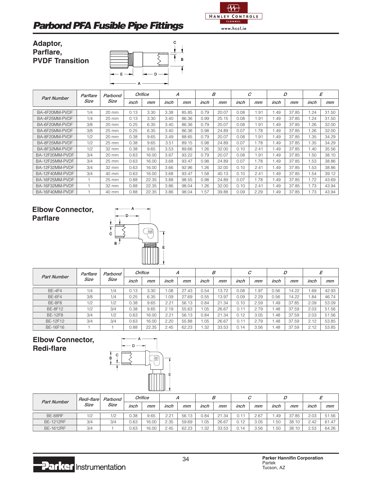# **Parbond PFA Fusible Pipe Fittings**



**Adaptor, Parflare, PVDF Transition** <sup>B</sup> C E D A

|                    | Parflare | Parbond |      | Orifice |      | A     |      | B     |      | C    |      | D     |      | E     |
|--------------------|----------|---------|------|---------|------|-------|------|-------|------|------|------|-------|------|-------|
| <b>Part Number</b> | Size     | Size    | inch | mm      | inch | mm    | inch | mm    | inch | mm   | inch | mm    | inch | mm    |
| BA-4F20MM-PVDF     | 1/4      | 20 mm   | 0.13 | 3.30    | 3.38 | 85.85 | 0.79 | 20.07 | 0.08 | .91  | 1.49 | 37.85 | .24  | 31.50 |
| BA-4F25MM-PVDF     | 1/4      | 25 mm   | 0.13 | 3.30    | 3.40 | 86.36 | 0.99 | 25.15 | 0.08 | 1.91 | 1.49 | 37.85 | 1.24 | 31.50 |
| BA-6F20MM-PVDF     | 3/8      | 20 mm   | 0.25 | 6.35    | 3.40 | 86.36 | 0.79 | 20.07 | 0.08 | 1.91 | 1.49 | 37.85 | 1.26 | 32.00 |
| BA-6F25MM-PVDF     | 3/8      | 25 mm   | 0.25 | 6.35    | 3.40 | 86.36 | 0.98 | 24.89 | 0.07 | 1.78 | 1.49 | 37.85 | 1.26 | 32.00 |
| BA-8F20MM-PVDF     | 1/2      | 20 mm   | 0.38 | 9.65    | 3.49 | 88.65 | 0.79 | 20.07 | 0.08 | 1.91 | 1.49 | 37.85 | 1.35 | 34.29 |
| BA-8F25MM-PVDF     | 1/2      | 25 mm   | 0.38 | 9.65    | 3.51 | 89.15 | 0.98 | 24.89 | 0.07 | 1.78 | 1.49 | 37.85 | 1.35 | 34.29 |
| BA-8F32MM-PVDF     | 1/2      | 32 mm   | 0.38 | 9.65    | 3.53 | 89.66 | 1.26 | 32.00 | 0.10 | 2.41 | 1.49 | 37.85 | 1.40 | 35.56 |
| BA-12F20MM-PVDF    | 3/4      | 20 mm   | 0.63 | 16.00   | 3.67 | 93.22 | 0.79 | 20.07 | 0.08 | 1.91 | 1.49 | 37.85 | 1.50 | 38.10 |
| BA-12F25MM-PVDF    | 3/4      | 25 mm   | 0.63 | 16.00   | 3.68 | 93.47 | 0.98 | 24.89 | 0.07 | 1.78 | 1.49 | 37.85 | 1.53 | 38.86 |
| BA-12F32MM-PVDF    | 3/4      | 32 mm   | 0.63 | 16.00   | 3.66 | 92.96 | 1.26 | 32.00 | 0.10 | 2.41 | 1.49 | 37.85 | 1.53 | 38.86 |
| BA-12F40MM-PVDF    | 3/4      | 40 mm   | 0.63 | 16.00   | 3.68 | 93.47 | .58  | 40.13 | 0.10 | 2.41 | 1.49 | 37.85 | 1.54 | 39.12 |
| BA-16F25MM-PVDF    |          | 25 mm   | 0.88 | 22.35   | 3.88 | 98.55 | 0.98 | 24.89 | 0.07 | 1.78 | 1.49 | 37.85 | 1.72 | 43.69 |
| BA-16F32MM-PVDF    |          | 32 mm   | 0.88 | 22.35   | 3.86 | 98.04 | 1.26 | 32.00 | 0.10 | 2.41 | 1.49 | 37.85 | 1.73 | 43.94 |
| BA-16F40MM-PVDF    |          | 40 mm   | 0.88 | 22.35   | 3.86 | 98.04 | .57  | 39.88 | 0.09 | 2.29 | 1.49 | 37.85 | 1.73 | 43.94 |

### **Elbow Connector, Parflare**



| <b>Part Number</b> | Parflare | Parbond |      | <b>Orifice</b> | A    |       |      | В     |      | C    |      | D     |      | E     |
|--------------------|----------|---------|------|----------------|------|-------|------|-------|------|------|------|-------|------|-------|
|                    | Size     | Size    | inch | mm             | inch | mm    | inch | mm    | inch | mm   | inch | mm    | inch | mm    |
| $BF-4F4$           | 1/4      | 1/4     | 0.13 | 3.30           | .08  | 27.43 | 0.54 | 13.72 | 0.08 | .97  | 0.56 | 14.22 | .69  | 42.93 |
| BE-6F4             | 3/8      | 1/4     | 0.25 | 6.35           | .09  | 27.69 | 0.55 | 13.97 | 0.09 | 2.29 | 0.56 | 14.22 | .84  | 46.74 |
| BE-8F8             | 1/2      | 1/2     | 0.38 | 9.65           | 2.21 | 56.13 | 0.84 | 21.34 | 0.10 | 2.59 | .49  | 37.85 | 2.09 | 53.09 |
| <b>BE-8F12</b>     | 1/2      | 3/4     | 0.38 | 9.65           | 2.19 | 55.63 | .05  | 26.67 | 0.11 | 2.79 | .48  | 37.59 | 2.03 | 51.56 |
| <b>BE-12F8</b>     | 3/4      | 1/2     | 0.63 | 16.00          | 2.21 | 56.13 | 0.84 | 21.34 | 0.12 | 3.05 | .48  | 37.59 | 2.03 | 51.56 |
| BE-12F12           | 3/4      | 3/4     | 0.63 | 16.00          | 2.20 | 55.88 | .05  | 26.67 | 0.11 | 2.79 | 1.48 | 37.59 | 2.12 | 53.85 |
| BE-16F16           |          |         | 0.88 | 22.35          | 2.45 | 62.23 | .32  | 33.53 | 0.14 | 3.56 | 1.48 | 37.59 | 2.12 | 53.85 |

### **Elbow Connector, Redi-flare**



| <b>Part Number</b> | Redi-flare | Parbond |      | Orifice |      |       |      | в     |               |      |      |       |      |       |
|--------------------|------------|---------|------|---------|------|-------|------|-------|---------------|------|------|-------|------|-------|
|                    | Size       | Size    | inch | mm      | inch | mm    | inch | mm    | inch          | mm   | inch | mm    | inch | mm    |
| BE-88RF            | 1/2        | 1/2     | 0.38 | 9.65    | 2.21 | 56.13 | 0.84 | 21.34 | $0.1^{\circ}$ | 2.67 | .49  | 37.85 | 2.03 | 51.56 |
| <b>BE-1212RF</b>   | 3/4        | 3/4     | 0.63 | 16.00   | 2.35 | 59.69 | .05  | 26.67 | 0.12          | 3.05 | .50  | 38.10 | 2.42 | 61.47 |
| <b>BE-1612RF</b>   | 3/4        |         | 0.63 | 16.00   | 2.45 | 62.23 | .32  | 33.53 | 0.14          | 3.56 | 1.50 | 38.10 | 2.53 | 64.26 |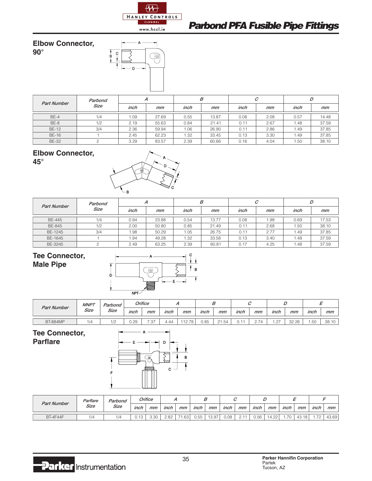

www.hccl.ie

# **Parbond PFA Fusible Pipe Fittings**

**Elbow Connector, 90°**



| <b>Part Number</b> | Parbond |      | Α     |      | B     |      | С    |      | D     |
|--------------------|---------|------|-------|------|-------|------|------|------|-------|
|                    | Size    | inch | mm    | inch | mm    | inch | mm   | inch | mm    |
| BE-4               | 1/4     | 1.09 | 27.69 | 0.55 | 13.87 | 0.08 | 2.08 | 0.57 | 14.48 |
| BE-8               | 1/2     | 2.19 | 55.63 | 0.84 | 21.41 | 0.11 | 2.67 | 1.48 | 37.59 |
| <b>BE-12</b>       | 3/4     | 2.36 | 59.94 | 1.06 | 26.90 | 0.11 | 2.86 | 1.49 | 37.85 |
| <b>BE-16</b>       |         | 2.45 | 62.23 | 1.32 | 33.45 | 0.13 | 3.30 | 1.49 | 37.85 |
| <b>BE-32</b>       |         | 3.29 | 83.57 | 2.39 | 60.66 | 0.16 | 4.04 | 1.50 | 38.10 |

# **Elbow Connector,**



| <b>Part Number</b> | Parbond |      | А     |      | B     |      | $\sqrt{2}$<br>U |      | D     |
|--------------------|---------|------|-------|------|-------|------|-----------------|------|-------|
|                    | Size    | inch | mm    | inch | mm    | inch | mm              | inch | mm    |
| <b>BE-445</b>      | 1/4     | 0.94 | 23.88 | 0.54 | 13.77 | 0.08 | 1.98            | 0.69 | 17.53 |
| <b>BE-845</b>      | 1/2     | 2.00 | 50.80 | 0.85 | 21.49 | 0.11 | 2.68            | 1.50 | 38.10 |
| BE-1245            | 3/4     | 1.98 | 50.29 | 1.05 | 26.75 | 0.11 | 2.77            | 1.49 | 37.85 |
| BE-1645            |         | 1.94 | 49.28 | 1.32 | 33.58 | 0.13 | 3.40            | 1.48 | 37.59 |
| BE-3245            |         | 2.49 | 63.25 | 2.39 | 60.81 | 0.17 | 4.25            | 1.48 | 37.59 |

#### **Tee Connector, Male Pipe**



|                    | <b>MNPT</b> | Parbond |      | Orifice |      |           |      | ∼                          |      |               |            |       |                         |       |
|--------------------|-------------|---------|------|---------|------|-----------|------|----------------------------|------|---------------|------------|-------|-------------------------|-------|
| <b>Part Number</b> | Size        | Size    | inch | mm      | inch | mm        | inch | mm                         | inch | mm            | inch       | mm    | inch                    | mm    |
| <b>BT-884MP</b>    | 1/4         | 1/2     | 0.29 | 7.37    | 4.44 | .78<br>12 | 0.85 | .54<br>$\bigcap$ $\bigcup$ | U.   | $\rightarrow$ | .27<br>$-$ | 32.26 | $ -$<br>$\sim$<br>1. UU | 38.10 |

**Tee Connector,**



| <b>Part Number</b> | Parflare | Parbond<br>Size | Orifice           |    |      |      |      |       |      |    |      |       |      |       |                          |       |
|--------------------|----------|-----------------|-------------------|----|------|------|------|-------|------|----|------|-------|------|-------|--------------------------|-------|
|                    | Size     |                 | inch              | mm | inch | mm   | inch | mm    | inch | mm | inch | mm    | inch | mm    | inch                     | mm    |
| <b>BT-4F44F</b>    | 1/4      | $1/\Delta$      | 12<br><b>U.IU</b> | ാറ | 2.82 | 1.63 | 0.55 | 13.97 | 0.08 | .  | 0.56 | 14.22 | 70   | 43.18 | $\overline{\phantom{a}}$ | 43.69 |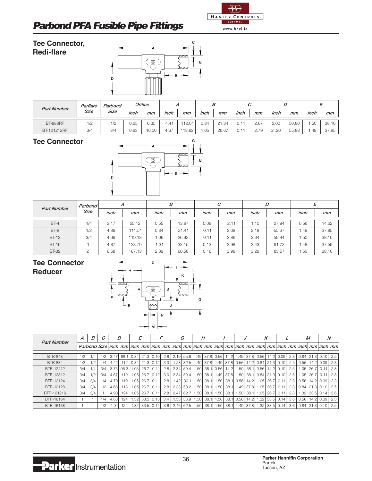

# **Parbond PFA Fusible Pipe Fittings**

C A  $\overline{\mathbb{B}}$ B  $E =$ D

| <b>Part Number</b><br>Size | Parflare | Parbond |      | Orifice |                  |       |      | В     |      |      |      | L     |      |       |
|----------------------------|----------|---------|------|---------|------------------|-------|------|-------|------|------|------|-------|------|-------|
|                            |          | Size    | inch | mm      | inch             | mm    | inch | mm    | inch | mm   | inch | mm    | inch | mm    |
| <b>BT-888RF</b>            | 1/2      | 1/2     | 0.25 | 6.35    | 4.4 <sup>1</sup> | 12.01 | 0.84 | 21.34 | ∩ ⊣- | 2.67 | 2.00 | 50.80 | .50  | 38.10 |
| BT-121212RF                | 3/4      | 3/4     | 0.63 | 16.00   | 4.67             | 18.62 | .05  | 26.67 | 0.11 | .79  | .20  | 55.88 | . 49 | 37.85 |

**Tee Connector,**

**Redi-flare**



| <b>Part Number</b> | Parbond  |      | А      | В    |       |      | C    |      | D     |      | Ε     |
|--------------------|----------|------|--------|------|-------|------|------|------|-------|------|-------|
|                    | Size     | inch | mm     | inch | mm    | inch | mm   | inch | mm    | inch | mm    |
| $BT-4$             | 1/4      | 2.17 | 55.12  | 0.55 | 13.97 | 0.08 | 2.11 | 1.10 | 27.94 | 0.56 | 14.22 |
| BT-8               | 1/2      | 4.39 | 111.51 | 0.84 | 21.41 | 0.11 | 2.68 | 2.18 | 55.37 | 1.49 | 37.85 |
| <b>BT-12</b>       | 3/4      | 4.69 | 119.13 | 1.06 | 26.92 | 0.11 | 2.86 | 2.34 | 59.44 | 1.50 | 38.10 |
| <b>BT-16</b>       |          | 4.87 | 123.70 | 31.، | 33.15 | 0.12 | 2.98 | 2.43 | 61.72 | 1.48 | 37.59 |
| <b>BT-32</b>       | $\Omega$ | 6.58 | 167.13 | 2.39 | 60.58 | 0.16 | 3.99 | 3.29 | 83.57 | 1.50 | 38.10 |

### **Tee Connector Reducer**



| <b>Part Number</b> | A   | В   | C   |      |      |      |      |           |     |       | G          |      | Н     |           |      | υ    |      |           | ĸ     |                          |     |       | M         |                                                                                                              | N   |
|--------------------|-----|-----|-----|------|------|------|------|-----------|-----|-------|------------|------|-------|-----------|------|------|------|-----------|-------|--------------------------|-----|-------|-----------|--------------------------------------------------------------------------------------------------------------|-----|
|                    |     |     |     |      |      |      |      |           |     |       |            |      |       |           |      |      |      |           |       |                          |     |       |           | Parbond Size inch mm inch mm inch mm inch mm inch mm inch mm inch mm inch mm inch mm inch mm inch mm inch mm |     |
| <b>BTR-848</b>     | 1/2 | 1/4 | 1/2 | 3.47 | 88.1 | 0.84 |      | 21.3 0.10 | 2.6 | 12.19 | $55.6$   1 | .49  | 37.8  | 0.56      | 14.2 | 1.49 |      | 37.8 0.56 | 14.2  | 0.09 <sup>1</sup>        | 2.3 | 0.84  |           | 21.3 0.10                                                                                                    | 2.5 |
| <b>BTR-884</b>     | 1/2 | 1/2 | 1/4 | 4.42 |      | 0.84 |      | 21.3 0.12 | 3.0 | .281  | 32.5       | .49  | 37.81 | .49       | 37.8 | 0.56 | 14.2 | 0.84      | 21.3  | 0.10                     | 2.5 | 0.56  | 14.21     | 0.09                                                                                                         | 2.3 |
| BTR-12412          | 3/4 | 1/4 | 3/4 | 3.75 | 95.3 | .051 | 26.7 | 0.11      | 2.8 | 2.34  | 59.4       | .50  |       | 38.1 0.56 | 14.2 | 1.50 | 38.1 | 0.56      | 14.2  | 0.10                     | 2.5 | 1.05  | 26.7      |                                                                                                              | 2.8 |
| BTR-12812          | 3/4 | 1/2 | 3/4 | 4.67 | 119  | .05  | 26.7 | 0.12      | 3.0 | 2.34  | 59.4       | 1.50 | 38.1  | ا 49. ،   | 37.8 | 1.50 | 38.1 | 0.84      | 21.3  | 0.10                     | 2.5 | 1.051 | 26.7      |                                                                                                              | 2.8 |
| BTR-12124          | 3/4 | 3/4 | 1/4 | 4.70 | 119  | .05  | 26.7 | 0.11      | 2.8 | .42   | 36.1       | .50  | 38.1  | 1.50      | 38.1 | 0.56 | 14.2 | 1.05      | 26.7  | 0.11                     | 2.8 | 0.56  |           | 14.2 0.09                                                                                                    | 2.3 |
| BTR-12128          | 3/4 | 3/4 | 1/2 | 4.66 | 118  | .05  | 26.7 | 0.11      | 2.8 | 2.33  | 59.2       | .50  | 38.1  | 1.50      | 38.1 | 1.49 | 37.8 | 1.05      | 26.7  | 0.11                     | 2.8 | 0.84  | 21.3 0.10 |                                                                                                              | 2.5 |
| BTR-121216         | 3/4 | 3/4 |     | 4.90 | 124. | .05  | 26.7 | 0.11      | 2.8 | 2.47  | 62.7       | .50  | 38.1  | 1.50      | 38.1 | 1.50 | 38.1 | 1.05      | 26.7  | 0.11                     | 2.8 | 1.32  |           | 33.5 0.14                                                                                                    | 3.6 |
| BTR-16164          |     |     | 1/4 | 4.88 | 124  | .32  | 33.5 | 0.13      | 3.4 | .53   | 38.9       | .50  | 38.1  | 1.50      | 38.1 | 0.56 | 14.2 | 1.32      | 33.51 | 0.14                     | 3.6 | 0.56  | 14.21     | 0.09                                                                                                         | 2.3 |
| BTR-16168          |     |     | 1/2 | 4.91 | 124  | .32  |      | 33.5 0.14 | 3.6 | 2.46  | $62.5$   1 | 1.50 | 38.1  | 1.50      | 38.1 |      |      |           |       | 1.49 37.8 1.32 33.5 0.14 | 3.6 |       |           | $0.84$   21.3  0.10                                                                                          | 2.5 |

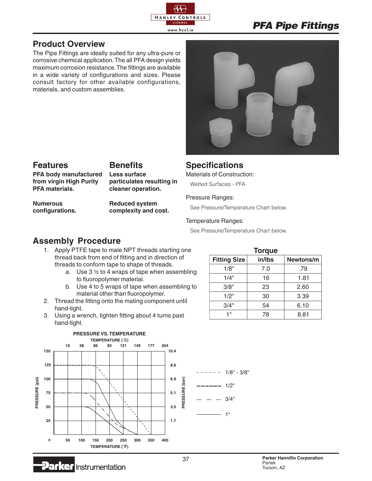

# **PFA Pipe Fittings**

### **Product Overview**

The Pipe Fittings are ideally suited for any ultra-pure or corrosive chemical application. The all PFA design yields maximum corrosion resistance. The fittings are available in a wide variety of configurations and sizes. Please consult factory for other available configurations, materials, and custom assemblies.



## **Features**

## **Benefits**

**PFA body manufactured from virgin High Purity PFA materials.**

**Numerous configurations.** **Less surface particulates resulting in cleaner operation.**

**Reduced system complexity and cost.**

### **Specifications**

Materials of Construction:

Wetted Surfaces - PFA

#### Pressure Ranges:

See Pressure/Temperature Chart below.

#### Temperature Ranges:

See Pressure/Temperature Chart below.

### **Assembly Procedure**

**Parker Instrumentation** 

- 1. Apply PTFE tape to male NPT threads starting one thread back from end of fitting and in direction of threads to conform tape to shape of threads.
	- a. Use  $3\frac{1}{2}$  to 4 wraps of tape when assembling to fluoropolymer material.
	- b. Use 4 to 5 wraps of tape when assembling to material other than fluoropolymer.
- 2. Thread the fitting onto the mating component until hand-tight.
- 3. Using a wrench, tighten fitting about 4 turns past hand-tight.

| <b>Torque</b>       |        |           |  |  |  |  |  |  |  |  |  |  |
|---------------------|--------|-----------|--|--|--|--|--|--|--|--|--|--|
| <b>Fitting Size</b> | in/lbs | Newtons/m |  |  |  |  |  |  |  |  |  |  |
| 1/8"                | 7.0    | .79       |  |  |  |  |  |  |  |  |  |  |
| 1/4"                | 16     | 1.81      |  |  |  |  |  |  |  |  |  |  |
| 3/8"                | 23     | 2.60      |  |  |  |  |  |  |  |  |  |  |
| 1/2"                | 30     | 3.39      |  |  |  |  |  |  |  |  |  |  |
| 3/4"                | 54     | 6.10      |  |  |  |  |  |  |  |  |  |  |
| 4 !!                | 78     | 8.81      |  |  |  |  |  |  |  |  |  |  |

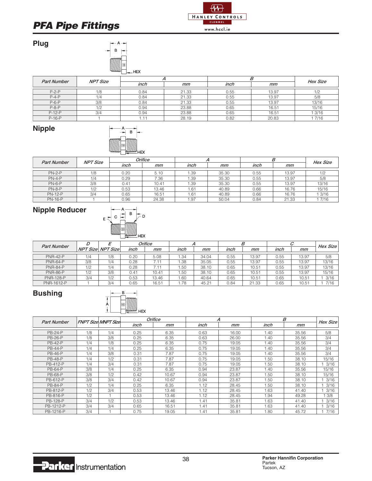# **PFA Pipe Fittings**



**Plug**



| <b>Part Number</b> | <b>NPT Size</b> |      |       |      |       | <b>Hex Size</b> |
|--------------------|-----------------|------|-------|------|-------|-----------------|
|                    |                 | inch | mm    | inch | mm    |                 |
| $P-2-P$            | 1/8             | 0.84 | 21.33 | 0.55 | 13.97 | 1/2             |
| $P-4-P$            | 1/4             | 0.84 | 21.33 | 0.55 | 13.97 | 5/8             |
| $P-6-P$            | 3/8             | 0.84 | 21.33 | 0.55 | 13.97 | 13/16           |
| $P-8-P$            | 1/2             | 0.94 | 23.88 | 0.65 | 16.51 | 15/16           |
| $P-12-P$           | 3/4             | 0.94 | 23.88 | 0.65 | 16.51 | 3/16            |
| $P-16-P$           |                 |      | 28.19 | 0.82 | 20.83 | 7/16            |

## **Nipple**



| <b>Part Number</b> | <b>NPT Size</b> |      | Orifice |      |       |      |       | <b>Hex Size</b> |  |
|--------------------|-----------------|------|---------|------|-------|------|-------|-----------------|--|
|                    |                 | inch | mm      | inch | mm    | inch | mm    |                 |  |
| $PN-2-P$           | 1/8             | 0.20 | 5.10    | .39  | 35.30 | 0.55 | 13.97 | 1/2             |  |
| $PN-4-P$           | 1/4             | 0.29 | 7.36    | 1.39 | 35.30 | 0.55 | 13.97 | 5/8             |  |
| $PN-6-P$           | 3/8             | 0.41 | 10.41   | 1.39 | 35.30 | 0.55 | 13.97 | 13/16           |  |
| $PN-8-P$           | 1/2             | 0.53 | 13.46   | . 61 | 40.89 | 0.66 | 16.76 | 15/16           |  |
| <b>PN-12-P</b>     | 3/4             | 0.65 | 16.51   | . 61 | 40.89 | 0.66 | 16.76 | 1 3/16          |  |
| <b>PN-16-P</b>     |                 | 0.96 | 24.38   | 1.97 | 50.04 | 0.84 | 21.33 | 7/16            |  |

### **Nipple Reducer**



| <b>Part Number</b> |     |                          |      | Orifice |       |       |      |       |      |       | Hex Size |
|--------------------|-----|--------------------------|------|---------|-------|-------|------|-------|------|-------|----------|
|                    |     | <b>NPT Size NPT Size</b> | inch | mm      | inch  | mm    | inch | mm    | inch | mm    |          |
| <b>PNR-42-P</b>    | 1/4 | 1/8                      | 0.20 | 5.08    | 1.34  | 34.04 | 0.55 | 13.97 | 0.55 | 13.97 | 5/8      |
| <b>PNR-64-P</b>    | 3/8 | 1/4                      | 0.28 | 7.11    | 38، ا | 35.05 | 0.55 | 13.97 | 0.55 | 13.97 | 13/16    |
| <b>PNR-84-P</b>    | 1/2 | 1/4                      | 0.28 | 7.11    | 50،،  | 38.10 | 0.65 | 10.51 | 0.55 | 13.97 | 13/16    |
| <b>PNR-86-P</b>    | 1/2 | 3/8                      | 0.41 | 10.41   | 1.50  | 38.10 | 0.65 | 10.51 | 0.55 | 13.97 | 15/16    |
| <b>PNR-128-P</b>   | 3/4 | 1/2                      | 0.53 | 13.46   | i .60 | 40.64 | 0.65 | 10.51 | 0.65 | 10.51 | 3/16     |
| PNR-1612-P         |     | 3/4                      | 0.65 | 16.51   | .78   | 45.21 | 0.84 | 21.33 | 0.65 | 10.51 | 7/16     |

### **Bushing**



| <b>Part Number</b> |     | FNPT Size MNPT Size |      | Orifice | Α    |       |      | В     | <b>Hex Size</b> |
|--------------------|-----|---------------------|------|---------|------|-------|------|-------|-----------------|
|                    |     |                     | inch | mm      | inch | mm    | inch | mm    |                 |
| <b>PB-24-P</b>     | 1/8 | 1/4                 | 0.25 | 6.35    | 0.63 | 16.00 | 1.40 | 35.56 | 5/8             |
| <b>PB-26-P</b>     | 1/8 | 3/8                 | 0.25 | 6.35    | 0.63 | 26.00 | 1.40 | 35.56 | 3/4             |
| <b>PB-42-P</b>     | 1/4 | 1/8                 | 0.25 | 6.35    | 0.75 | 19.05 | 1.40 | 35.56 | 3/4             |
| <b>PB-44-P</b>     | 1/4 | 1/4                 | 0.25 | 6.35    | 0.75 | 19.05 | 1.40 | 35.56 | 3/4             |
| <b>PB-46-P</b>     | 1/4 | 3/8                 | 0.31 | 7.87    | 0.75 | 19.05 | 1.40 | 35.56 | 3/4             |
| <b>PB-48-P</b>     | 1/4 | 1/2                 | 0.31 | 7.87    | 0.75 | 19.05 | 1.50 | 38.10 | 15/16           |
| PB-412-P           | 1/4 | 3/4                 | 0.31 | 7.87    | 0.75 | 19.05 | 1.50 | 38.10 | 3/16            |
| <b>PB-64-P</b>     | 3/8 | 1/4                 | 0.25 | 6.35    | 0.94 | 23.87 | 1.40 | 35.56 | 15/16           |
| <b>PB-68-P</b>     | 3/8 | 1/2                 | 0.42 | 10.67   | 0.94 | 23.87 | 1.50 | 38.10 | 15/16           |
| PB-612-P           | 3/8 | 3/4                 | 0.42 | 10.67   | 0.94 | 23.87 | 1.50 | 38.10 | 3/16            |
| <b>PB-84-P</b>     | 1/2 | 1/4                 | 0.25 | 6.35    | 1.12 | 28.45 | 1.50 | 38.10 | 3/16            |
| PB-812-P           | 1/2 | 3/4                 | 0.53 | 13.46   | 1.12 | 28.45 | 1.63 | 41.40 | 3/16            |
| PB-816-P           | 1/2 |                     | 0.53 | 13.46   | 1.12 | 28.45 | 1.94 | 49.28 | 3/8             |
| <b>PB-128-P</b>    | 3/4 | 1/2                 | 0.53 | 13.46   | 1.41 | 35.81 | 1.63 | 41.40 | 3/16            |
| PB-1212-P          | 3/4 | 3/4                 | 0.65 | 16.51   | 1.41 | 35.81 | 1.63 | 41.40 | 3/16            |
| PB-1216-P          | 3/4 |                     | 0.75 | 19.05   | 1.41 | 35.81 | 1.80 | 45.72 | 7/16            |

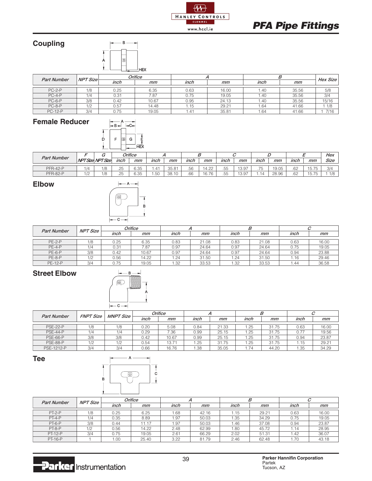

# **PFA Pipe Fittings**

#### **Coupling** B d. A **HEX**

| <b>Part Number</b> | <b>NPT Size</b> |      | Orifice |       |       |      |       | Hex Size |
|--------------------|-----------------|------|---------|-------|-------|------|-------|----------|
|                    |                 | inch | mm      | inch  | mm    | inch | mm    |          |
|                    |                 |      |         |       |       |      |       |          |
| $PC-2-P$           | 1/8             | 0.25 | 6.35    | 0.63  | 16.00 | 1.40 | 35.56 | 5/8      |
| $PC-4-P$           | 1/4             | 0.31 | 7.87    | 0.75  | 19.05 | 1.40 | 35.56 | 3/4      |
| $PC-6-P$           | 3/8             | 0.42 | 10.67   | 0.95  | 24.13 | 1.40 | 35.56 | 15/16    |
| $PC-8-P$           | 1/2             | 0.57 | 14.48   | l. 15 | 29.21 | 1.64 | 41.66 | 1/8      |
| <b>PC-12-P</b>     | 3/4             | ე.75 | 19.05   | 1.41  | 35.81 | 1.64 | 41.66 | 7/16     |

### **Female Reducer**

| $-B-$ |              |        |            |
|-------|--------------|--------|------------|
| F     | $\mathbb{R}$ | G      | Ē          |
|       |              |        | <b>HEX</b> |
|       |              | rifica |            |

 $\begin{bmatrix} 1 \\ 0 \\ 1 \end{bmatrix}$ 

| <b>Part Number</b> |     |                          |               | Orifice |            |       |      | В     |           |                       | L                                        |       |      |                                                        | Hex  |
|--------------------|-----|--------------------------|---------------|---------|------------|-------|------|-------|-----------|-----------------------|------------------------------------------|-------|------|--------------------------------------------------------|------|
|                    |     | <b>NPT Size NPT Size</b> | inch          | mm      | inch       | mm    | inch | mm    | inch      | mm                    | inch                                     | mm    | inch | mm                                                     | Size |
| <b>PFR-42-P</b>    | 1/4 | 1/8                      | .25           | 6.35    | $.4^*$     | 35.81 | .56  | 4.22  | .55       | 13.97                 | $\overline{\phantom{a}}$<br>, p<br>ں ، . | 19.05 | .62  | 1 <sub>5</sub><br>75<br>J. I J                         | 3/4  |
| <b>PFR-82-P</b>    | 1/2 | 1/8                      | $\sim$<br>ے ۔ | 6.35    | EΩ.<br>.JU | 38.1  | .66  | 16.76 | --<br>.55 | $\sim$<br>∹ ч<br>ا ب∪ | . .                                      | 28.96 | .62  | $\overline{\phantom{0}}$<br>$- -$<br>$\cup$ . $\prime$ | 1/8  |

#### **Elbow**



| <b>Part Number</b> | <b>NPT Size</b> |      | Orifice |      |       |      |       |      |       |
|--------------------|-----------------|------|---------|------|-------|------|-------|------|-------|
|                    |                 | inch | mm      | inch | mm    | inch | mm    | inch | mm    |
|                    |                 |      |         |      |       |      |       |      |       |
| $PE-2-P$           | 1/8             | 0.25 | 6.35    | 0.83 | 21.08 | 0.83 | 21.08 | 0.63 | 16.00 |
| $PF-4-P$           | 1/4             | 0.31 | 7.87    | 0.97 | 24.64 | 0.97 | 24.64 | 0.75 | 19.05 |
| $PE-6-P$           | 3/8             | 0.42 | 10.67   | 0.97 | 24.64 | 0.97 | 24.64 | 0.94 | 23.88 |
| $PE-8-P$           | 1/2             | 0.56 | 14.22   | 1.24 | 31.50 | .24  | 31.50 | 1.16 | 29.46 |
| <b>PE-12-P</b>     | 3/4             | 0.75 | 19.05   | .32  | 33.53 | .32  | 33.53 | .44  | 36.58 |

### **Street Elbow**



| <b>Part Number</b> | <b>FNPT Size</b> | <b>MNPT Size</b> |      | Orifice |      |       |      | В     |      |       |
|--------------------|------------------|------------------|------|---------|------|-------|------|-------|------|-------|
|                    |                  |                  | inch | mm      | inch | mm    | inch | mm    | inch | mm    |
|                    |                  |                  |      |         |      |       |      |       |      |       |
| <b>PSE-22-P</b>    | 1/8              | 1/8              | 0.20 | 5.08    | 0.84 | 21.33 | .25  | 31.75 | 0.63 | 16.00 |
| <b>PSE-44-P</b>    | 1/4              | 1/4              | 0.29 | 7.36    | 0.99 | 25.15 | .25  | 31.75 | 0.77 | 19.56 |
| <b>PSE-66-P</b>    | 3/8              | 3/8              | 0.42 | 10.67   | 0.99 | 25.15 | .25  | 31.75 | 0.94 | 23.87 |
| <b>PSE-88-P</b>    | 1/2              | 1/2              | 0.54 | 13.71   | 1.25 | 31.75 | . 25 | 31.75 | 1.15 | 29.21 |
| PSE-1212-P         | 3/4              | 3/4              | 0.66 | 16.76   | 1.38 | 35.05 | 1.74 | 44.20 | 1.35 | 34.29 |

**Tee**



| <b>Part Number</b> | <b>NPT Size</b> |      | Orifice |      |       |      |       |      |       |
|--------------------|-----------------|------|---------|------|-------|------|-------|------|-------|
|                    |                 | inch | mm      | inch | mm    | inch | mm    | inch | mm    |
| $PT-2-P$           | 1/8             | 0.25 | 6.25    | .68  | 42.16 | 1.15 | 29.21 | 0.63 | 16.00 |
| $PT-4-P$           | 1/4             | 0.35 | 8.89    | .97  | 50.03 | 1.35 | 34.29 | 0.75 | 19.05 |
| $PT-6-P$           | 3/8             | 0.44 | 11.17   | .97  | 50.03 | 1.46 | 37.08 | 0.94 | 23.87 |
| $PT-8-P$           | 1/2             | 0.56 | 14.22   | 2.48 | 62.99 | 80،، | 45.72 | 1.14 | 28.95 |
| PT-12-P            | 3/4             | 0.75 | 19.05   | 2.61 | 66.29 | 2.02 | 51.31 | 1.42 | 36.07 |
| <b>PT-16-P</b>     |                 | 00.1 | 25.40   | 3.22 | 81.79 | 2.46 | 62.48 | .70  | 43.18 |

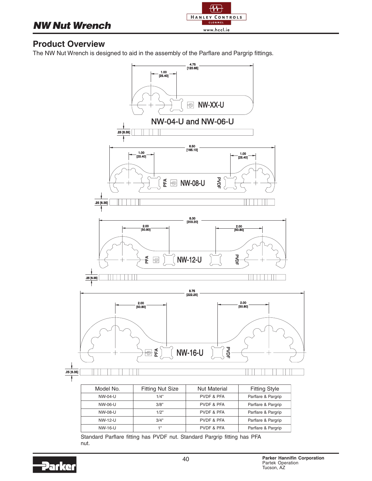# **NW Nut Wrench**



### **Product Overview**

The NW Nut Wrench is designed to aid in the assembly of the Parflare and Pargrip fittings.



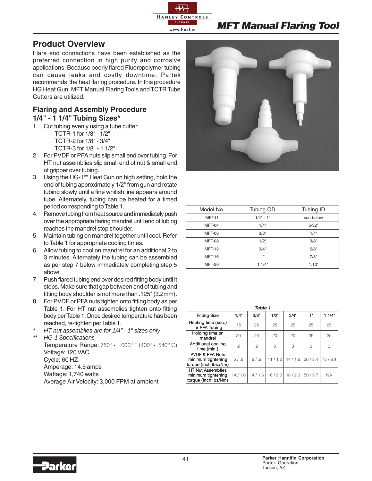

# **MFT Manual Flaring Tool**

# **Product Overview**

Flare end connections have been established as the preferred connection in high purity and corrosive applications. Because poorly flared Fluoropolymer tubing can cause leaks and costly downtime, Partek recommends the heat flaring procedure. In this procedure HG Heat Gun, MFT Manual Flaring Tools and TCTR Tube Cutters are utilized.

#### **Flaring and Assembly Procedure 1/4" - 1 1/4" Tubing Sizes\***

- 1. Cut tubing evenly using a tube cutter: TCTR-1 for 1/8" - 1/2" TCTR-2 for 1/8" - 3/4" TCTR-3 for 1/8" - 1 1/2"
- 2. For PVDF or PFA nuts slip small end over tubing. For HT nut assemblies slip small end of nut & small end of gripper over tubing.
- 3. Using the HG-1\*\* Heat Gun on high setting, hold the end of tubing approximately 1/2" from gun and rotate tubing slowly until a fine whitish line appears around tube. Alternately, tubing can be heated for a timed period corresponding to Table 1.
- 4. Remove tubing from heat source and immediately push over the appropriate flaring mandrel until end of tubing reaches the mandrel stop shoulder.
- 5. Maintain tubing on mandrel together until cool. Refer to Table 1 for appropriate cooling times.
- 6. Allow tubing to cool on mandrel for an additional 2 to 3 minutes. Alternately the tubing can be assembled as per step 7 below immediately completing step 5 above.
- 7. Push flared tubing end over desired fitting body until it stops. Make sure that gap between end of tubing and fitting body shoulder is not more than .125" (3.2mm).
- 8. For PVDF or PFA nuts tighten onto fitting body as per Table 1. For HT nut assemblies tighten onto fitting body per Table 1. Once desired temperature has been reached, re-tighten per Table 1.
- *\* HT nut assemblies are for 1/4" 1" sizes only.*
- *\*\* HG-1 Specifications* Temperature Range: 750° - 1000° F (400° - 540° C) Voltage: 120 VAC Cycle: 60 HZ Amperage: 14.5 amps Wattage: 1,740 watts Average Air Velocity: 3,000 FPM at ambient



| Model No.     | Tubing OD   | Tubing ID |
|---------------|-------------|-----------|
| <b>MFT-U</b>  | $1/4" - 1"$ | see below |
| MFT-04        | 1/4"        | 5/32"     |
| <b>MFT-06</b> | 3/8"        | 1/4"      |
| <b>MFT-08</b> | 1/2"        | 3/8"      |
| <b>MFT-12</b> | 3/4"        | 5/8"      |
| <b>MFT-16</b> | 1"          | 7/8"      |
| <b>MFT-20</b> | 11/4"       | 1.10"     |

| Table 1                                                                   |                |                |        |        |        |           |  |  |  |
|---------------------------------------------------------------------------|----------------|----------------|--------|--------|--------|-----------|--|--|--|
| <b>Fitting Size</b>                                                       | 1/4"           | 3/8"           | 1/2"   | 3/4"   | 1"     | 11/4"     |  |  |  |
| Heating time (sec.)<br>for PFA Tubing                                     | 15             | 25             | 25     | 25     | 25     | 25        |  |  |  |
| Holding time on<br>mandrel                                                | 20             | 20             | 20     | 20     | 25     | 25        |  |  |  |
| Additional cooling<br>time (min.)                                         | $\mathfrak{p}$ | $\mathfrak{p}$ | 3      | 3      | 3      | 3         |  |  |  |
| <b>PVDF &amp; PFA Nuts</b><br>minimum tightening<br>torque (inch lbs./Nm) | 5/6            | 8/9            | 11/1.2 | 14/1.6 | 30/3.4 | 75 / 8.4  |  |  |  |
| <b>HT Nut Assemblies</b><br>minimum tightening<br>torque (inch lbs/Nm)    | 14 / 1.6       | 14/1.6         | 18/2.0 | 18/2.0 | 50/5.7 | <b>NA</b> |  |  |  |

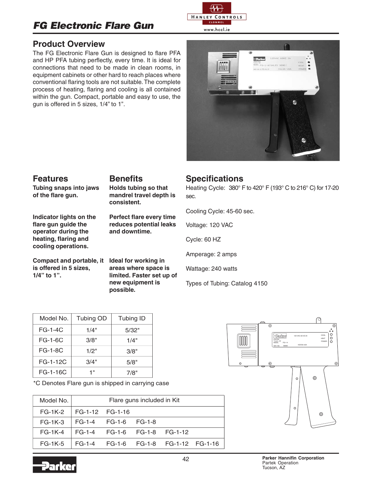# **FG Electronic Flare Gun**

### **Product Overview**

The FG Electronic Flare Gun is designed to flare PFA and HP PFA tubing perflectly, every time. It is ideal for connections that need to be made in clean rooms, in equipment cabinets or other hard to reach places where conventional flaring tools are not suitable. The complete process of heating, flaring and cooling is all contained within the gun. Compact, portable and easy to use, the gun is offered in 5 sizes, 1/4" to 1".







### **Features**

**Benefits**

**Tubing snaps into jaws of the flare gun.**

**Indicator lights on the flare gun guide the operator during the heating, flaring and cooling operations.**

**Holds tubing so that mandrel travel depth is consistent.**

**Perfect flare every time reduces potential leaks and downtime.**

### **Specifications**

Heating Cycle: 380° F to 420° F (193° C to 216° C) for 17-20 sec.

Cooling Cycle: 45-60 sec.

Voltage: 120 VAC

Cycle: 60 HZ

Amperage: 2 amps

Wattage: 240 watts

Types of Tubing: Catalog 4150

| <b>Compact and portable, it</b> |  |
|---------------------------------|--|
| is offered in 5 sizes,          |  |
| $1/4$ " to 1".                  |  |

**Ideal for working in areas where space is limited. Faster set up of new equipment is possible.**

| Model No.      | <b>Tubing OD</b> | Tubing ID |
|----------------|------------------|-----------|
| $FG-1-4C$      | 1/4"             | 5/32"     |
| <b>FG-1-6C</b> | 3/8"             | 1/4"      |
| <b>FG-1-8C</b> | 1/2"             | 3/8"      |
| FG-1-12C       | 3/4"             | 5/8"      |
| FG-1-16C       | 1"               | 7/8"      |

\*C Denotes Flare gun is shipped in carrying case

| Model No. | Flare guns included in Kit |                              |  |                                      |  |  |  |  |
|-----------|----------------------------|------------------------------|--|--------------------------------------|--|--|--|--|
| FG-1K-2   | FG-1-12 FG-1-16            |                              |  |                                      |  |  |  |  |
| $FG-1K-3$ |                            | FG-1-4 FG-1-6 FG-1-8         |  |                                      |  |  |  |  |
| $FG-1K-4$ |                            | FG-1-4 FG-1-6 FG-1-8 FG-1-12 |  |                                      |  |  |  |  |
| $FG-1K-5$ |                            |                              |  | FG-1-4 FG-1-6 FG-1-8 FG-1-12 FG-1-16 |  |  |  |  |



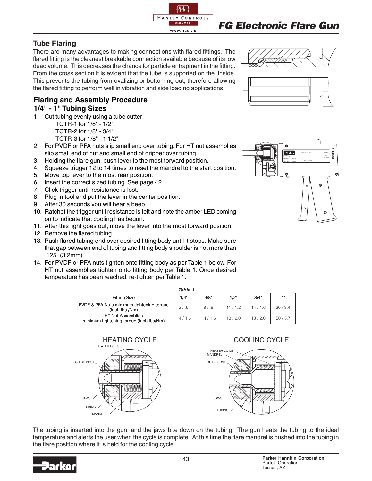

**FG Electronic Flare Gun**

### **Tube Flaring**

There are many advantages to making connections with flared fittings. The flared fitting is the cleanest breakable connection available because of its low dead volume. This decreases the chance for particle entrapment in the fitting. From the cross section it is evident that the tube is supported on the inside. This prevents the tubing from ovalizing or bottoming out, therefore allowing the flared fitting to perform well in vibration and side loading applications.

#### **Flaring and Assembly Procedure 1/4" - 1" Tubing Sizes**

- 1. Cut tubing evenly using a tube cutter: TCTR-1 for 1/8" - 1/2"
	- TCTR-2 for 1/8" 3/4"
	-
	- TCTR-3 for 1/8" 1 1/2"
- 2. For PVDF or PFA nuts slip small end over tubing. For HT nut assemblies slip small end of nut and small end of gripper over tubing.
- 3. Holding the flare gun, push lever to the most forward position.
- 4. Squeeze trigger 12 to 14 times to reset the mandrel to the start position.
- 5. Move top lever to the most rear position.
- 6. Insert the correct sized tubing. See page 42.
- 7. Click trigger until resistance is lost.
- 8. Plug in tool and put the lever in the center position.
- 9. After 30 seconds you will hear a beep.
- 10. Ratchet the trigger until resistance is felt and note the amber LED coming on to indicate that cooling has begun.
- 11. After this light goes out, move the lever into the most forward position.
- 12. Remove the flared tubing.
- 13. Push flared tubing end over desired fitting body until it stops. Make sure that gap between end of tubing and fitting body shoulder is not more than .125" (3.2mm).
- 14. For PVDF or PFA nuts tighten onto fitting body as per Table 1 below. For HT nut assemblies tighten onto fitting body per Table 1. Once desired temperature has been reached, re-tighten per Table 1.

| Table 1                                                             |        |        |        |        |        |  |  |  |
|---------------------------------------------------------------------|--------|--------|--------|--------|--------|--|--|--|
| <b>Fitting Size</b>                                                 | 1/4"   | 3/8"   | 1/2"   | 3/4"   | 1"     |  |  |  |
| PVDF & PFA Nuts minimum tightening torque<br>(inch lbs./Nm)         | 5/6    | 8/9    | 11/1.2 | 14/1.6 | 30/3.4 |  |  |  |
| <b>HT Nut Assemblies</b><br>minimum tightening torque (inch lbs/Nm) | 14/1.6 | 14/1.6 | 18/2.0 | 18/2.0 | 50/5.7 |  |  |  |





The tubing is inserted into the gun, and the jaws bite down on the tubing. The gun heats the tubing to the ideal temperature and alerts the user when the cycle is complete. At this time the flare mandrel is pushed into the tubing in the flare position where it is held for the cooling cycle





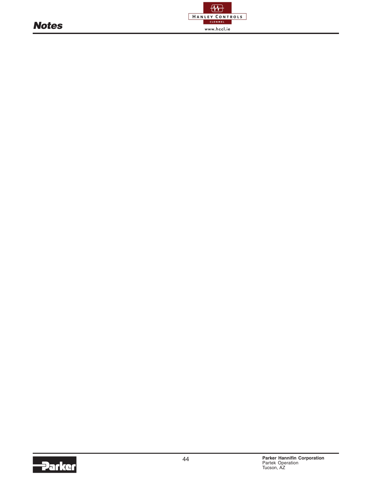

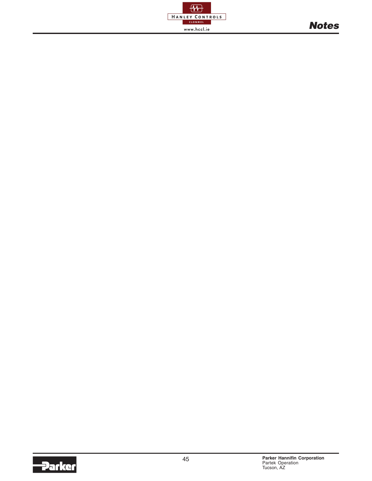

# **Notes**

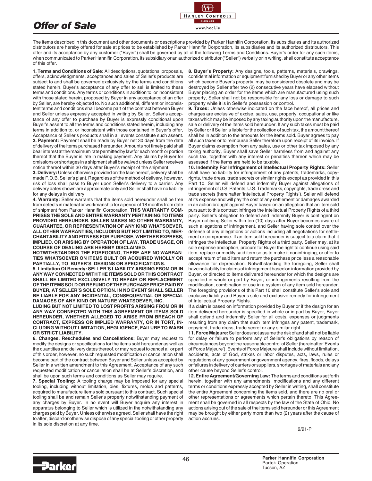# **Offer of Sale**



The items described in this document and other documents or descriptions provided by Parker Hannifin Corporation, its subsidiaries and its authorized distributors are hereby offered for sale at prices to be established by Parker Hannifin Corporation, its subsidiaries and its authorized distributors. This offer and its acceptance by any customer ("Buyer") shall be governed by all of the following Terms and Conditions. Buyer's order for any such items, when communicated to Parker Hannifin Corporation, its subsidiary or an authorized distributor ("Seller") verbally or in writing, shall constitute acceptance of this offer.

**1. Terms and Conditions of Sale:** All descriptions, quotations, proposals, offers, acknowledgments, acceptances and sales of Seller's products are subject to and shall be governed exclusively by the terms and conditions stated herein. Buyer's acceptance of any offer to sell is limited to these terms and conditions. Any terms or conditions in addition to, or inconsistent with those stated herein, proposed by Buyer in any acceptance of an offer by Seller, are hereby objected to. No such additional, different or inconsistent terms and conditions shall become part of the contract between Buyer and Seller unless expressly accepted in writing by Seller. Seller's acceptance of any offer to purchase by Buyer is expressly conditional upon Buyer's assent to all the terms and conditions stated herein, including any terms in addition to, or inconsistent with those contained in Buyer's offer, Acceptance of Seller's products shall in all events constitute such assent. **2. Payment:** Payment shall be made by Buyer net 30 days from the date of delivery of the items purchased hereunder. Amounts not timely paid shall bear interest at the maximum rate permitted by law for each month or portion thereof that the Buyer is late in making payment. Any claims by Buyer for omissions or shortages in a shipment shall be waived unless Seller receives notice thereof within 30 days after Buyer's receipt of the shipment.

**3. Delivery:** Unless otherwise provided on the face hereof, delivery shall be made F.O.B. Seller's plant. Regardless of the method of delivery, however, risk of loss shall pass to Buyer upon Seller's delivery to a carrier. Any delivery dates shown are approximate only and Seller shall have no liability for any delays in delivery.

**4. Warranty:** Seller warrants that the items sold hereunder shall be free from defects in material or workmanship for a period of 18 months from date of shipment from Parker Hannifin Corporation. **THIS WARRANTY COM-PRISES THE SOLE AND ENTIRE WARRANTY PERTAINING TO ITEMS PROVIDED HEREUNDER. SELLER MAKES NO OTHER WARRANTY, GUARANTEE, OR REPRESENTATION OF ANY KIND WHATSOEVER. ALL OTHER WARRANTIES, INCLUDING BUT NOT LIMITED TO, MER-CHANTABILITY AND FITNESS FOR PURPOSE, WHETHER EXPRESS, IMPLIED, OR ARISING BY OPERATION OF LAW, TRADE USAGE, OR COURSE OF DEALING ARE HEREBY DISCLAIMED.**

**NOTWITHSTANDING THE FOREGOING, THERE ARE NO WARRAN-TIES WHATSOEVER ON ITEMS BUILT OR ACQUIRED WHOLLY OR PARTIALLY, TO BUYER'S DESIGNS OR SPECIFICATIONS.**

**5. Limitation Of Remedy: SELLER'S LIABILITY ARISING FROM OR IN ANY WAY CONNECTED WITH THE ITEMS SOLD OR THIS CONTRACT SHALL BE LIMITED EXCLUSIVELY TO REPAIR OR REPLACEMENT OF THE ITEMS SOLD OR REFUND OF THE PURCHASE PRICE PAID BY BUYER, AT SELLER'S SOLE OPTION. IN NO EVENT SHALL SELLER BE LIABLE FOR ANY INCIDENTAL, CONSEQUENTIAL OR SPECIAL DAMAGES OF ANY KIND OR NATURE WHATSOEVER, INC.**

**LUDING BUT NOT LIMITED TO LOST PROFITS ARISING FROM OR IN ANY WAY CONNECTED WITH THIS AGREEMENT OR ITEMS SOLD HEREUNDER, WHETHER ALLEGED TO ARISE FROM BREACH OF CONTRACT, EXPRESS OR IMPLIED WARRANTY, OR IN TORT, IN-CLUDING WITHOUT LIMITATION, NEGLIGENCE, FAILURE TO WARN OR STRICT LIABILITY.**

**6. Changes, Reschedules and Cancellations:** Buyer may request to modify the designs or specifications for the items sold hereunder as well as the quantities and delivery dates thereof, or may request to cancel all or part of this order, however, no such requested modification or cancellation shall become part of the contract between Buyer and Seller unless accepted by Seller in a written amendment to this Agreement. Acceptance of any such requested modification or cancellation shall be at Seller's discretion, and shall be upon such terms and conditions as Seller may require.

**7. Special Tooling:** A tooling charge may be imposed for any special tooling, including without limitation, dies, fixtures, molds and patterns, acquired to manufacture items sold pursuant to this contract. Such special tooling shall be and remain Seller's property notwithstanding payment of any charges by Buyer. In no event will Buyer acquire any interest in apparatus belonging to Seller which is utilized in the notwithstanding any charges paid by Buyer. Unless otherwise agreed, Seller shall have the right to alter, discard or otherwise dispose of any special tooling or other property in its sole discretion at any time.

**8. Buyer's Property:** Any designs, tools, patterns, materials, drawings, confidential information or equipment furnished by Buyer or any other items which become Buyer's property, may be considered obsolete and may be destroyed by Seller after two (2) consecutive years have elapsed without Buyer placing an order for the items which are manufactured using such property, Seller shall not be responsible for any loss or damage to such property while it is in Seller's possession or control.

**9. Taxes:** Unless otherwise indicated on the face hereof, all prices and charges are exclusive of excise, sales, use, property, occupational or like taxes which may be imposed by any taxing authority upon the manufacture, sale or delivery of the items sold hereunder. If any such taxes must be paid by Seller or if Seller is liable for the collection of such tax, the amount thereof shall be in addition to the amounts for the items sold. Buyer agrees to pay all such taxes or to reimburse Seller therefore upon receipt of its invoice. If Buyer claims exemption from any sales, use or other tax imposed by any taxing authority, Buyer shall save Seller harmless from and against any such tax, together with any interest or penalties thereon which may be assessed if the items are held to be taxable.

**10. Indemnity For Infringement of Intellectual Property Rights:** Seller shall have no liability for infringement of any patents, trademarks, copyrights, trade dress, trade secrets or similar rights except as provided in this Part 10. Seller will defend and indemnify Buyer against allegations of infringement of U.S. Patents, U.S. Trademarks, copyrights, trade dress and trade secrets (hereinafter 'Intellectual Property Rights'). Seller will defend at its expense and will pay the cost of any settlement or damages awarded in an action brought against Buyer based on an allegation that an item sold pursuant to this contract infringes the Intellectual Property Rights of a third party. Seller's obligation to defend and indemnify Buyer is contingent on Buyer notifying Seller within ten (10) days after Buyer becomes aware of such allegations of infringement, and Seller having sole control over the defense of any allegations or actions including all negotiations for settlement or compromise. If an item sold hereunder is subject to a claim that it infringes the Intellectual Property Rights of a third party, Seller may, at its sole expense and option, procure for Buyer the right to continue using said item, replace or modify said item so as to make it noninfringing, or offer to accept return of said item and return the purchase price less a reasonable allowance for depreciation. Notwithstanding the foregoing, Seller shall have no liability for claims of infringement based on information provided by Buyer, or directed to items delivered hereunder for which the designs are specified in whole or part by Buyer, or infringements resulting from the modification, combination or use in a system of any item sold hereunder. The foregoing provisions of this Part 10 shall constitute Seller's sole and exclusive liability and Buyer's sole and exclusive remedy for infringement of Intellectual Property Rights.

If a claim is based on information provided by Buyer or if the design for an item delivered hereunder is specified in whole or in part by Buyer, Buyer shall defend and indemnify Seller for all costs, expenses or judgments resulting from any claim that such item infringes any patent, trademark, copyright, trade dress, trade secret or any similar right.

**11.Force Majeure:** Seller does not assume the risk of and shall not be liable for delay or failure to perform any of Seller's obligations by reason of circumstances beyond the reasonable control of Seller (hereinafter 'Events of Force Majeure'). Events of Force Majeure shall include without limitation, accidents, acts of God, strikes or labor disputes, acts, laws, rules or regulations of any government or government agency, fires, floods, delays or failures in delivery of carriers or suppliers, shortages of materials and any other cause beyond Seller's control.

**12.Entire Agreement/Governing Law:** The terms and conditions set forth herein, together with any amendments, modifications and any different terms or conditions expressly accepted by Seller in writing, shall constitute the entire Agreement concerning the items sold, and there are no oral or other representations or agreements which pertain thereto. This Agreement shall be governed in all respects by the law of the State of Ohio. No actions arising out of the sale of the items sold hereunder or this Agreement may be brought by either party more than two (2) years after the cause of action accrues.

9/91-P

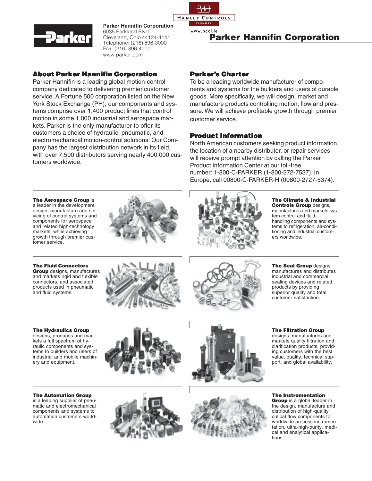

**Parker Hannifin Corporation** 6035 Parkland Blvd. Cleveland, Ohio 44124-4141 Telephone: (216) 896-3000 Fax: (216) 896-4000 www.parker.com

#### **About Parker Hannifin Corporation**

Parker Hannifin is a leading global motion-control company dedicated to delivering premier customer service. A Fortune 500 corporation listed on the New York Stock Exchange (PH), our components and systems comprise over 1,400 product lines that control motion in some 1,000 industrial and aerospace markets. Parker is the only manufacturer to offer its customers a choice of hydraulic, pneumatic, and electromechanical motion-control solutions. Our Company has the largest distribution network in its field, with over 7,500 distributors serving nearly 400,000 customers worldwide.

#### **Parker's Charter**

**HANLEY CONTROLS CLONMEL** www.hccl.ie

> To be a leading worldwide manufacturer of components and systems for the builders and users of durable goods. More specifically, we will design, market and manufacture products controlling motion, flow and pressure. We will achieve profitable growth through premier customer service.

**Parker Hannifin Corporation**

#### **Product Information**

North American customers seeking product information, the location of a nearby distributor, or repair services will receive prompt attention by calling the Parker Product Information Center at our toll-free number: 1-800-C-PARKER (1-800-272-7537). In Europe, call 00800-C-PARKER-H (00800-2727-5374).

**The Aerospace Group** is a leader in the development, design, manufacture and servicing of control systems and components for aerospace and related high-technology markets, while achieving growth through premier customer service.



**The Fluid Connectors Group** designs, manufactures and markets rigid and flexible connectors, and associated products used in pneumatic

and fluid systems.





**The Seal Group** designs, manufactures and distributes industrial and commercial sealing devices and related products by providing

**The Hydraulics Group** designs, produces and markets a full spectrum of hyraulic components and systems to builders and users of industrial and mobile machinery and equipment.

**The Automation Group** is a leading supplier of pneumatic and electromechanical components and systems to automation customers worldwide.





**The Filtration Group**

superior quality and total customer satisfaction.

designs, manufactures and markets quality filtration and clarification products, providing customers with the best value, quality, technical support, and global availability.

**The Instrumentation Group** is a global leader in the design, manufacture and distribution of high-quality critical flow components for worldwide process instrumentation, ultra-high-purity, medical and analytical applications.



manufactures and markets syshandling components and systems to refrigeration, air-conditioning and industrial custom-

tem-control and fluiders worldwide.